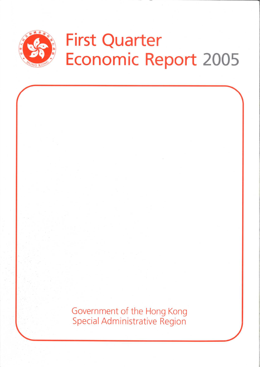

# **First Quarter Economic Report 2005**

Government of the Hong Kong **Special Administrative Region**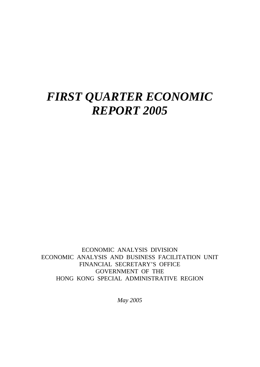# *FIRST QUARTER ECONOMIC REPORT 2005*

ECONOMIC ANALYSIS DIVISION ECONOMIC ANALYSIS AND BUSINESS FACILITATION UNIT FINANCIAL SECRETARY'S OFFICE GOVERNMENT OF THE HONG KONG SPECIAL ADMINISTRATIVE REGION

*May 2005*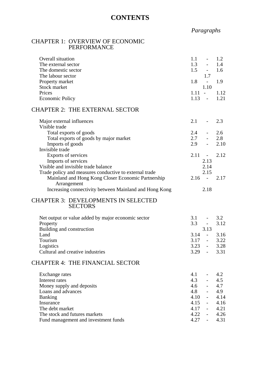## **CONTENTS**

# *Paragraphs*

#### CHAPTER 1: OVERVIEW OF ECONOMIC PERFORMANCE

Fund management and investment funds

| Overall situation<br>The external sector<br>The domestic sector<br>The labour sector | 1.1<br>1.2<br>$\equiv$<br>1.3<br>$\omega_{\rm{max}}$<br>1.4<br>$1.5 - -$<br>1.6<br>1.7 |  |
|--------------------------------------------------------------------------------------|----------------------------------------------------------------------------------------|--|
| Property market                                                                      | 1.8<br>1.9<br>$\sim 10^{-10}$                                                          |  |
| Stock market                                                                         | 1.10                                                                                   |  |
| Prices                                                                               | $1.11 - 1.12$                                                                          |  |
| <b>Economic Policy</b>                                                               | $1.13 - 1.21$                                                                          |  |
| <b>CHAPTER 2: THE EXTERNAL SECTOR</b>                                                |                                                                                        |  |
| Major external influences                                                            | 2.1<br>2.3<br>$\sim$                                                                   |  |
| Visible trade<br>Total exports of goods                                              | 2.4<br>2.6<br>$\omega_{\rm{max}}$                                                      |  |
| Total exports of goods by major market                                               | 2.7<br>2.8<br>$\omega_{\rm{max}}$                                                      |  |
| Imports of goods                                                                     | 2.9<br>2.10<br>$\omega_{\rm{max}}$                                                     |  |
| Invisible trade                                                                      |                                                                                        |  |
| Exports of services                                                                  | $2.11 - -$<br>2.12                                                                     |  |
| Imports of services                                                                  | 2.13                                                                                   |  |
| Visible and invisible trade balance                                                  | 2.14                                                                                   |  |
| Trade policy and measures conductive to external trade                               | 2.15                                                                                   |  |
| Mainland and Hong Kong Closer Economic Partnership                                   | $2.16 -$<br>2.17                                                                       |  |
| Arrangement                                                                          |                                                                                        |  |
| Increasing connectivity between Mainland and Hong Kong                               | 2.18                                                                                   |  |
| <b>CHAPTER 3: DEVELOPMENTS IN SELECTED</b><br><b>SECTORS</b>                         |                                                                                        |  |
|                                                                                      |                                                                                        |  |
| Net output or value added by major economic sector                                   | $3.1 - 3.2$                                                                            |  |
| Property                                                                             | $3.3 - -$<br>3.12                                                                      |  |
| Building and construction                                                            | 3.13<br>$3.14 -$                                                                       |  |
| Land<br>Tourism                                                                      | 3.16<br>$3.17 -$<br>3.22                                                               |  |
| Logistics                                                                            | 3.23<br>3.28<br>$\sim 100$ m $^{-1}$                                                   |  |
| Cultural and creative industries                                                     | $3.29 - 3.31$                                                                          |  |
| <b>CHAPTER 4: THE FINANCIAL SECTOR</b>                                               |                                                                                        |  |
|                                                                                      | 4.1<br>4.2                                                                             |  |
| Exchange rates<br>Interest rates                                                     | $\omega_{\rm{max}}$<br>$4.3 - 5$<br>4.5                                                |  |
| Money supply and deposits                                                            | $4.6 -$<br>4.7                                                                         |  |
| Loans and advances                                                                   | 4.9                                                                                    |  |
| <b>Banking</b>                                                                       | $4.8 - 4.10$<br>4.14                                                                   |  |
| Insurance                                                                            | $4.15 -$<br>4.16                                                                       |  |
| The debt market                                                                      | $4.17 -$<br>4.21                                                                       |  |
| The stock and futures markets                                                        | $4.22 -$<br>4.26                                                                       |  |
| Fund management and investment funds                                                 | $4.27 -$<br>4.31                                                                       |  |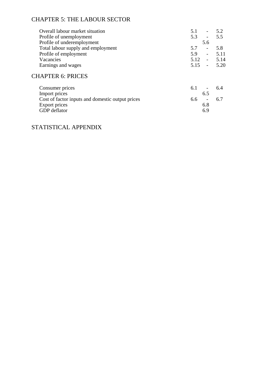# CHAPTER 5: THE LABOUR SECTOR

| Overall labour market situation                  | 5.1<br>$\overline{\phantom{a}}$ | 5.2  |
|--------------------------------------------------|---------------------------------|------|
| Profile of unemployment                          | 5.3<br>$\overline{\phantom{a}}$ | 5.5  |
| Profile of underemployment                       | 5.6                             |      |
| Total labour supply and employment               | 5.7<br>$\overline{\phantom{0}}$ | 5.8  |
| Profile of employment                            | 5.9<br>$\overline{a}$           | 5.11 |
| Vacancies                                        | $5.12 -$                        | 5.14 |
| Earnings and wages                               | $5.15 -$                        | 5.20 |
| <b>CHAPTER 6: PRICES</b>                         |                                 |      |
| Consumer prices                                  | 6.1                             | 6.4  |
| Import prices                                    | 6.5                             |      |
| Cost of factor inputs and domestic output prices | 6.6<br>$\overline{\phantom{0}}$ | 6.7  |
| Export prices                                    | 6.8                             |      |
| <b>GDP</b> deflator                              | 6.9                             |      |
|                                                  |                                 |      |

### STATISTICAL APPENDIX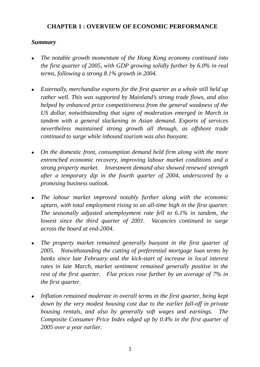#### **CHAPTER 1 : OVERVIEW OF ECONOMIC PERFORMANCE**

#### *Summary*

- <sup>z</sup>*The notable growth momentum of the Hong Kong economy continued into the first quarter of 2005, with GDP growing solidly further by 6.0% in real terms, following a strong 8.1% growth in 2004.*
- Externally, merchandise exports for the first quarter as a whole still held up *rather well. This was supported by Mainland's strong trade flows, and also helped by enhanced price competitiveness from the general weakness of the US dollar, notwithstanding that signs of moderation emerged in March in tandem with a general slackening in Asian demand. Exports of services nevertheless maintained strong growth all through, as offshore trade continued to surge while inbound tourism was also buoyant.*
- On the domestic front, consumption demand held firm along with the more *entrenched economic recovery, improving labour market conditions and a strong property market. Investment demand also showed renewed strength after a temporary dip in the fourth quarter of 2004, underscored by a promising business outlook.*
- *The labour market improved notably further along with the economic upturn, with total employment rising to an all-time high in the first quarter. The seasonally adjusted unemployment rate fell to 6.1% in tandem, the lowest since the third quarter of 2001. Vacancies continued to surge across the board at end-2004.*
- The property market remained generally buoyant in the first quarter of *2005. Notwithstanding the cutting of preferential mortgage loan terms by banks since late February and the kick-start of increase in local interest rates in late March, market sentiment remained generally positive in the rest of the first quarter. Flat prices rose further by an average of 7% in the first quarter.*
- Inflation remained moderate in overall terms in the first quarter, being kept *down by the very modest housing cost due to the earlier fall-off in private housing rentals, and also by generally soft wages and earnings. The Composite Consumer Price Index edged up by 0.4% in the first quarter of 2005 over a year earlier.*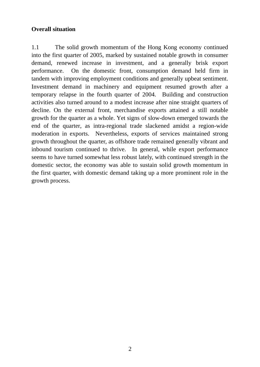#### **Overall situation**

1.1 The solid growth momentum of the Hong Kong economy continued into the first quarter of 2005, marked by sustained notable growth in consumer demand, renewed increase in investment, and a generally brisk export performance. On the domestic front, consumption demand held firm in tandem with improving employment conditions and generally upbeat sentiment. Investment demand in machinery and equipment resumed growth after a temporary relapse in the fourth quarter of 2004. Building and construction activities also turned around to a modest increase after nine straight quarters of decline. On the external front, merchandise exports attained a still notable growth for the quarter as a whole. Yet signs of slow-down emerged towards the end of the quarter, as intra-regional trade slackened amidst a region-wide moderation in exports. Nevertheless, exports of services maintained strong growth throughout the quarter, as offshore trade remained generally vibrant and inbound tourism continued to thrive. In general, while export performance seems to have turned somewhat less robust lately, with continued strength in the domestic sector, the economy was able to sustain solid growth momentum in the first quarter, with domestic demand taking up a more prominent role in the growth process.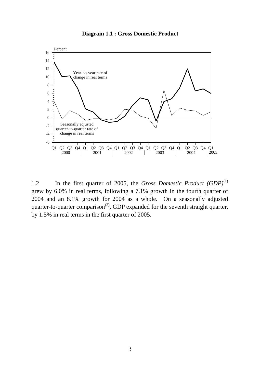#### **Diagram 1.1 : Gross Domestic Product**



1.2 In the first quarter of 2005, the *Gross Domestic Product (GDP)*(1) grew by 6.0% in real terms, following a 7.1% growth in the fourth quarter of 2004 and an 8.1% growth for 2004 as a whole. On a seasonally adjusted quarter-to-quarter comparison<sup>(2)</sup>, GDP expanded for the seventh straight quarter, by 1.5% in real terms in the first quarter of 2005.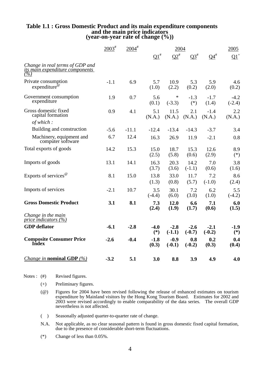# **Table 1.1 : Gross Domestic Product and its main expenditure components and the main price indicators (year-on-year rate of change (%))**

|                                                                                       | $2003^*$ | $2004$ <sup>#</sup> |                 | 2004               |                    |                    | 2005               |
|---------------------------------------------------------------------------------------|----------|---------------------|-----------------|--------------------|--------------------|--------------------|--------------------|
|                                                                                       |          |                     | $\Omega^{1}$    | $Q2^{\#}$          | $Q3^{\#}$          | $O4^{\#}$          | $Q1^+$             |
| Change in real terms of GDP and<br><u>its main expenditure components</u><br>$( \% )$ |          |                     |                 |                    |                    |                    |                    |
| Private consumption<br>expenditure                                                    | $-1.1$   | 6.9                 | 5.7<br>(1.0)    | 10.9<br>(2.2)      | 5.3<br>(0.2)       | 5.9<br>(2.0)       | 4.6<br>(0.2)       |
| Government consumption<br>expenditure                                                 | 1.9      | 0.7                 | 5.6<br>(0.1)    | *<br>$(-3.3)$      | $-1.3$<br>$(*)$    | $-1.7$<br>(1.4)    | $-4.2$<br>$(-2.4)$ |
| Gross domestic fixed<br>capital formation                                             | 0.9      | 4.1                 | 5.1<br>(N.A.)   | 11.5<br>(N.A.)     | 2.1<br>(N.A.)      | $-1.4$<br>(N.A.)   | 2.2<br>(N.A.)      |
| of which:                                                                             |          |                     |                 |                    |                    |                    |                    |
| Building and construction                                                             | $-5.6$   | $-11.1$             | $-12.4$         | $-13.4$            | $-14.3$            | $-3.7$             | 3.4                |
| Machinery, equipment and<br>computer software                                         | 6.7      | 12.4                | 16.3            | 26.9               | 11.9               | $-2.1$             | 0.8                |
| Total exports of goods                                                                | 14.2     | 15.3                | 15.0<br>(2.5)   | 18.7<br>(5.8)      | 15.3<br>(0.6)      | 12.6<br>(2.9)      | 8.9<br>$(*)$       |
| Imports of goods                                                                      | 13.1     | 14.1                | 16.3<br>(3.7)   | 20.3<br>(3.6)      | 14.2<br>$(-1.1)$   | 7.0<br>(0.6)       | 3.8<br>(1.6)       |
| Exports of services <sup><math>\omega</math></sup>                                    | 8.1      | 15.0                | 13.8<br>(1.3)   | 33.0<br>(0.8)      | 11.7<br>(5.7)      | 7.2<br>$(-1.0)$    | 8.6<br>(2.4)       |
| Imports of services                                                                   | $-2.1$   | 10.7                | 3.5<br>$(-4.4)$ | 30.1<br>(6.0)      | 7.2<br>(3.0)       | 6.2<br>(1.0)       | 5.5<br>$(-4.2)$    |
| <b>Gross Domestic Product</b>                                                         | 3.1      | 8.1                 | 7.3<br>(2.4)    | 12.0<br>(1.9)      | 6.6<br>(1.7)       | 7.1<br>(0.6)       | 6.0<br>(1.5)       |
| Change in the main<br>price indicators $(\%)$                                         |          |                     |                 |                    |                    |                    |                    |
| <b>GDP</b> deflator                                                                   | $-6.1$   | $-2.8$              | $-4.0$<br>$(*)$ | $-2.8$<br>$(-1.1)$ | $-2.6$<br>$(-0.7)$ | $-2.1$<br>$(-0.2)$ | $-1.9$<br>$(*)$    |
| <b>Composite Consumer Price</b><br><b>Index</b>                                       | $-2.6$   | $-0.4$              | $-1.8$<br>(0.3) | $-0.9$<br>$(-0.1)$ | 0.8<br>$(-0.2)$    | 0.2<br>(0.3)       | 0.4<br>(0.4)       |
| <i>Change in nominal GDP</i> $(\%)$                                                   | $-3.2$   | 5.1                 | 3.0             | 8.8                | 3.9                | 4.9                | 4.0                |

Notes:  $(#)$ Revised figures.

- (+) Preliminary figures.
- (@) Figures for 2004 have been revised following the release of enhanced estimates on tourism expenditure by Mainland visitors by the Hong Kong Tourism Board. Estimates for 2002 and 2003 were revised accordingly to enable comparability of the data series. The overall GDP nevertheless is not affected.
- ( ) Seasonally adjusted quarter-to-quarter rate of change.
- N.A. Not applicable, as no clear seasonal pattern is found in gross domestic fixed capital formation, due to the presence of considerable short-term fluctuations.
- (\*) Change of less than 0.05%.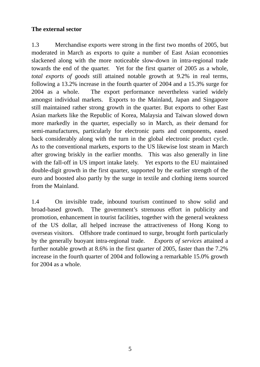#### **The external sector**

1.3 Merchandise exports were strong in the first two months of 2005, but moderated in March as exports to quite a number of East Asian economies slackened along with the more noticeable slow-down in intra-regional trade towards the end of the quarter. Yet for the first quarter of 2005 as a whole, *total exports of goods* still attained notable growth at 9.2% in real terms, following a 13.2% increase in the fourth quarter of 2004 and a 15.3% surge for 2004 as a whole. The export performance nevertheless varied widely amongst individual markets. Exports to the Mainland, Japan and Singapore still maintained rather strong growth in the quarter. But exports to other East Asian markets like the Republic of Korea, Malaysia and Taiwan slowed down more markedly in the quarter, especially so in March, as their demand for semi-manufactures, particularly for electronic parts and components, eased back considerably along with the turn in the global electronic product cycle. As to the conventional markets, exports to the US likewise lost steam in March after growing briskly in the earlier months. This was also generally in line with the fall-off in US import intake lately. Yet exports to the EU maintained double-digit growth in the first quarter, supported by the earlier strength of the euro and boosted also partly by the surge in textile and clothing items sourced from the Mainland.

1.4 On invisible trade, inbound tourism continued to show solid and broad-based growth. The government's strenuous effort in publicity and promotion, enhancement in tourist facilities, together with the general weakness of the US dollar, all helped increase the attractiveness of Hong Kong to overseas visitors. Offshore trade continued to surge, brought forth particularly by the generally buoyant intra-regional trade. *Exports of services* attained a further notable growth at 8.6% in the first quarter of 2005, faster than the 7.2% increase in the fourth quarter of 2004 and following a remarkable 15.0% growth for 2004 as a whole.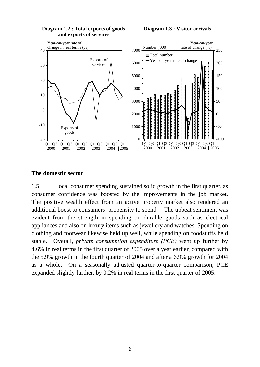

#### **Diagram 1.2 : Total exports of goods and exports of services**

#### **Diagram 1.3 : Visitor arrivals**

#### **The domestic sector**

1.5 Local consumer spending sustained solid growth in the first quarter, as consumer confidence was boosted by the improvements in the job market. The positive wealth effect from an active property market also rendered an additional boost to consumers' propensity to spend. The upbeat sentiment was evident from the strength in spending on durable goods such as electrical appliances and also on luxury items such as jewellery and watches. Spending on clothing and footwear likewise held up well, while spending on foodstuffs held stable. Overall, *private consumption expenditure (PCE)* went up further by 4.6% in real terms in the first quarter of 2005 over a year earlier, compared with the 5.9% growth in the fourth quarter of 2004 and after a 6.9% growth for 2004 as a whole. On a seasonally adjusted quarter-to-quarter comparison, PCE expanded slightly further, by 0.2% in real terms in the first quarter of 2005.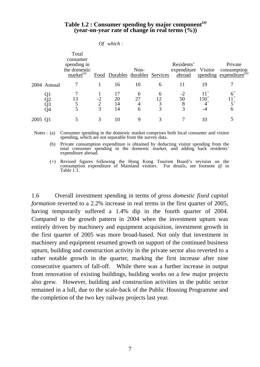#### **Table 1.2 : Consumer spending by major component(a) (year-on-year rate of change in real terms (%))**

|         |             | Total<br>consumer<br>spending in<br>the domestic<br>market <sup>(a)</sup> |        | Food Durables durables Services | Non-         |        | Residents'<br>expenditure Visitor<br>abroad |                             | Private<br>consumption<br>spending expenditure <sup>(b)</sup> |
|---------|-------------|---------------------------------------------------------------------------|--------|---------------------------------|--------------|--------|---------------------------------------------|-----------------------------|---------------------------------------------------------------|
|         | 2004 Annual |                                                                           |        | 16                              | 10           | 6      | 11                                          | 19                          |                                                               |
|         |             | 13                                                                        | ◠<br>3 | 20<br>14<br>14                  | h<br>27<br>6 | 6<br>3 | 50<br>8<br>3                                | $11^{+}$<br>$150^{+}$<br>-4 | $5^+$<br>6                                                    |
| 2005 Q1 |             |                                                                           | 3      | 10                              | 9            | 3      |                                             | 10                          |                                                               |

*Of which :* 

Notes : (a) Consumer spending in the domestic market comprises both local consumer and visitor spending, which are not separable from the survey data.

 (b) Private consumption expenditure is obtained by deducting visitor spending from the total consumer spending in the domestic market, and adding back residents' expenditure abroad.

 (+) Revised figures following the Hong Kong Tourism Board's revision on the consumption expenditure of Mainland visitors. For details, see footnote @ in Table 1.1.

1.6 Overall investment spending in terms of *gross domestic fixed capital formation* reverted to a 2.2% increase in real terms in the first quarter of 2005, having temporarily suffered a 1.4% dip in the fourth quarter of 2004. Compared to the growth pattern in 2004 when the investment upturn was entirely driven by machinery and equipment acquisition, investment growth in the first quarter of 2005 was more broad-based. Not only that investment in machinery and equipment resumed growth on support of the continued business upturn, building and construction activity in the private sector also reverted to a rather notable growth in the quarter, marking the first increase after nine consecutive quarters of fall-off. While there was a further increase in output from renovation of existing buildings, building works on a few major projects also grew. However, building and construction activities in the public sector remained in a lull, due to the scale-back of the Public Housing Programme and the completion of the two key railway projects last year.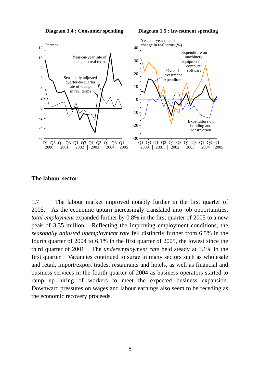**Diagram 1.4 : Consumer spending Diagram 1.5 : Investment spending**



#### **The labour sector**

1.7 The labour market improved notably further in the first quarter of 2005. As the economic upturn increasingly translated into job opportunities, *total employment* expanded further by 0.8% in the first quarter of 2005 to a new peak of 3.35 million. Reflecting the improving employment conditions, the *seasonally adjusted unemployment rate* fell distinctly further from 6.5% in the fourth quarter of 2004 to 6.1% in the first quarter of 2005, the lowest since the third quarter of 2001. The *underemployment rate* held steady at 3.1% in the first quarter. Vacancies continued to surge in many sectors such as wholesale and retail, import/export trades, restaurants and hotels, as well as financial and business services in the fourth quarter of 2004 as business operators started to ramp up hiring of workers to meet the expected business expansion. Downward pressures on wages and labour earnings also seem to be receding as the economic recovery proceeds.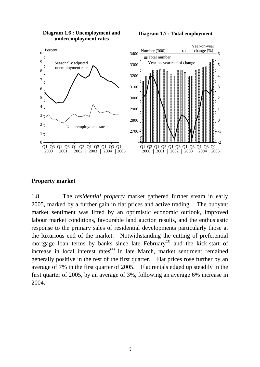**Diagram 1.6 : Unemployment and underemployment rates**

**Diagram 1.7 : Total employment**



#### **Property market**

1.8 The *residential property* market gathered further steam in early 2005, marked by a further gain in flat prices and active trading. The buoyant market sentiment was lifted by an optimistic economic outlook, improved labour market conditions, favourable land auction results, and the enthusiastic response to the primary sales of residential developments particularly those at the luxurious end of the market. Notwithstanding the cutting of preferential mortgage loan terms by banks since late February<sup>(3)</sup> and the kick-start of increase in local interest rates $(4)$  in late March, market sentiment remained generally positive in the rest of the first quarter. Flat prices rose further by an average of 7% in the first quarter of 2005. Flat rentals edged up steadily in the first quarter of 2005, by an average of 3%, following an average 6% increase in 2004.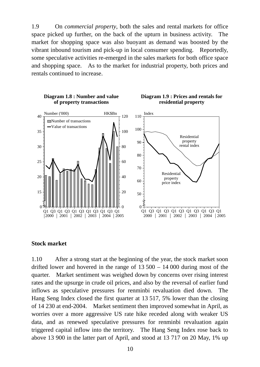1.9 On *commercial property*, both the sales and rental markets for office space picked up further, on the back of the upturn in business activity. The market for shopping space was also buoyant as demand was boosted by the vibrant inbound tourism and pick-up in local consumer spending. Reportedly, some speculative activities re-emerged in the sales markets for both office space and shopping space. As to the market for industrial property, both prices and rentals continued to increase.



#### **Stock market**

1.10 After a strong start at the beginning of the year, the stock market soon drifted lower and hovered in the range of  $13\,500 - 14\,000$  during most of the quarter. Market sentiment was weighed down by concerns over rising interest rates and the upsurge in crude oil prices, and also by the reversal of earlier fund inflows as speculative pressures for renminbi revaluation died down. The Hang Seng Index closed the first quarter at 13 517, 5% lower than the closing of 14 230 at end-2004. Market sentiment then improved somewhat in April, as worries over a more aggressive US rate hike receded along with weaker US data, and as renewed speculative pressures for renminbi revaluation again triggered capital inflow into the territory. The Hang Seng Index rose back to above 13 900 in the latter part of April, and stood at 13 717 on 20 May, 1% up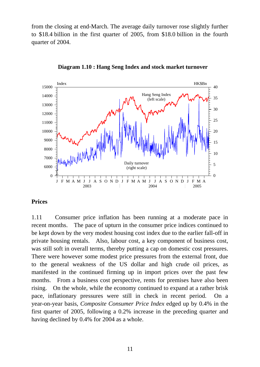from the closing at end-March. The average daily turnover rose slightly further to \$18.4 billion in the first quarter of 2005, from \$18.0 billion in the fourth quarter of 2004.



**Diagram 1.10 : Hang Seng Index and stock market turnover**

#### **Prices**

1.11 Consumer price inflation has been running at a moderate pace in recent months. The pace of upturn in the consumer price indices continued to be kept down by the very modest housing cost index due to the earlier fall-off in private housing rentals. Also, labour cost, a key component of business cost, was still soft in overall terms, thereby putting a cap on domestic cost pressures. There were however some modest price pressures from the external front, due to the general weakness of the US dollar and high crude oil prices, as manifested in the continued firming up in import prices over the past few months. From a business cost perspective, rents for premises have also been rising. On the whole, while the economy continued to expand at a rather brisk pace, inflationary pressures were still in check in recent period. On a year-on-year basis, *Composite Consumer Price Index* edged up by 0.4% in the first quarter of 2005, following a 0.2% increase in the preceding quarter and having declined by 0.4% for 2004 as a whole.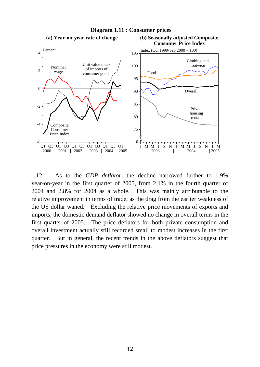

1.12 As to the *GDP deflator*, the decline narrowed further to 1.9% year-on-year in the first quarter of 2005, from 2.1% in the fourth quarter of 2004 and 2.8% for 2004 as a whole. This was mainly attributable to the relative improvement in terms of trade, as the drag from the earlier weakness of the US dollar waned. Excluding the relative price movements of exports and imports, the domestic demand deflator showed no change in overall terms in the first quarter of 2005. The price deflators for both private consumption and overall investment actually still recorded small to modest increases in the first quarter. But in general, the recent trends in the above deflators suggest that price pressures in the economy were still modest.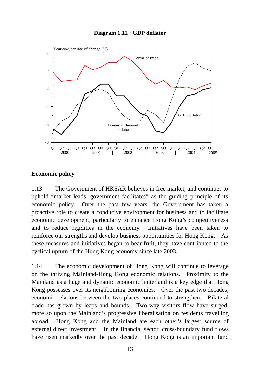

#### **Diagram 1.12 : GDP deflator**

#### **Economic policy**

1.13 The Government of HKSAR believes in free market, and continues to uphold "market leads, government facilitates" as the guiding principle of its economic policy. Over the past few years, the Government has taken a proactive role to create a conducive environment for business and to facilitate economic development, particularly to enhance Hong Kong's competitiveness and to reduce rigidities in the economy. Initiatives have been taken to reinforce our strengths and develop business opportunities for Hong Kong. As these measures and initiatives began to bear fruit, they have contributed to the cyclical upturn of the Hong Kong economy since late 2003.

1.14 The economic development of Hong Kong will continue to leverage on the thriving Mainland-Hong Kong economic relations. Proximity to the Mainland as a huge and dynamic economic hinterland is a key edge that Hong Kong possesses over its neighbouring economies. Over the past two decades, economic relations between the two places continued to strengthen. Bilateral trade has grown by leaps and bounds. Two-way visitors flow have surged, more so upon the Mainland's progressive liberalisation on residents travelling abroad. Hong Kong and the Mainland are each other's largest source of external direct investment. In the financial sector, cross-boundary fund flows have risen markedly over the past decade. Hong Kong is an important fund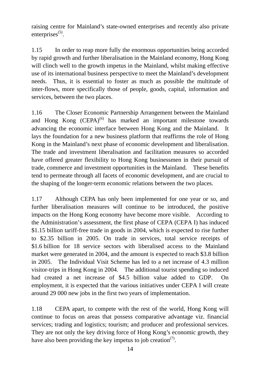raising centre for Mainland's state-owned enterprises and recently also private enterprises<sup>(5)</sup>.

1.15 In order to reap more fully the enormous opportunities being accorded by rapid growth and further liberalisation in the Mainland economy, Hong Kong will clinch well to the growth impetus in the Mainland, whilst making effective use of its international business perspective to meet the Mainland's development needs. Thus, it is essential to foster as much as possible the multitude of inter-flows, more specifically those of people, goods, capital, information and services, between the two places.

1.16 The Closer Economic Partnership Arrangement between the Mainland and Hong Kong  $(CEPA)^{(6)}$  has marked an important milestone towards advancing the economic interface between Hong Kong and the Mainland. lays the foundation for a new business platform that reaffirms the role of Hong Kong in the Mainland's next phase of economic development and liberalisation. The trade and investment liberalisation and facilitation measures so accorded have offered greater flexibility to Hong Kong businessmen in their pursuit of trade, commerce and investment opportunities in the Mainland. These benefits tend to permeate through all facets of economic development, and are crucial to the shaping of the longer-term economic relations between the two places.

1.17 Although CEPA has only been implemented for one year or so, and further liberalisation measures will continue to be introduced, the positive impacts on the Hong Kong economy have become more visible. According to the Administration's assessment, the first phase of CEPA (CEPA I) has induced \$1.15 billion tariff-free trade in goods in 2004, which is expected to rise further to \$2.35 billion in 2005. On trade in services, total service receipts of \$1.6 billion for 18 service sectors with liberalised access to the Mainland market were generated in 2004, and the amount is expected to reach \$3.8 billion in 2005. The Individual Visit Scheme has led to a net increase of 4.3 million visitor-trips in Hong Kong in 2004. The additional tourist spending so induced had created a net increase of \$4.5 billion value added to GDP. On employment, it is expected that the various initiatives under CEPA I will create around 29 000 new jobs in the first two years of implementation.

1.18 CEPA apart, to compete with the rest of the world, Hong Kong will continue to focus on areas that possess comparative advantage viz. financial services; trading and logistics; tourism; and producer and professional services. They are not only the key driving force of Hong Kong's economic growth, they have also been providing the key impetus to job creation<sup> $(7)$ </sup>.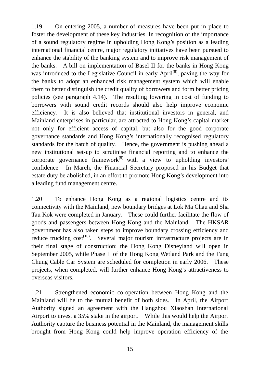1.19 On entering 2005, a number of measures have been put in place to foster the development of these key industries. In recognition of the importance of a sound regulatory regime in upholding Hong Kong's position as a leading international financial centre, major regulatory initiatives have been pursued to enhance the stability of the banking system and to improve risk management of the banks. A bill on implementation of Basel II for the banks in Hong Kong was introduced to the Legislative Council in early April<sup>(8)</sup>, paving the way for the banks to adopt an enhanced risk management system which will enable them to better distinguish the credit quality of borrowers and form better pricing policies (see paragraph 4.14). The resulting lowering in cost of funding to borrowers with sound credit records should also help improve economic efficiency. It is also believed that institutional investors in general, and Mainland enterprises in particular, are attracted to Hong Kong's capital market not only for efficient access of capital, but also for the good corporate governance standards and Hong Kong's internationally recognised regulatory standards for the batch of quality. Hence, the government is pushing ahead a new institutional set-up to scrutinise financial reporting and to enhance the corporate governance framework<sup> $(9)$ </sup> with a view to upholding investors' confidence. In March, the Financial Secretary proposed in his Budget that estate duty be abolished, in an effort to promote Hong Kong's development into a leading fund management centre.

1.20 To enhance Hong Kong as a regional logistics centre and its connectivity with the Mainland, new boundary bridges at Lok Ma Chau and Sha Tau Kok were completed in January. These could further facilitate the flow of goods and passengers between Hong Kong and the Mainland. The HKSAR government has also taken steps to improve boundary crossing efficiency and reduce trucking  $cost^{(10)}$ . Several major tourism infrastructure projects are in their final stage of construction: the Hong Kong Disneyland will open in September 2005, while Phase II of the Hong Kong Wetland Park and the Tung Chung Cable Car System are scheduled for completion in early 2006. These projects, when completed, will further enhance Hong Kong's attractiveness to overseas visitors.

1.21 Strengthened economic co-operation between Hong Kong and the Mainland will be to the mutual benefit of both sides. In April, the Airport Authority signed an agreement with the Hangzhou Xiaoshan International Airport to invest a 35% stake in the airport. While this would help the Airport Authority capture the business potential in the Mainland, the management skills brought from Hong Kong could help improve operation efficiency of the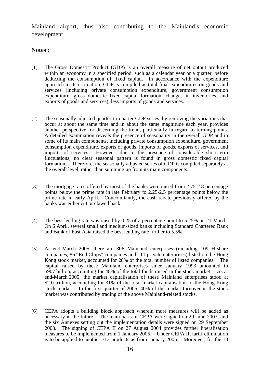Mainland airport, thus also contributing to the Mainland's economic development.

#### **Notes :**

- (1) The Gross Domestic Product (GDP) is an overall measure of net output produced within an economy in a specified period, such as a calendar year or a quarter, before deducting the consumption of fixed capital. In accordance with the expenditure approach to its estimation, GDP is compiled as total final expenditures on goods and services (including private consumption expenditure, government consumption expenditure, gross domestic fixed capital formation, changes in inventories, and exports of goods and services), less imports of goods and services.
- (2) The seasonally adjusted quarter-to-quarter GDP series, by removing the variations that occur at about the same time and in about the same magnitude each year, provides another perspective for discerning the trend, particularly in regard to turning points. A detailed examination reveals the presence of seasonality in the overall GDP and in some of its main components, including private consumption expenditure, government consumption expenditure, exports of goods, imports of goods, exports of services, and imports of services. However, due to the presence of considerable short-term fluctuations, no clear seasonal pattern is found in gross domestic fixed capital formation. Therefore, the seasonally adjusted series of GDP is compiled separately at the overall level, rather than summing up from its main components.
- (3) The mortgage rates offered by most of the banks were raised from 2.75-2.8 percentage points below the prime rate in late February to 2.25-2.5 percentage points below the prime rate in early April. Concomitantly, the cash rebate previously offered by the banks was either cut or clawed back.
- (4) The best lending rate was raised by 0.25 of a percentage point to 5.25% on 21 March. On 6 April, several small and medium-sized banks including Standard Chartered Bank and Bank of East Asia raised the best lending rate further to 5.5%.
- (5) At end-March 2005, there are 306 Mainland enterprises (including 109 H-share companies, 86 "Red Chips" companies and 111 private enterprises) listed on the Hong Kong stock market, accounted for 28% of the total number of listed companies. The capital raised by these Mainland enterprises since January 1993 amounted to \$907 billion, accounting for 48% of the total funds raised in the stock market. As at end-March 2005, the market capitalisation of these Mainland enterprises stood at \$2.0 trillion, accounting for 31% of the total market capitalisation of the Hong Kong stock market. In the first quarter of 2005, 40% of the market turnover in the stock market was contributed by trading of the above Mainland-related stocks.
- (6) CEPA adopts a building block approach wherein more measures will be added as necessary in the future. The main parts of CEPA were signed on 29 June 2003, and the six Annexes setting out the implementation details were signed on 29 September 2003. The signing of CEPA II on 27 August 2004 provides further liberalisation measures to be implemented from 1 January 2005. Under CEPA II, tariff elimination is to be applied to another 713 products as from January 2005. Moreover, for the 18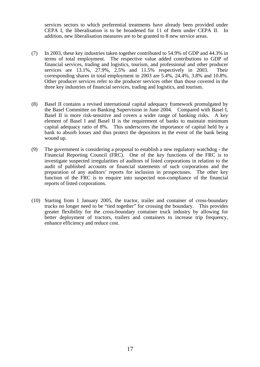services sectors to which preferential treatments have already been provided under CEPA I, the liberalisation is to be broadened for 11 of them under CEPA II. In addition, new liberalisation measures are to be granted to 8 new service areas.

- (7) In 2003, these key industries taken together contributed to 54.9% of GDP and 44.3% in terms of total employment. The respective value added contributions to GDP of financial services, trading and logistics, tourism, and professional and other producer services are 13.1%, 27.9%, 2.5% and 11.5% respectively in 2003. Their corresponding shares in total employment in 2003 are 5.4%, 24.4%, 3.8% and 10.8%. Other producer services refer to the producer services other than those covered in the three key industries of financial services, trading and logistics, and tourism.
- (8) Basel II contains a revised international capital adequacy framework promulgated by the Basel Committee on Banking Supervision in June 2004. Compared with Basel I, Basel II is more risk-sensitive and covers a wider range of banking risks. A key element of Basel I and Basel II is the requirement of banks to maintain minimum capital adequacy ratio of 8%. This underscores the importance of capital held by a bank to absorb losses and thus protect the depositors in the event of the bank being wound up.
- (9) The government is considering a proposal to establish a new regulatory watchdog the Financial Reporting Council (FRC). One of the key functions of the FRC is to investigate suspected irregularities of auditors of listed corporations in relation to the audit of published accounts or financial statements of such corporations and the preparation of any auditors' reports for inclusion in prospectuses. The other key function of the FRC is to enquire into suspected non-compliance of the financial reports of listed corporations.
- (10) Starting from 1 January 2005, the tractor, trailer and container of cross-boundary trucks no longer need to be "tied together" for crossing the boundary. This provides greater flexibility for the cross-boundary container truck industry by allowing for better deployment of tractors, trailers and containers to increase trip frequency, enhance efficiency and reduce cost.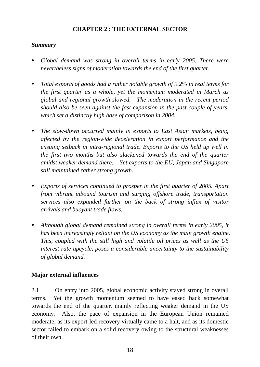#### **CHAPTER 2 : THE EXTERNAL SECTOR**

#### *Summary*

- *Global demand was strong in overall terms in early 2005. There were nevertheless signs of moderation towards the end of the first quarter.*
- *Total exports of goods had a rather notable growth of 9.2% in real terms for the first quarter as a whole, yet the momentum moderated in March as global and regional growth slowed. The moderation in the recent period should also be seen against the fast expansion in the past couple of years, which set a distinctly high base of comparison in 2004.*
- *The slow-down occurred mainly in exports to East Asian markets, being affected by the region-wide deceleration in export performance and the ensuing setback in intra-regional trade. Exports to the US held up well in the first two months but also slackened towards the end of the quarter amidst weaker demand there. Yet exports to the EU, Japan and Singapore still maintained rather strong growth.*
- *Exports of services continued to prosper in the first quarter of 2005. Apart from vibrant inbound tourism and surging offshore trade, transportation services also expanded further on the back of strong influx of visitor arrivals and buoyant trade flows.*
- Although global demand remained strong in overall terms in early 2005, it *has been increasingly reliant on the US economy as the main growth engine. This, coupled with the still high and volatile oil prices as well as the US interest rate upcycle, poses a considerable uncertainty to the sustainability of global demand.*

#### **Major external influences**

2.1 On entry into 2005, global economic activity stayed strong in overall terms. Yet the growth momentum seemed to have eased back somewhat towards the end of the quarter, mainly reflecting weaker demand in the US economy. Also, the pace of expansion in the European Union remained moderate, as its export-led recovery virtually came to a halt, and as its domestic sector failed to embark on a solid recovery owing to the structural weaknesses of their own.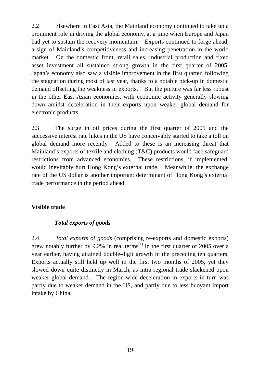2.2 Elsewhere in East Asia, the Mainland economy continued to take up a prominent role in driving the global economy, at a time when Europe and Japan had yet to sustain the recovery momentum. Exports continued to forge ahead, a sign of Mainland's competitiveness and increasing penetration in the world market. On the domestic front, retail sales, industrial production and fixed asset investment all sustained strong growth in the first quarter of 2005. Japan's economy also saw a visible improvement in the first quarter, following the stagnation during most of last year, thanks to a notable pick-up in domestic demand offsetting the weakness in exports. But the picture was far less robust in the other East Asian economies, with economic activity generally slowing down amidst deceleration in their exports upon weaker global demand for electronic products.

2.3 The surge in oil prices during the first quarter of 2005 and the successive interest rate hikes in the US have conceivably started to take a toll on global demand more recently. Added to these is an increasing threat that Mainland's exports of textile and clothing (T&C) products would face safeguard restrictions from advanced economies. These restrictions, if implemented, would inevitably hurt Hong Kong's external trade. Meanwhile, the exchange rate of the US dollar is another important determinant of Hong Kong's external trade performance in the period ahead.

#### **Visible trade**

#### *Total exports of goods*

2.4 *Total exports of goods* (comprising re-exports and domestic exports) grew notably further by 9.2% in real terms<sup>(1)</sup> in the first quarter of 2005 over a year earlier, having attained double-digit growth in the preceding ten quarters. Exports actually still held up well in the first two months of 2005, yet they slowed down quite distinctly in March, as intra-regional trade slackened upon weaker global demand. The region-wide deceleration in exports in turn was partly due to weaker demand in the US, and partly due to less buoyant import intake by China.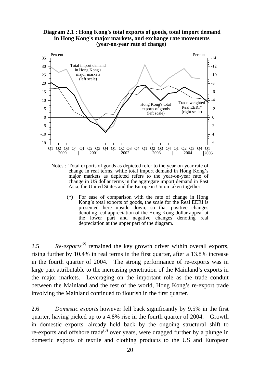#### **Diagram 2.1 : Hong Kong's total exports of goods, total import demand in Hong Kong's major markets, and exchange rate movements (year-on-year rate of change)**



Notes : Total exports of goods as depicted refer to the year-on-year rate of change in real terms, while total import demand in Hong Kong's major markets as depicted refers to the year-on-year rate of change in US dollar terms in the aggregate import demand in East Asia, the United States and the European Union taken together.

 (\*) For ease of comparison with the rate of change in Hong Kong's total exports of goods, the scale for the Real EERI is presented here upside down, so that positive changes denoting real appreciation of the Hong Kong dollar appear at the lower part and negative changes denoting real depreciation at the upper part of the diagram.

2.5 *Re-exports(2)* remained the key growth driver within overall exports, rising further by 10.4% in real terms in the first quarter, after a 13.8% increase in the fourth quarter of 2004. The strong performance of re-exports was in large part attributable to the increasing penetration of the Mainland's exports in the major markets. Leveraging on the important role as the trade conduit between the Mainland and the rest of the world, Hong Kong's re-export trade involving the Mainland continued to flourish in the first quarter.

2.6 *Domestic exports* however fell back significantly by 9.5% in the first quarter, having picked up to a 4.8% rise in the fourth quarter of 2004. Growth in domestic exports, already held back by the ongoing structural shift to re-exports and offshore trade<sup>(3)</sup> over years, were dragged further by a plunge in domestic exports of textile and clothing products to the US and European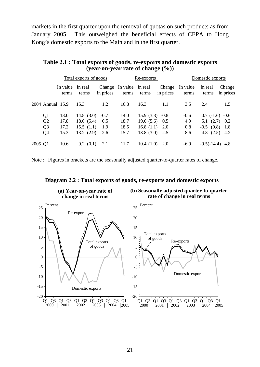markets in the first quarter upon the removal of quotas on such products as from January 2005. This outweighed the beneficial effects of CEPA to Hong Kong's domestic exports to the Mainland in the first quarter.

|                                                                                                      | <u>Total exports of goods</u>                                                      |                              | Re-exports                                                                      | Domestic exports            |                                                                                           |  |
|------------------------------------------------------------------------------------------------------|------------------------------------------------------------------------------------|------------------------------|---------------------------------------------------------------------------------|-----------------------------|-------------------------------------------------------------------------------------------|--|
| In value<br>terms                                                                                    | In real<br>Change<br>in prices<br>terms                                            | In value In real<br>terms    | Change<br>in prices<br>terms                                                    | In value<br>terms           | In real<br>Change<br>in prices<br>terms                                                   |  |
| 2004 Annual 15.9                                                                                     | 1.2<br>15.3                                                                        | 16.8                         | 16.3<br>1.1                                                                     | 3.5                         | 2.4<br>1.5                                                                                |  |
| 13.0<br>Q <sub>1</sub><br>Q <sub>2</sub><br>17.8<br>Q <sub>3</sub><br>17.2<br>15.3<br>Q <sub>4</sub> | 14.8 $(3.0)$<br>$-0.7$<br>18.0(5.4)<br>0.5<br>15.5(1.1)<br>1.9<br>13.2(2.9)<br>2.6 | 14.0<br>18.7<br>18.5<br>15.7 | $15.9(3.3) -0.8$<br>19.0(5.6)<br>0.5<br>16.8 $(1.1)$<br>2.0<br>13.8(3.0)<br>2.5 | $-0.6$<br>4.9<br>0.8<br>8.6 | $0.7$ (-1.6) -0.6<br>$5.1$ $(2.7)$ $0.2$<br>$-0.5$ $(0.8)$<br>- 1.8<br>4.8 $(2.5)$<br>4.2 |  |
| 10.6<br>2005 Q1                                                                                      | 9.2(0.1)<br>2.1                                                                    | 11.7                         | 10.4(1.0)<br>2.0                                                                | $-6.9$                      | $-9.5(-14.4)$<br>-4.8                                                                     |  |

#### **Table 2.1 : Total exports of goods, re-exports and domestic exports (year-on-year rate of change (%))**

Note : Figures in brackets are the seasonally adjusted quarter-to-quarter rates of change.



#### **Diagram 2.2 : Total exports of goods, re-exports and domestic exports**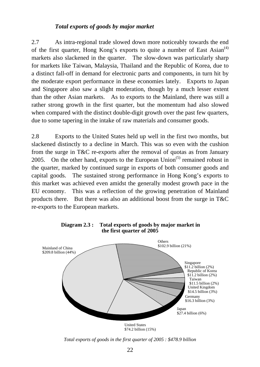#### *Total exports of goods by major market*

2.7 As intra-regional trade slowed down more noticeably towards the end of the first quarter, Hong Kong's exports to quite a number of East  $\text{Asian}^{(4)}$ markets also slackened in the quarter. The slow-down was particularly sharp for markets like Taiwan, Malaysia, Thailand and the Republic of Korea, due to a distinct fall-off in demand for electronic parts and components, in turn hit by the moderate export performance in these economies lately. Exports to Japan and Singapore also saw a slight moderation, though by a much lesser extent than the other Asian markets. As to exports to the Mainland, there was still a rather strong growth in the first quarter, but the momentum had also slowed when compared with the distinct double-digit growth over the past few quarters, due to some tapering in the intake of raw materials and consumer goods.

2.8 Exports to the United States held up well in the first two months, but slackened distinctly to a decline in March. This was so even with the cushion from the surge in T&C re-exports after the removal of quotas as from January 2005. On the other hand, exports to the European Union<sup> $(5)$ </sup> remained robust in the quarter, marked by continued surge in exports of both consumer goods and capital goods. The sustained strong performance in Hong Kong's exports to this market was achieved even amidst the generally modest growth pace in the EU economy. This was a reflection of the growing penetration of Mainland products there. But there was also an additional boost from the surge in T&C re-exports to the European markets.



**Diagram 2.3 : Total exports of goods by major market in the first quarter of 2005**

*Total exports of goods in the first quarter of 2005 : \$478.9 billion*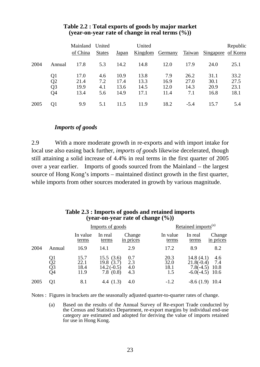|      |                       | Mainland<br>of China | United<br><b>States</b> | Japan        | United       | Kingdom Germany |              | Taiwan Singapore of Korea | Republic     |
|------|-----------------------|----------------------|-------------------------|--------------|--------------|-----------------|--------------|---------------------------|--------------|
| 2004 | Annual                | 17.8                 | 5.3                     | 14.2         | 14.8         | 12.0            | 17.9         | 24.0                      | 25.1         |
|      | Q1<br>$\overline{Q2}$ | 17.0<br>21.4         | 4.6<br>7.2              | 10.9<br>17.4 | 13.8<br>13.3 | 7.9<br>16.9     | 26.2<br>27.0 | 31.1<br>30.1              | 33.2<br>27.5 |
|      | Q <sub>3</sub><br>Q4  | 19.9<br>13.4         | 4.1<br>5.6              | 13.6<br>14.9 | 14.5<br>17.1 | 12.0<br>11.4    | 14.3<br>7.1  | 20.9<br>16.8              | 23.1<br>18.1 |
| 2005 | Q1                    | 9.9                  | 5.1                     | 11.5         | 11.9         | 18.2            | $-5.4$       | 15.7                      | 5.4          |

#### **Table 2.2 : Total exports of goods by major market (year-on-year rate of change in real terms (%))**

#### *Imports of goods*

2.9 With a more moderate growth in re-exports and with import intake for local use also easing back further, *imports of goods* likewise decelerated, though still attaining a solid increase of 4.4% in real terms in the first quarter of 2005 over a year earlier. Imports of goods sourced from the Mainland – the largest source of Hong Kong's imports – maintained distinct growth in the first quarter, while imports from other sources moderated in growth by various magnitude.

#### **Table 2.3 : Imports of goods and retained imports (year-on-year rate of change (%))**

|      |                      |                              | Imports of goods                                   |                          |                             | Retained imports <sup>(a)</sup>                             |                            |  |  |
|------|----------------------|------------------------------|----------------------------------------------------|--------------------------|-----------------------------|-------------------------------------------------------------|----------------------------|--|--|
|      |                      | In value<br>terms            | In real<br>terms                                   | Change<br>in prices      | In value<br>terms           | In real<br>terms                                            | Change<br>in prices        |  |  |
| 2004 | Annual               | 16.9                         | 14.1                                               | 2.9                      | 17.2                        | 8.9                                                         | 8.2                        |  |  |
|      | Q1<br>Q2<br>Q3<br>Q4 | 15.7<br>22.1<br>18.4<br>11.9 | 15.5(3.6)<br>19.8(3.7)<br>$14.2(-0.5)$<br>7.8(0.8) | 0.7<br>2.3<br>4.0<br>4.3 | 20.3<br>32.0<br>18.1<br>1.5 | 14.8 $(4.1)$<br>$21.8(-0.4)$<br>$7.8(-4.5)$<br>$-6.0(-4.5)$ | 4.6<br>7.4<br>10.8<br>10.6 |  |  |
| 2005 | O1                   | 8.1                          | 4.4 $(1.3)$                                        | 4.0                      | $-1.2$                      | $-8.6(1.9)$                                                 | 10.4                       |  |  |

Notes : Figures in brackets are the seasonally adjusted quarter-to-quarter rates of change.

 (a) Based on the results of the Annual Survey of Re-export Trade conducted by the Census and Statistics Department, re-export margins by individual end-use category are estimated and adopted for deriving the value of imports retained for use in Hong Kong.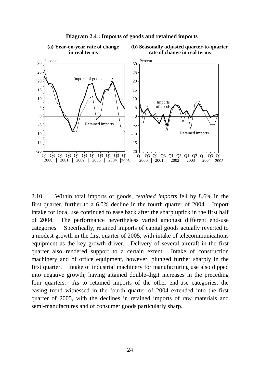

#### **Diagram 2.4 : Imports of goods and retained imports**

2.10 Within total imports of goods, *retained imports* fell by 8.6% in the first quarter, further to a 6.0% decline in the fourth quarter of 2004. Import intake for local use continued to ease back after the sharp uptick in the first half of 2004. The performance nevertheless varied amongst different end-use categories. Specifically, retained imports of capital goods actually reverted to a modest growth in the first quarter of 2005, with intake of telecommunications equipment as the key growth driver. Delivery of several aircraft in the first quarter also rendered support to a certain extent. Intake of construction machinery and of office equipment, however, plunged further sharply in the first quarter. Intake of industrial machinery for manufacturing use also dipped into negative growth, having attained double-digit increases in the preceding four quarters. As to retained imports of the other end-use categories, the easing trend witnessed in the fourth quarter of 2004 extended into the first quarter of 2005, with the declines in retained imports of raw materials and semi-manufactures and of consumer goods particularly sharp.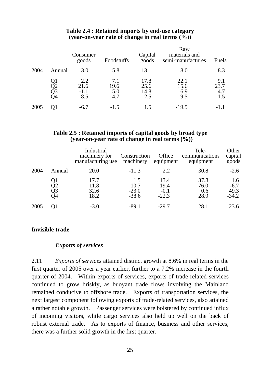|      |                      | Consumer<br>goods               | Foodstuffs                   | Capital<br>goods               | Raw<br>materials and<br>semi-manufactures | Fuels                        |
|------|----------------------|---------------------------------|------------------------------|--------------------------------|-------------------------------------------|------------------------------|
| 2004 | Annual               | 3.0                             | 5.8                          | 13.1                           | 8.0                                       | 8.3                          |
|      | Q1<br>Q2<br>Q3<br>Q4 | 2.2<br>21.6<br>$-1.1$<br>$-8.5$ | 7.1<br>19.6<br>5.0<br>$-4.7$ | 17.8<br>25.6<br>14.8<br>$-2.5$ | 22.1<br>15.6<br>6.9<br>$-9.5$             | 9.1<br>23.7<br>4.7<br>$-1.5$ |
| 2005 | O1                   | $-6.7$                          | $-1.5$                       | 1.5                            | $-19.5$                                   |                              |

#### **Table 2.4 : Retained imports by end-use category (year-on-year rate of change in real terms (%))**

#### **Table 2.5 : Retained imports of capital goods by broad type (year-on-year rate of change in real terms (%))**

|      |                      | Industrial<br>machinery for<br>manufacturing use | Construction<br>machinery         | Office<br>equipment               | Tele-<br>communications<br>equipment | Other<br>capital<br>$\overline{\text{goods}}$ |
|------|----------------------|--------------------------------------------------|-----------------------------------|-----------------------------------|--------------------------------------|-----------------------------------------------|
| 2004 | Annual               | 20.0                                             | $-11.3$                           | 2.2                               | 30.8                                 | $-2.6$                                        |
|      | Q1<br>Q2<br>Q3<br>Q4 | 17.7<br>11.8<br>32.6<br>18.2                     | 1.5<br>10.7<br>$-23.0$<br>$-38.6$ | 13.4<br>19.4<br>$-0.1$<br>$-22.3$ | 37.8<br>76.0<br>0.6<br>28.9          | 1.6<br>$-6.7$<br>49.3<br>$-34.2$              |
| 2005 | 01                   | $-3.0$                                           | $-89.1$                           | $-29.7$                           | 28.1                                 | 23.6                                          |

#### **Invisible trade**

#### *Exports of services*

2.11 *Exports of services* attained distinct growth at 8.6% in real terms in the first quarter of 2005 over a year earlier, further to a 7.2% increase in the fourth quarter of 2004. Within exports of services, exports of trade-related services continued to grow briskly, as buoyant trade flows involving the Mainland remained conducive to offshore trade. Exports of transportation services, the next largest component following exports of trade-related services, also attained a rather notable growth. Passenger services were bolstered by continued influx of incoming visitors, while cargo services also held up well on the back of robust external trade. As to exports of finance, business and other services, there was a further solid growth in the first quarter.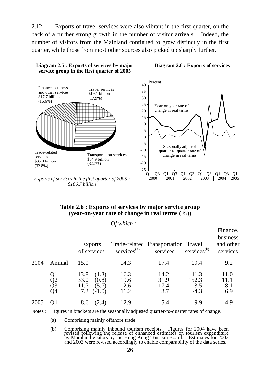2.12 Exports of travel services were also vibrant in the first quarter, on the back of a further strong growth in the number of visitor arrivals. Indeed, the number of visitors from the Mainland continued to grow distinctly in the first quarter, while those from most other sources also picked up sharply further.



*\$106.7 billion*

**Diagram 2.5 : Exports of services by major** 

#### **Diagram 2.6 : Exports of services**

#### **Table 2.6 : Exports of services by major service group (year-on-year rate of change in real terms (%))**

|      |                      |                                                                    | Of which:                    |                                                 |                                |                                               |
|------|----------------------|--------------------------------------------------------------------|------------------------------|-------------------------------------------------|--------------------------------|-----------------------------------------------|
|      |                      | <b>Exports</b><br>of services                                      | services $(a)$               | Trade-related Transportation Travel<br>services | $s$ ervices <sup>(b)</sup>     | Finance,<br>business<br>and other<br>services |
| 2004 | Annual               | 15.0                                                               | 14.3                         | 17.4                                            | 19.4                           | 9.2                                           |
|      | Q1<br>Q2<br>Q3<br>Q4 | 13.8<br>(1.3)<br>(0.8)<br>33.0<br>(5.7)<br>11.7<br>$(-1.0)$<br>7.2 | 16.3<br>19.6<br>12.6<br>11.2 | 14.2<br>31.9<br>17.4<br>8.7                     | 11.3<br>152.3<br>3.5<br>$-4.3$ | 11.0<br>11.1<br>8.1<br>6.9                    |
| 2005 | O1                   | (2.4)<br>8.6                                                       | 12.9                         | 5.4                                             | 9.9                            | 4.9                                           |

Notes : Figures in brackets are the seasonally adjusted quarter-to-quarter rates of change.

(a) Comprising mainly offshore trade.

 (b) Comprising mainly inbound tourism receipts. Figures for 2004 have been revised following the release of enhanced estimates on tourism expenditure by Mainland visitors by the Hong Kong Tourism Board. Estimates for 2002 and 2003 were revised accordingly to enable comparability of the data series.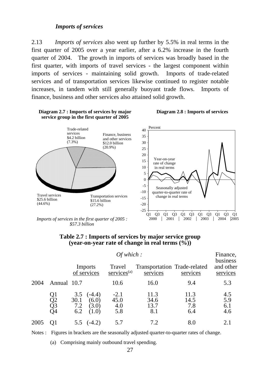#### *Imports of services*

2.13 *Imports of services* also went up further by 5.5% in real terms in the first quarter of 2005 over a year earlier, after a 6.2% increase in the fourth quarter of 2004. The growth in imports of services was broadly based in the first quarter, with imports of travel services - the largest component within imports of services - maintaining solid growth. Imports of trade-related services and of transportation services likewise continued to register notable increases, in tandem with still generally buoyant trade flows. Imports of finance, business and other services also attained solid growth.



*Imports of services in the first quarter of 2005 : \$57.3 billion*



|      |                      |                           | Of which:                           |                              |                                          |                            |                                   |  |  |
|------|----------------------|---------------------------|-------------------------------------|------------------------------|------------------------------------------|----------------------------|-----------------------------------|--|--|
|      |                      | Imports<br>of services    |                                     | Travel<br>$s$ ervices $(a)$  | Transportation Trade-related<br>services | services                   | business<br>and other<br>services |  |  |
| 2004 | Annual 10.7          |                           |                                     | 10.6                         | 16.0                                     | 9.4                        | 5.3                               |  |  |
|      | Q1<br>Q2<br>Q3<br>Q4 | 3.5<br>30.1<br>7.2<br>6.2 | $(-4.4)$<br>(6.0)<br>(3.0)<br>(1.0) | $-2.1$<br>45.0<br>4.0<br>5.8 | 11.3<br>34.6<br>13.7<br>8.1              | 11.3<br>14.5<br>7.8<br>6.4 | 4.5<br>5.9<br>6.1<br>4.6          |  |  |
| 2005 |                      |                           | $5.5 \quad (-4.2)$                  | 5.7                          | 7.2                                      | 8.0                        | 2.1                               |  |  |

Notes : Figures in brackets are the seasonally adjusted quarter-to-quarter rates of change.

(a) Comprising mainly outbound travel spending.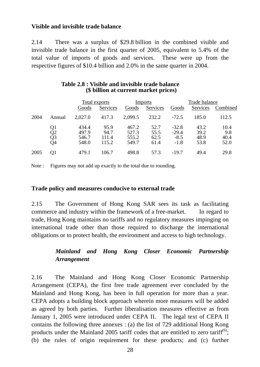#### **Visible and invisible trade balance**

2.14 There was a surplus of \$29.8 billion in the combined visible and invisible trade balance in the first quarter of 2005, equivalent to 5.4% of the total value of imports of goods and services. These were up from the respective figures of \$10.4 billion and 2.0% in the same quarter in 2004.

|      |                             | Total exports                    |                                |                                  | <b>Imports</b>               | Trade balance                          |                              |                             |
|------|-----------------------------|----------------------------------|--------------------------------|----------------------------------|------------------------------|----------------------------------------|------------------------------|-----------------------------|
|      |                             | Goods                            | Services                       | Goods                            | Services                     | Goods                                  | Services                     | Combined                    |
| 2004 | Annual                      | 2,027.0                          | 417.3                          | 2,099.5                          | 232.2                        | $-72.5$                                | 185.0                        | 112.5                       |
|      | Q1<br>$\frac{Q2}{Q3}$<br>O4 | 434.4<br>497.9<br>546.7<br>548.0 | 95.9<br>94.7<br>111.4<br>115.2 | 467.2<br>527.3<br>555.2<br>549.7 | 52.7<br>55.5<br>62.5<br>61.4 | $-32.8$<br>$-29.4$<br>$-8.5$<br>$-1.8$ | 43.2<br>39.2<br>48.9<br>53.8 | 10.4<br>9.8<br>40.4<br>52.0 |
| 2005 | O1                          | 479.1                            | 106.7                          | 498.8                            | 57.3                         | $-19.7$                                | 49.4                         | 29.8                        |

#### **Table 2.8 : Visible and invisible trade balance (\$ billion at current market prices)**

Note : Figures may not add up exactly to the total due to rounding.

#### **Trade policy and measures conducive to external trade**

2.15 The Government of Hong Kong SAR sees its task as facilitating commerce and industry within the framework of a free-market. In regard to trade, Hong Kong maintains no tariffs and no regulatory measures impinging on international trade other than those required to discharge the international obligations or to protect health, the environment and access to high technology.

## *Mainland and Hong Kong Closer Economic Partnership Arrangement*

2.16 The Mainland and Hong Kong Closer Economic Partnership Arrangement (CEPA), the first free trade agreement ever concluded by the Mainland and Hong Kong, has been in full operation for more than a year. CEPA adopts a building block approach wherein more measures will be added as agreed by both parties. Further liberalisation measures effective as from January 1, 2005 were introduced under CEPA II. The legal text of CEPA II contains the following three annexes : (a) the list of 729 additional Hong Kong products under the Mainland 2005 tariff codes that are entitled to zero tariff<sup>(6)</sup>; (b) the rules of origin requirement for these products; and (c) further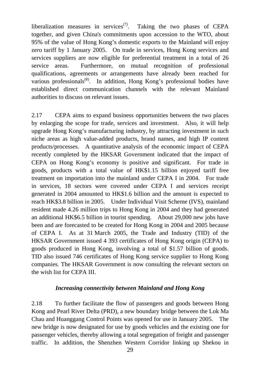liberalization measures in services<sup> $(7)$ </sup>. Taking the two phases of CEPA together, and given China's commitments upon accession to the WTO, about 95% of the value of Hong Kong's domestic exports to the Mainland will enjoy zero tariff by 1 January 2005. On trade in services, Hong Kong services and services suppliers are now eligible for preferential treatment in a total of 26 service areas. Furthermore, on mutual recognition of professional qualifications, agreements or arrangements have already been reached for various professionals<sup>(8)</sup>. In addition, Hong Kong's professional bodies have established direct communication channels with the relevant Mainland authorities to discuss on relevant issues.

2.17 CEPA aims to expand business opportunities between the two places by enlarging the scope for trade, services and investment. Also, it will help upgrade Hong Kong's manufacturing industry, by attracting investment in such niche areas as high value-added products, brand names, and high IP content products/processes. A quantitative analysis of the economic impact of CEPA recently completed by the HKSAR Government indicated that the impact of CEPA on Hong Kong's economy is positive and significant. For trade in goods, products with a total value of HK\$1.15 billion enjoyed tariff free treatment on importation into the mainland under CEPA I in 2004. For trade in services, 18 sectors were covered under CEPA I and services receipt generated in 2004 amounted to HK\$1.6 billion and the amount is expected to reach HK\$3.8 billion in 2005. Under Individual Visit Scheme (IVS), mainland resident made 4.26 million trips to Hong Kong in 2004 and they had generated an additional HK\$6.5 billion in tourist spending. About 29,000 new jobs have been and are forecasted to be created for Hong Kong in 2004 and 2005 because of CEPA I. As at 31 March 2005, the Trade and Industry (TID) of the HKSAR Government issued 4 393 certificates of Hong Kong origin (CEPA) to goods produced in Hong Kong, involving a total of \$1.57 billion of goods. TID also issued 746 certificates of Hong Kong service supplier to Hong Kong companies. The HKSAR Government is now consulting the relevant sectors on the wish list for CEPA III.

#### *Increasing connectivity between Mainland and Hong Kong*

2.18 To further facilitate the flow of passengers and goods between Hong Kong and Pearl River Delta (PRD), a new boundary bridge between the Lok Ma Chau and Huanggang Control Points was opened for use in January 2005. The new bridge is now designated for use by goods vehicles and the existing one for passenger vehicles, thereby allowing a total segregation of freight and passenger traffic. In addition, the Shenzhen Western Corridor linking up Shekou in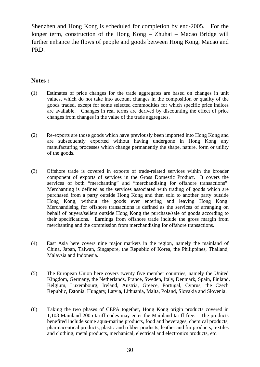Shenzhen and Hong Kong is scheduled for completion by end-2005. For the longer term, construction of the Hong Kong – Zhuhai – Macao Bridge will further enhance the flows of people and goods between Hong Kong, Macao and PRD.

#### **Notes :**

- (1) Estimates of price changes for the trade aggregates are based on changes in unit values, which do not take into account changes in the composition or quality of the goods traded, except for some selected commodities for which specific price indices are available. Changes in real terms are derived by discounting the effect of price changes from changes in the value of the trade aggregates.
- (2) Re-exports are those goods which have previously been imported into Hong Kong and are subsequently exported without having undergone in Hong Kong any manufacturing processes which change permanently the shape, nature, form or utility of the goods.
- (3) Offshore trade is covered in exports of trade-related services within the broader component of exports of services in the Gross Domestic Product. It covers the services of both "merchanting" and "merchandising for offshore transactions". Merchanting is defined as the services associated with trading of goods which are purchased from a party outside Hong Kong and then sold to another party outside Hong Kong, without the goods ever entering and leaving Hong Kong. Merchandising for offshore transactions is defined as the services of arranging on behalf of buyers/sellers outside Hong Kong the purchase/sale of goods according to their specifications. Earnings from offshore trade include the gross margin from merchanting and the commission from merchandising for offshore transactions.
- (4) East Asia here covers nine major markets in the region, namely the mainland of China, Japan, Taiwan, Singapore, the Republic of Korea, the Philippines, Thailand, Malaysia and Indonesia.
- (5) The European Union here covers twenty five member countries, namely the United Kingdom, Germany, the Netherlands, France, Sweden, Italy, Denmark, Spain, Finland, Belgium, Luxembourg, Ireland, Austria, Greece, Portugal, Cyprus, the Czech Republic, Estonia, Hungary, Latvia, Lithuania, Malta, Poland, Slovakia and Slovenia.
- (6) Taking the two phases of CEPA together, Hong Kong origin products covered in 1,108 Mainland 2005 tariff codes may enter the Mainland tariff free. The products benefited include some aqua-marine products, food and beverages, chemical products, pharmaceutical products, plastic and rubber products, leather and fur products, textiles and clothing, metal products, mechanical, electrical and electronics products, etc.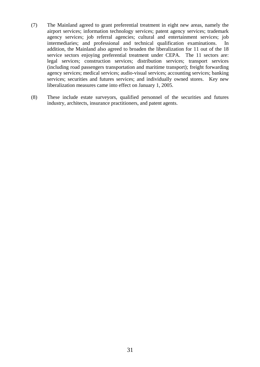- (7) The Mainland agreed to grant preferential treatment in eight new areas, namely the airport services; information technology services; patent agency services; trademark agency services; job referral agencies; cultural and entertainment services; job intermediaries; and professional and technical qualification examinations. In addition, the Mainland also agreed to broaden the liberalization for 11 out of the 18 service sectors enjoying preferential treatment under CEPA. The 11 sectors are: legal services; construction services; distribution services; transport services (including road passengers transportation and maritime transport); freight forwarding agency services; medical services; audio-visual services; accounting services; banking services; securities and futures services; and individually owned stores. Key new liberalization measures came into effect on January 1, 2005.
- (8) These include estate surveyors, qualified personnel of the securities and futures industry, architects, insurance practitioners, and patent agents.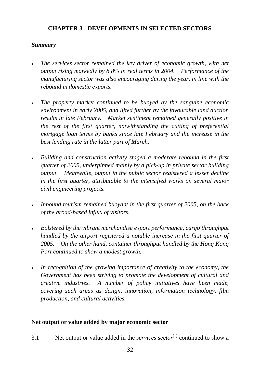# **CHAPTER 3 : DEVELOPMENTS IN SELECTED SECTORS**

# *Summary*

- <sup>z</sup>*The services sector remained the key driver of economic growth, with net output rising markedly by 8.8% in real terms in 2004. Performance of the manufacturing sector was also encouraging during the year, in line with the rebound in domestic exports.*
- <sup>z</sup>*The property market continued to be buoyed by the sanguine economic environment in early 2005, and lifted further by the favourable land auction results in late February. Market sentiment remained generally positive in the rest of the first quarter, notwithstanding the cutting of preferential mortgage loan terms by banks since late February and the increase in the best lending rate in the latter part of March.*
- **•** Building and construction activity staged a moderate rebound in the first *quarter of 2005, underpinned mainly by a pick-up in private sector building output. Meanwhile, output in the public sector registered a lesser decline in the first quarter, attributable to the intensified works on several major civil engineering projects.*
- **•** Inbound tourism remained buoyant in the first quarter of 2005, on the back *of the broad-based influx of visitors.*
- **•** Bolstered by the vibrant merchandise export performance, cargo throughput *handled by the airport registered a notable increase in the first quarter of 2005. On the other hand, container throughput handled by the Hong Kong Port continued to show a modest growth.*
- In recognition of the growing importance of creativity to the economy, the *Government has been striving to promote the development of cultural and creative industries. A number of policy initiatives have been made, covering such areas as design, innovation, information technology, film production, and cultural activities.*

# **Net output or value added by major economic sector**

3.1 Net output or value added in the *services sector*<sup>(1)</sup> continued to show a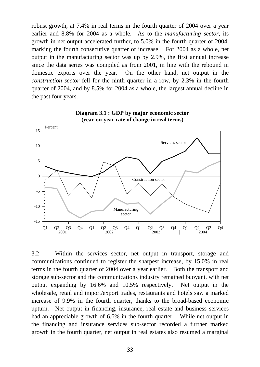robust growth, at 7.4% in real terms in the fourth quarter of 2004 over a year earlier and 8.8% for 2004 as a whole. As to the *manufacturing sector*, its growth in net output accelerated further, to 5.0% in the fourth quarter of 2004, marking the fourth consecutive quarter of increase. For 2004 as a whole, net output in the manufacturing sector was up by 2.9%, the first annual increase since the data series was compiled as from 2001, in line with the rebound in domestic exports over the year. On the other hand, net output in the *construction sector* fell for the ninth quarter in a row, by 2.3% in the fourth quarter of 2004, and by 8.5% for 2004 as a whole, the largest annual decline in the past four years.



**Diagram 3.1 : GDP by major economic sector (year-on-year rate of change in real terms)**

3.2 Within the services sector, net output in transport, storage and communications continued to register the sharpest increase, by 15.0% in real terms in the fourth quarter of 2004 over a year earlier. Both the transport and storage sub-sector and the communications industry remained buoyant, with net output expanding by 16.6% and 10.5% respectively. Net output in the wholesale, retail and import/export trades, restaurants and hotels saw a marked increase of 9.9% in the fourth quarter, thanks to the broad-based economic upturn. Net output in financing, insurance, real estate and business services had an appreciable growth of 6.6% in the fourth quarter. While net output in the financing and insurance services sub-sector recorded a further marked growth in the fourth quarter, net output in real estates also resumed a marginal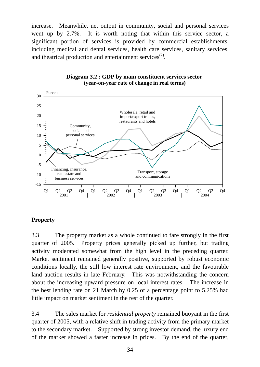increase. Meanwhile, net output in community, social and personal services went up by 2.7%. It is worth noting that within this service sector, a significant portion of services is provided by commercial establishments, including medical and dental services, health care services, sanitary services, and theatrical production and entertainment services $^{(2)}$ .



### **Diagram 3.2 : GDP by main constituent services sector (year-on-year rate of change in real terms)**

# **Property**

3.3 The property market as a whole continued to fare strongly in the first quarter of 2005. Property prices generally picked up further, but trading activity moderated somewhat from the high level in the preceding quarter. Market sentiment remained generally positive, supported by robust economic conditions locally, the still low interest rate environment, and the favourable land auction results in late February. This was notwithstanding the concern about the increasing upward pressure on local interest rates. The increase in the best lending rate on 21 March by 0.25 of a percentage point to 5.25% had little impact on market sentiment in the rest of the quarter.

3.4 The sales market for *residential property* remained buoyant in the first quarter of 2005, with a relative shift in trading activity from the primary market to the secondary market. Supported by strong investor demand, the luxury end of the market showed a faster increase in prices. By the end of the quarter,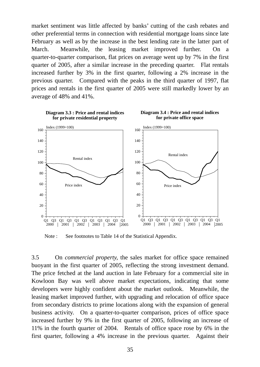market sentiment was little affected by banks' cutting of the cash rebates and other preferential terms in connection with residential mortgage loans since late February as well as by the increase in the best lending rate in the latter part of March. Meanwhile, the leasing market improved further. On a quarter-to-quarter comparison, flat prices on average went up by 7% in the first quarter of 2005, after a similar increase in the preceding quarter. Flat rentals increased further by 3% in the first quarter, following a 2% increase in the previous quarter. Compared with the peaks in the third quarter of 1997, flat prices and rentals in the first quarter of 2005 were still markedly lower by an average of 48% and 41%.



Note : See footnotes to Table 14 of the Statistical Appendix.

3.5 On *commercial property,* the sales market for office space remained buoyant in the first quarter of 2005, reflecting the strong investment demand. The price fetched at the land auction in late February for a commercial site in Kowloon Bay was well above market expectations, indicating that some developers were highly confident about the market outlook. Meanwhile, the leasing market improved further, with upgrading and relocation of office space from secondary districts to prime locations along with the expansion of general business activity. On a quarter-to-quarter comparison, prices of office space increased further by 9% in the first quarter of 2005, following an increase of 11% in the fourth quarter of 2004. Rentals of office space rose by 6% in the first quarter, following a 4% increase in the previous quarter. Against their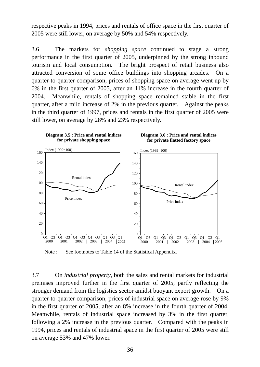respective peaks in 1994, prices and rentals of office space in the first quarter of 2005 were still lower, on average by 50% and 54% respectively.

3.6 The markets for *shopping space* continued to stage a strong performance in the first quarter of 2005, underpinned by the strong inbound tourism and local consumption. The bright prospect of retail business also attracted conversion of some office buildings into shopping arcades. On a quarter-to-quarter comparison, prices of shopping space on average went up by 6% in the first quarter of 2005, after an 11% increase in the fourth quarter of 2004. Meanwhile, rentals of shopping space remained stable in the first quarter, after a mild increase of 2% in the previous quarter. Against the peaks in the third quarter of 1997, prices and rentals in the first quarter of 2005 were still lower, on average by 28% and 23% respectively.



Note : See footnotes to Table 14 of the Statistical Appendix.

3.7 On *industrial property*, both the sales and rental markets for industrial premises improved further in the first quarter of 2005, partly reflecting the stronger demand from the logistics sector amidst buoyant export growth. On a quarter-to-quarter comparison, prices of industrial space on average rose by 9% in the first quarter of 2005, after an 8% increase in the fourth quarter of 2004. Meanwhile, rentals of industrial space increased by 3% in the first quarter, following a 2% increase in the previous quarter. Compared with the peaks in 1994, prices and rentals of industrial space in the first quarter of 2005 were still on average 53% and 47% lower.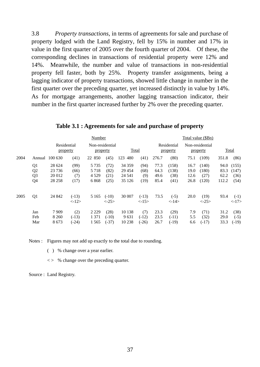3.8 *Property transactions*, in terms of agreements for sale and purchase of property lodged with the Land Registry, fell by 15% in number and 17% in value in the first quarter of 2005 over the fourth quarter of 2004. Of these, the corresponding declines in transactions of residential property were 12% and 14%. Meanwhile, the number and value of transactions in non-residential property fell faster, both by 25%. Property transfer assignments, being a lagging indicator of property transactions, showed little change in number in the first quarter over the preceding quarter, yet increased distinctly in value by 14%. As for mortgage arrangements, another lagging transaction indicator, their number in the first quarter increased further by 2% over the preceding quarter.

|      |                                                          |                                        | Number                           |                                    |                                  |                                          |                                  | Total value (\$Bn)           |                                |                              |                                 |                               |                                |
|------|----------------------------------------------------------|----------------------------------------|----------------------------------|------------------------------------|----------------------------------|------------------------------------------|----------------------------------|------------------------------|--------------------------------|------------------------------|---------------------------------|-------------------------------|--------------------------------|
|      | Residential<br>property                                  |                                        |                                  | Non-residential<br>property        |                                  | <b>Total</b>                             |                                  | Residential<br>property      |                                | Non-residential<br>property  |                                 | <b>Total</b>                  |                                |
| 2004 | Annual                                                   | 100 630                                | (41)                             | 22 850                             | (45)                             | 123<br>480                               | (41)                             | 276.7                        | (80)                           | 75.1                         | (109)                           | 351.8                         | (86)                           |
|      | Q <sub>1</sub><br>Q <sub>2</sub><br>Q <sub>3</sub><br>Q4 | 28 624<br>23 7 36<br>20 012<br>28 25 8 | (99)<br>(66)<br>(7)<br>(17)      | 5 7 3 5<br>5718<br>4 5 2 9<br>6868 | (72)<br>(82)<br>(21)<br>(25)     | 34 35 9<br>29 4 54<br>24 5 41<br>35 1 26 | (94)<br>(68)<br>(9)<br>(19)      | 77.3<br>64.3<br>49.6<br>85.4 | (158)<br>(138)<br>(38)<br>(41) | 16.7<br>19.0<br>12.6<br>26.8 | (140)<br>(180)<br>(27)<br>(120) | 94.0<br>83.3<br>62.2<br>112.2 | (155)<br>(147)<br>(36)<br>(54) |
| 2005 | Q <sub>1</sub>                                           | 24 842                                 | $(-13)$<br>$\langle -12 \rangle$ | 5 1 6 5                            | $(-10)$<br>$\langle -25 \rangle$ | 30 007                                   | $(-13)$<br>$\langle -15 \rangle$ | 73.5                         | $(-5)$<br><14>                 | 20.0                         | (19)<br>$\langle -25 \rangle$   | 93.4                          | $(-1)$<br><17>                 |
|      | Jan<br>Feb<br>Mar                                        | 7909<br>8 2 6 0<br>8673                | (2)<br>$(-13)$<br>$(-24)$        | 2 2 2 9<br>1 3 7 1<br>1565         | (28)<br>$(-10)$<br>$(-37)$       | 10 138<br>9631<br>10 238                 | (7)<br>$(-12)$<br>$(-26)$        | 23.3<br>23.5<br>26.7         | (29)<br>$(-11)$<br>$(-19)$     | 7.9<br>5.5<br>6.6            | (71)<br>(32)<br>$(-17)$         | 31.2<br>29.0<br>33.3          | (38)<br>$(-5)$<br>$(-19)$      |

**Table 3.1 : Agreements for sale and purchase of property** 

Notes : Figures may not add up exactly to the total due to rounding.

( ) % change over a year earlier.

 $\langle \rangle$  % change over the preceding quarter.

Source : Land Registry.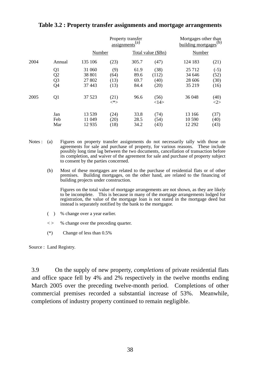|      |                                                          |                                      |                             | Property transfer<br>$\overline{assignments}^{(a)}$ |                               | Mortgages other than<br>building mortgages <sup>(b)</sup> |                                |  |
|------|----------------------------------------------------------|--------------------------------------|-----------------------------|-----------------------------------------------------|-------------------------------|-----------------------------------------------------------|--------------------------------|--|
|      |                                                          | Number                               |                             |                                                     | Total value (\$Bn)            | Number                                                    |                                |  |
| 2004 | Annual                                                   | 135 106                              | (23)                        | 305.7                                               | (47)                          | 124 183                                                   | (21)                           |  |
|      | Q1<br>Q <sub>2</sub><br>Q <sub>3</sub><br>Q <sub>4</sub> | 31 060<br>38 801<br>27 802<br>37 443 | (9)<br>(64)<br>(13)<br>(13) | 61.9<br>89.6<br>69.7<br>84.4                        | (38)<br>(112)<br>(40)<br>(20) | 25 7 12<br>34 646<br>28 606<br>35 219                     | $(-5)$<br>(52)<br>(30)<br>(16) |  |
| 2005 | Q <sub>1</sub>                                           | 37 523                               | (21)<br>$<^*>$              | 96.6                                                | (56)<br><14>                  | 36 048                                                    | (40)<br>$< \!\!2 \!\!>$        |  |
|      | Jan<br>Feb<br>Mar                                        | 13 539<br>11 049<br>12935            | (24)<br>(20)<br>(18)        | 33.8<br>28.5<br>34.2                                | (74)<br>(54)<br>(43)          | 13 166<br>10 590<br>12 29 2                               | (37)<br>(40)<br>(43)           |  |

# **Table 3.2 : Property transfer assignments and mortgage arrangements**

Notes : (a) Figures on property transfer assignments do not necessarily tally with those on agreements for sale and purchase of property, for various reasons. These include possibly long time lag between the two documents, cancellation of transaction before its completion, and waiver of the agreement for sale and purchase of property subject to consent by the parties concerned.

 (b) Most of these mortgages are related to the purchase of residential flats or of other premises. Building mortgages, on the other hand, are related to the financing of building projects under construction.

 Figures on the total value of mortgage arrangements are not shown, as they are likely to be incomplete. This is because in many of the mortgage arrangements lodged for registration, the value of the mortgage loan is not stated in the mortgage deed but instead is separately notified by the bank to the mortgagor.

- ( ) % change over a year earlier.
- $\langle \rangle$  % change over the preceding quarter.
- (\*) Change of less than 0.5%

Source : Land Registry.

3.9 On the supply of new property, *completions* of private residential flats and office space fell by 4% and 2% respectively in the twelve months ending March 2005 over the preceding twelve-month period. Completions of other commercial premises recorded a substantial increase of 53%. Meanwhile, completions of industry property continued to remain negligible.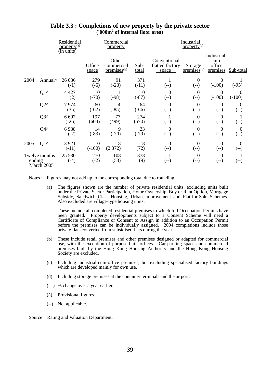|        |                             | Residential<br>property <sup>(a)</sup><br>(in units) |                              | Commercial<br>property                         |                      |                                          | Industrial<br>property <sup>(c)</sup> |                                           |                           |
|--------|-----------------------------|------------------------------------------------------|------------------------------|------------------------------------------------|----------------------|------------------------------------------|---------------------------------------|-------------------------------------------|---------------------------|
|        |                             |                                                      | Office<br>space              | Other<br>commercial<br>premises <sup>(b)</sup> | Sub-<br><u>total</u> | Conventional<br>flatted factory<br>space | Storage<br>premises <sup>(d)</sup>    | Industrial-<br>cum-<br>office<br>premises | Sub-total                 |
| 2004   | Annual <sup>^</sup>         | 26 0 36<br>$(-1)$                                    | 279<br>$(-6)$                | 91<br>$(-23)$                                  | 371<br>$(-11)$       | 1<br>$(-)$                               | $\boldsymbol{0}$<br>$(-)$             | $\boldsymbol{0}$<br>$(-100)$              | $(-95)$                   |
|        | $Q1^{\wedge}$               | 4 4 2 7<br>(2)                                       | 10<br>$(-70)$                | $(-98)$                                        | 10<br>$(-87)$        | $\overline{0}$<br>$(-)$                  | $\theta$<br>$(-)$                     | $\theta$<br>$(-100)$                      | $\theta$<br>$(-100)$      |
|        | $Q2^{\wedge}$               | 7974<br>(35)                                         | 60<br>$(-62)$                | 4<br>$(-85)$                                   | 64<br>$(-66)$        | $\overline{0}$<br>$(-)$                  | $\overline{0}$<br>$(-)$               | $\boldsymbol{0}$<br>(--)                  | $\boldsymbol{0}$<br>$(-)$ |
|        | $Q3^{\wedge}$               | 6 6 9 7<br>$(-26)$                                   | 197<br>(604)                 | 77<br>(499)                                    | 274<br>(570)         | $(-)$                                    | $\boldsymbol{0}$<br>$(-)$             | $\boldsymbol{0}$<br>(--)                  | $(-)$                     |
|        | $Q4^{\wedge}$               | 6938<br>$(-2)$                                       | 14<br>$(-83)$                | 9<br>$(-70)$                                   | 23<br>$(-79)$        | $\theta$<br>$(-)$                        | $\theta$<br>$(-)$                     | $\boldsymbol{0}$<br>(--)                  | $\boldsymbol{0}$<br>$(-)$ |
| 2005   | $Q1^{\wedge}$               | 3 9 2 1<br>$(-11)$                                   | $\boldsymbol{0}$<br>$(-100)$ | 18<br>(2372)                                   | 18<br>(72)           | $\theta$<br>$(-)$                        | $\overline{0}$<br>$(-)$               | $\boldsymbol{0}$<br>(--)                  | $\overline{0}$<br>$(-)$   |
| ending | Twelve months<br>March 2005 | 25 5 30<br>$(-4)$                                    | 270<br>$(-2)$                | 108<br>(53)                                    | 378<br>(9)           | $\mathbf{I}$<br>(--)                     | $\overline{0}$<br>(--)                | $\boldsymbol{0}$<br>(--)                  | (--)                      |

### **Table 3.3 : Completions of new property by the private sector ('000m2 of internal floor area)**

Notes : Figures may not add up to the corresponding total due to rounding.

 (a) The figures shown are the number of private residential units, excluding units built under the Private Sector Participation, Home Ownership, Buy or Rent Option, Mortgage Subsidy, Sandwich Class Housing, Urban Improvement and Flat-for-Sale Schemes. Also excluded are village-type housing units.

 These include all completed residential premises to which full Occupation Permits have been granted. Property developments subject to a Consent Scheme will need a Certificate of Compliance or Consent to Assign in addition to an Occupation Permit before the premises can be individually assigned. 2004 completions include those private flats converted from subsidised flats during the year.

- (b) These include retail premises and other premises designed or adapted for commercial use, with the exception of purpose-built offices. Car-parking space and commercial premises built by the Hong Kong Housing Authority and the Hong Kong Housing Society are excluded.
- (c) Including industrial-cum-office premises, but excluding specialised factory buildings which are developed mainly for own use.
- (d) Including storage premises at the container terminals and the airport.
- ( ) % change over a year earlier.
- (^) Provisional figures.
- (--) Not applicable.

Source : Rating and Valuation Department.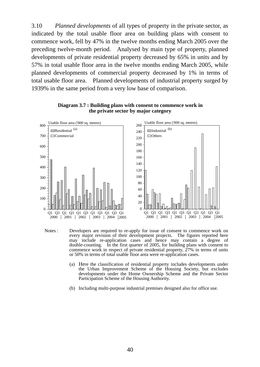3.10 *Planned developments* of all types of property in the private sector, as indicated by the total usable floor area on building plans with consent to commence work, fell by 47% in the twelve months ending March 2005 over the preceding twelve-month period. Analysed by main type of property, planned developments of private residential property decreased by 65% in units and by 57% in total usable floor area in the twelve months ending March 2005, while planned developments of commercial property decreased by 1% in terms of total usable floor area. Planned developments of industrial property surged by 1939% in the same period from a very low base of comparison.



**Diagram 3.7 : Building plans with consent to commence work in the private sector by major category**

- Notes : Developers are required to re-apply for issue of consent to commence work on every major revision of their development projects. The figures reported here may include re-application cases and hence may contain a degree of double-counting. In the first quarter of 2005, for building plans with consent to commence work in respect of private residential property,  $27\%$  in terms of units or 50% in terms of total usable floor area were re-application cases.
	- (a) Here the classification of residential property includes developments under the Urban Improvement Scheme of the Housing Society, but excludes developments under the Home Ownership Scheme and the Private Sector Participation Scheme of the Housing Authority.
	- (b) Including multi-purpose industrial premises designed also for office use.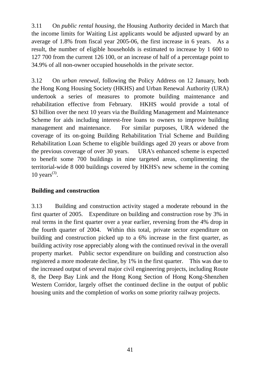3.11 On *public rental housing,* the Housing Authority decided in March that the income limits for Waiting List applicants would be adjusted upward by an average of 1.8% from fiscal year 2005-06, the first increase in 6 years. As a result, the number of eligible households is estimated to increase by 1 600 to 127 700 from the current 126 100, or an increase of half of a percentage point to 34.9% of all non-owner occupied households in the private sector.

3.12 On *urban renewal,* following the Policy Address on 12 January, both the Hong Kong Housing Society (HKHS) and Urban Renewal Authority (URA) undertook a series of measures to promote building maintenance and rehabilitation effective from February. HKHS would provide a total of \$3 billion over the next 10 years via the Building Management and Maintenance Scheme for aids including interest-free loans to owners to improve building management and maintenance. For similar purposes, URA widened the coverage of its on-going Building Rehabilitation Trial Scheme and Building Rehabilitation Loan Scheme to eligible buildings aged 20 years or above from the previous coverage of over 30 years. URA's enhanced scheme is expected to benefit some 700 buildings in nine targeted areas, complimenting the territorial-wide 8 000 buildings covered by HKHS's new scheme in the coming 10 years $(3)$ .

# **Building and construction**

3.13 Building and construction activity staged a moderate rebound in the first quarter of 2005. Expenditure on building and construction rose by 3% in real terms in the first quarter over a year earlier, reversing from the 4% drop in the fourth quarter of 2004. Within this total, private sector expenditure on building and construction picked up to a 6% increase in the first quarter, as building activity rose appreciably along with the continued revival in the overall property market. Public sector expenditure on building and construction also registered a more moderate decline, by 1% in the first quarter. This was due to the increased output of several major civil engineering projects, including Route 8, the Deep Bay Link and the Hong Kong Section of Hong Kong-Shenzhen Western Corridor, largely offset the continued decline in the output of public housing units and the completion of works on some priority railway projects.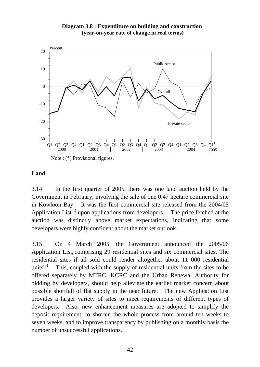### **Diagram 3.8 : Expenditure on building and construction (year-on-year rate of change in real terms)**



## **Land**

3.14 In the first quarter of 2005, there was one land auction held by the Government in February, involving the sale of one 0.47 hectare commercial site in Kowloon Bay. It was the first commercial site released from the 2004/05 Application  $List^{(4)}$  upon applications from developers. The price fetched at the auction was distinctly above market expectations, indicating that some developers were highly confident about the market outlook.

3.15 On 4 March 2005, the Government announced the 2005/06 Application List, comprising 29 residential sites and six commercial sites. The residential sites if all sold could render altogether about 11 000 residential units<sup> $(5)$ </sup>. This, coupled with the supply of residential units from the sites to be offered separately by MTRC, KCRC and the Urban Renewal Authority for bidding by developers, should help alleviate the earlier market concern about possible shortfall of flat supply in the near future. The new Application List provides a larger variety of sites to meet requirements of different types of developers. Also, new enhancement measures are adopted to simplify the deposit requirement, to shorten the whole process from around ten weeks to seven weeks, and to improve transparency by publishing on a monthly basis the number of unsuccessful applications.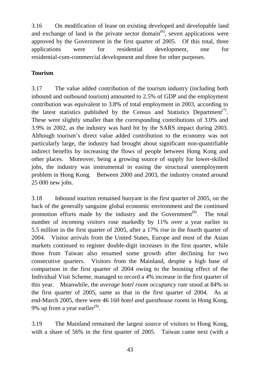3.16 On modification of lease on existing developed and developable land and exchange of land in the private sector domain<sup> $(6)$ </sup>, seven applications were approved by the Government in the first quarter of 2005. Of this total, three applications were for residential development, one for residential-cum-commercial development and three for other purposes.

# **Tourism**

3.17 The value added contribution of the tourism industry (including both inbound and outbound tourism) amounted to 2.5% of GDP and the employment contribution was equivalent to 3.8% of total employment in 2003, according to the latest statistics published by the Census and Statistics Department<sup>(7)</sup>. These were slightly smaller than the corresponding contributions of 3.0% and 3.9% in 2002, as the industry was hard hit by the SARS impact during 2003. Although tourism's direct value added contribution to the economy was not particularly large, the industry had brought about significant non-quantifiable indirect benefits by increasing the flows of people between Hong Kong and other places. Moreover, being a growing source of supply for lower-skilled jobs, the industry was instrumental in easing the structural unemployment problem in Hong Kong. Between 2000 and 2003, the industry created around 25 000 new jobs.

3.18 Inbound tourism remained buoyant in the first quarter of 2005, on the back of the generally sanguine global economic environment and the continued promotion efforts made by the industry and the Government<sup>(8)</sup>. The total number of *incoming visitors* rose markedly by 11% over a year earlier to 5.5 million in the first quarter of 2005, after a 17% rise in the fourth quarter of 2004. Visitor arrivals from the United States, Europe and most of the Asian markets continued to register double-digit increases in the first quarter, while those from Taiwan also resumed some growth after declining for two consecutive quarters. Visitors from the Mainland, despite a high base of comparison in the first quarter of 2004 owing to the boosting effect of the Individual Visit Scheme, managed to record a 4% increase in the first quarter of this year. Meanwhile, the *average hotel room occupancy rate* stood at 84% in the first quarter of 2005, same as that in the first quarter of 2004. As at end-March 2005, there were 46 160 *hotel and guesthouse rooms* in Hong Kong, 9% up from a year earlier<sup>(9)</sup>.

3.19 The Mainland remained the largest source of visitors to Hong Kong, with a share of 56% in the first quarter of 2005. Taiwan came next (with a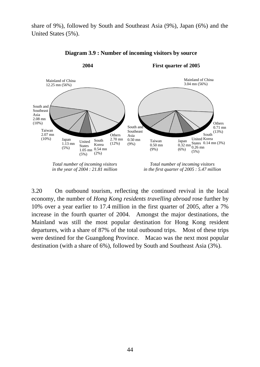share of 9%), followed by South and Southeast Asia (9%), Japan (6%) and the United States (5%).



#### **Diagram 3.9 : Number of incoming visitors by source**

3.20 On outbound tourism, reflecting the continued revival in the local economy, the number of *Hong Kong residents travelling abroad* rose further by 10% over a year earlier to 17.4 million in the first quarter of 2005, after a 7% increase in the fourth quarter of 2004. Amongst the major destinations, the Mainland was still the most popular destination for Hong Kong resident departures, with a share of 87% of the total outbound trips. Most of these trips were destined for the Guangdong Province. Macao was the next most popular destination (with a share of 6%), followed by South and Southeast Asia (3%).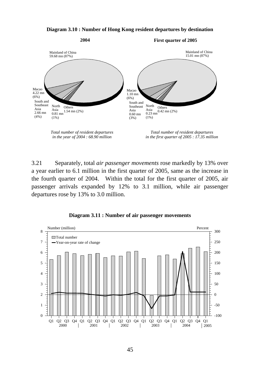#### **Diagram 3.10 : Number of Hong Kong resident departures by destination**



3.21 Separately, total *air passenger movements* rose markedly by 13% over a year earlier to 6.1 million in the first quarter of 2005, same as the increase in the fourth quarter of 2004. Within the total for the first quarter of 2005, air passenger arrivals expanded by 12% to 3.1 million, while air passenger departures rose by 13% to 3.0 million.



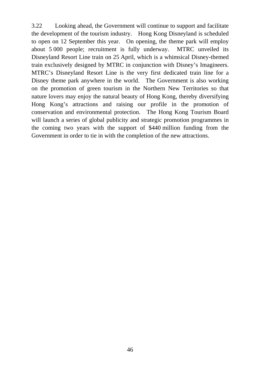3.22 Looking ahead, the Government will continue to support and facilitate the development of the tourism industry. Hong Kong Disneyland is scheduled to open on 12 September this year. On opening, the theme park will employ about 5 000 people; recruitment is fully underway. MTRC unveiled its Disneyland Resort Line train on 25 April, which is a whimsical Disney-themed train exclusively designed by MTRC in conjunction with Disney's Imagineers. MTRC's Disneyland Resort Line is the very first dedicated train line for a Disney theme park anywhere in the world. The Government is also working on the promotion of green tourism in the Northern New Territories so that nature lovers may enjoy the natural beauty of Hong Kong, thereby diversifying Hong Kong's attractions and raising our profile in the promotion of conservation and environmental protection. The Hong Kong Tourism Board will launch a series of global publicity and strategic promotion programmes in the coming two years with the support of \$440 million funding from the Government in order to tie in with the completion of the new attractions.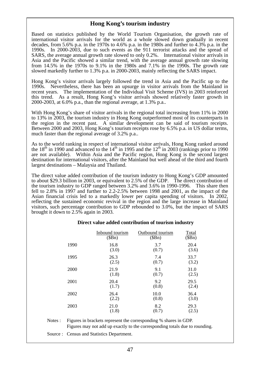## **Hong Kong's tourism industry**

Based on statistics published by the World Tourism Organisation, the growth rate of international visitor arrivals for the world as a whole slowed down gradually in recent decades, from 5.6% p.a. in the 1970s to 4.6% p.a. in the 1980s and further to 4.3% p.a. in the 1990s. In 2000-2003, due to such events as the 911 terrorist attacks and the spread of SARS, the average annual growth rate slowed to only 0.2%. International visitor arrivals in Asia and the Pacific showed a similar trend, with the average annual growth rate slowing from 14.5% in the 1970s to 9.1% in the 1980s and 7.1% in the 1990s. The growth rate slowed markedly further to 1.3% p.a. in 2000-2003, mainly reflecting the SARS impact.

Hong Kong's visitor arrivals largely followed the trend in Asia and the Pacific up to the 1990s. Nevertheless, there has been an upsurge in visitor arrivals from the Mainland in recent years. The implementation of the Individual Visit Scheme (IVS) in 2003 reinforced this trend. As a result, Hong Kong's visitor arrivals showed relatively faster growth in 2000-2003, at 6.0% p.a., than the regional average, at 1.3% p.a..

With Hong Kong's share of visitor arrivals in the regional total increasing from 11% in 2000 to 13% in 2003, the tourism industry in Hong Kong outperformed most of its counterparts in the region in the recent past. A similar development can be said of tourism receipts. Between 2000 and 2003, Hong Kong's tourism receipts rose by 6.5% p.a. in US dollar terms, much faster than the regional average of 3.2% p.a..

As to the world ranking in respect of international visitor arrivals, Hong Kong ranked around the  $18<sup>th</sup>$  in 1990 and advanced to the  $14<sup>th</sup>$  in 1995 and the  $12<sup>th</sup>$  in 2003 (rankings prior to 1990) are not available). Within Asia and the Pacific region, Hong Kong is the second largest destination for international visitors, after the Mainland but well ahead of the third and fourth largest destinations – Malaysia and Thailand.

The direct value added contribution of the tourism industry to Hong Kong's GDP amounted to about \$29.3 billion in 2003, or equivalent to 2.5% of the GDP. The direct contribution of the tourism industry to GDP ranged between 3.2% and 3.6% in 1990-1996. This share then fell to 2.8% in 1997 and further to 2.2-2.5% between 1998 and 2001, as the impact of the Asian financial crisis led to a markedly lower per capita spending of visitors. In 2002, reflecting the sustained economic revival in the region and the large increase in Mainland visitors, such percentage contribution to GDP rebounded to 3.0%, but the impact of SARS brought it down to 2.5% again in 2003.

#### **Direct value added contribution of tourism industry**

|      |                 |                  | ັ      |
|------|-----------------|------------------|--------|
|      | Inbound tourism | Outbound tourism | Total  |
|      | (SBn)           | (SBn)            | (\$Bn) |
| 1990 | 16.8            | 3.7              | 20.4   |
|      | (3.0)           | (0.7)            | (3.6)  |
| 1995 | 26.3            | 7.4              | 33.7   |
|      | (2.5)           | (0.7)            | (3.2)  |
| 2000 | 21.9            | 9.1              | 31.0   |
|      | (1.8)           | (0.7)            | (2.5)  |
| 2001 | 20.4            | 9.2              | 29.5   |
|      | (1.7)           | (0.8)            | (2.4)  |
| 2002 | 26.4            | 10.0             | 36.4   |
|      | (2.2)           | (0.8)            | (3.0)  |
| 2003 | 21.0            | 8.2              | 29.3   |
|      | (1.8)           | (0.7)            | (2.5)  |
|      |                 |                  |        |

Notes : Figures in brackets represent the corresponding % shares in GDP. Figures may not add up exactly to the corresponding totals due to rounding.

Source : Census and Statistics Department.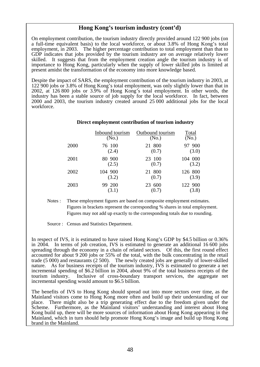## **Hong Kong's tourism industry (cont'd)**

On employment contribution, the tourism industry directly provided around 122 900 jobs (on a full-time equivalent basis) to the local workforce, or about 3.8% of Hong Kong's total employment, in 2003. The higher percentage contribution to total employment than that to GDP indicates that jobs provided by the tourism industry are on average relatively lower skilled. It suggests that from the employment creation angle the tourism industry is of importance to Hong Kong, particularly when the supply of lower skilled jobs is limited at present amidst the transformation of the economy into more knowledge based.

Despite the impact of SARS, the employment contribution of the tourism industry in 2003, at 122 900 jobs or 3.8% of Hong Kong's total employment, was only slightly lower than that in 2002, at 126 800 jobs or 3.9% of Hong Kong's total employment. In other words, the industry has been a stable source of job supply for the local workforce. In fact, between 2000 and 2003, the tourism industry created around 25 000 additional jobs for the local workforce.

#### **Direct employment contribution of tourism industry**

|      | <b>Inbound tourism</b> | Outbound tourism  | Total   |
|------|------------------------|-------------------|---------|
|      | (N <sub>0</sub> )      | (N <sub>0</sub> ) | (No.)   |
| 2000 | 76 100                 | 21 800            | 97 900  |
|      | (2.4)                  | (0.7)             | (3.0)   |
| 2001 | 80 900                 | 23 100            | 104 000 |
|      | (2.5)                  | (0.7)             | (3.2)   |
| 2002 | 104 900                | 21 800            | 126 800 |
|      | (3.2)                  | (0.7)             | (3.9)   |
| 2003 | 99 200                 | 23 600            | 122 900 |
|      | (3.1)                  | (0.7)             | (3.8)   |

Notes : These employment figures are based on composite employment estimates. Figures in brackets represent the corresponding % shares in total employment. Figures may not add up exactly to the corresponding totals due to rounding.

Source : Census and Statistics Department.

In respect of IVS, it is estimated to have raised Hong Kong's GDP by \$4.5 billion or 0.36% in 2004. In terms of job creation, IVS is estimated to generate an additional 16 600 jobs spreading through the economy in a chain of related sectors. Of this, the first round effect accounted for about 9 200 jobs or 55% of the total, with the bulk concentrating in the retail trade (5 000) and restaurants (2 500). The newly created jobs are generally of lower-skilled nature. As for business receipts of the tourism industry, IVS is estimated to generate a net incremental spending of \$6.2 billion in 2004, about 9% of the total business receipts of the tourism industry. Inclusive of cross-boundary transport services, the aggregate net incremental spending would amount to \$6.5 billion.

The benefits of IVS to Hong Kong should spread out into more sectors over time, as the Mainland visitors come to Hong Kong more often and build up their understanding of our place. There might also be a trip generating effect due to the freedom given under the Scheme. Furthermore, as the Mainland visitors' understanding and interest about Hong Kong build up, there will be more sources of information about Hong Kong appearing in the Mainland, which in turn should help promote Hong Kong's image and build up Hong Kong brand in the Mainland.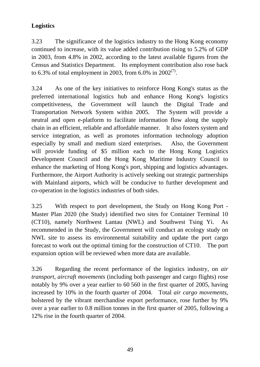# **Logistics**

3.23 The significance of the logistics industry to the Hong Kong economy continued to increase, with its value added contribution rising to 5.2% of GDP in 2003, from 4.8% in 2002, according to the latest available figures from the Census and Statistics Department. Its employment contribution also rose back to 6.3% of total employment in 2003, from 6.0% in 2002<sup>(7)</sup>.

3.24 As one of the key initiatives to reinforce Hong Kong's status as the preferred international logistics hub and enhance Hong Kong's logistics competitiveness, the Government will launch the Digital Trade and Transportation Network System within 2005. The System will provide a neutral and open e-platform to facilitate information flow along the supply chain in an efficient, reliable and affordable manner. It also fosters system and service integration, as well as promotes information technology adoption especially by small and medium sized enterprises. Also, the Government will provide funding of \$5 million each to the Hong Kong Logistics Development Council and the Hong Kong Maritime Industry Council to enhance the marketing of Hong Kong's port, shipping and logistics advantages. Furthermore, the Airport Authority is actively seeking out strategic partnerships with Mainland airports, which will be conducive to further development and co-operation in the logistics industries of both sides.

3.25 With respect to port development, the Study on Hong Kong Port - Master Plan 2020 (the Study) identified two sites for Container Terminal 10 (CT10), namely Northwest Lantau (NWL) and Southwest Tsing Yi. As recommended in the Study, the Government will conduct an ecology study on NWL site to assess its environmental suitability and update the port cargo forecast to work out the optimal timing for the construction of CT10. The port expansion option will be reviewed when more data are available.

3.26 Regarding the recent performance of the logistics industry, on *air transport*, *aircraft movements* (including both passenger and cargo flights) rose notably by 9% over a year earlier to 60 560 in the first quarter of 2005, having increased by 10% in the fourth quarter of 2004. Total *air cargo movements*, bolstered by the vibrant merchandise export performance, rose further by 9% over a year earlier to 0.8 million tonnes in the first quarter of 2005, following a 12% rise in the fourth quarter of 2004.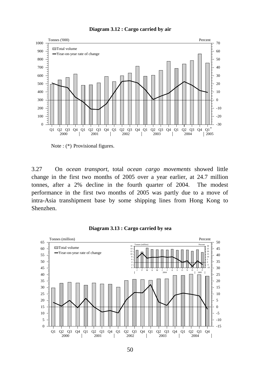



Note : (\*) Provisional figures.

3.27 On *ocean transport*, total *ocean cargo movements* showed little change in the first two months of 2005 over a year earlier, at 24.7 million tonnes, after a 2% decline in the fourth quarter of 2004. The modest performance in the first two months of 2005 was partly due to a move of intra-Asia transhipment base by some shipping lines from Hong Kong to Shenzhen.



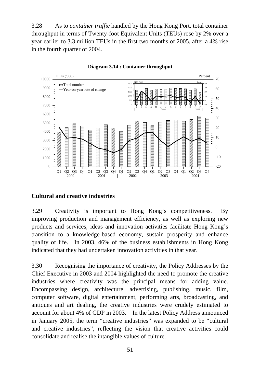3.28 As to *container traffic* handled by the Hong Kong Port, total container throughput in terms of Twenty-foot Equivalent Units (TEUs) rose by 2% over a year earlier to 3.3 million TEUs in the first two months of 2005, after a 4% rise in the fourth quarter of 2004.



**Diagram 3.14 : Container throughput**

## **Cultural and creative industries**

3.29 Creativity is important to Hong Kong's competitiveness. By improving production and management efficiency, as well as exploring new products and services, ideas and innovation activities facilitate Hong Kong's transition to a knowledge-based economy, sustain prosperity and enhance quality of life. In 2003, 46% of the business establishments in Hong Kong indicated that they had undertaken innovation activities in that year.

3.30 Recognising the importance of creativity, the Policy Addresses by the Chief Executive in 2003 and 2004 highlighted the need to promote the creative industries where creativity was the principal means for adding value. Encompassing design, architecture, advertising, publishing, music, film, computer software, digital entertainment, performing arts, broadcasting, and antiques and art dealing, the creative industries were crudely estimated to account for about 4% of GDP in 2003. In the latest Policy Address announced in January 2005, the term "creative industries" was expanded to be "cultural and creative industries", reflecting the vision that creative activities could consolidate and realise the intangible values of culture.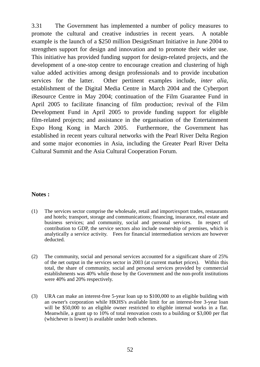3.31 The Government has implemented a number of policy measures to promote the cultural and creative industries in recent years. A notable example is the launch of a \$250 million DesignSmart Initiative in June 2004 to strengthen support for design and innovation and to promote their wider use. This initiative has provided funding support for design-related projects, and the development of a one-stop centre to encourage creation and clustering of high value added activities among design professionals and to provide incubation services for the latter. Other pertinent examples include, *inter alia*, establishment of the Digital Media Centre in March 2004 and the Cyberport iResource Centre in May 2004; continuation of the Film Guarantee Fund in April 2005 to facilitate financing of film production; revival of the Film Development Fund in April 2005 to provide funding support for eligible film-related projects; and assistance in the organisation of the Entertainment Expo Hong Kong in March 2005. Furthermore, the Government has established in recent years cultural networks with the Pearl River Delta Region and some major economies in Asia, including the Greater Pearl River Delta Cultural Summit and the Asia Cultural Cooperation Forum.

## **Notes :**

- (1) The services sector comprise the wholesale, retail and import/export trades, restaurants and hotels; transport, storage and communications; financing, insurance, real estate and business services; and community, social and personal services. In respect of contribution to GDP, the service sectors also include ownership of premises, which is analytically a service activity. Fees for financial intermediation services are however deducted.
- (2) The community, social and personal services accounted for a significant share of 25% of the net output in the services sector in 2003 (at current market prices). Within this total, the share of community, social and personal services provided by commercial establishments was 40% while those by the Government and the non-profit institutions were 40% and 20% respectively.
- (3) URA can make an interest-free 5-year loan up to \$100,000 to an eligible building with an owner's corporation while HKHS's available limit for an interest-free 3-year loan will be \$50,000 to an eligible owner restricted to eligible internal works in a flat. Meanwhile, a grant up to 10% of total renovation costs to a building or \$3,000 per flat (whichever is lower) is available under both schemes.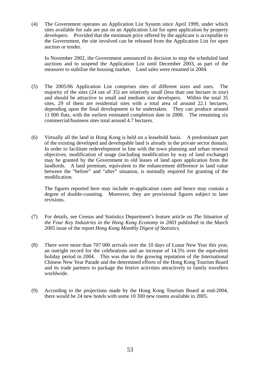(4) The Government operates an Application List System since April 1999, under which sites available for sale are put on an Application List for open application by property developers. Provided that the minimum price offered by the applicant is acceptable to the Government, the site involved can be released from the Application List for open auction or tender.

 In November 2002, the Government announced its decision to stop the scheduled land auctions and to suspend the Application List until December 2003, as part of the measures to stabilise the housing market. Land sales were resumed in 2004.

- (5) The 2005/06 Application List comprises sites of different sizes and uses. The majority of the sites (24 out of 35) are relatively small (less than one hectare in size) and should be attractive to small and medium size developers. Within the total 35 sites, 29 of them are residential sites with a total area of around 22.1 hectares, depending upon the final development to be undertaken. They can produce around 11 000 flats, with the earliest estimated completion date in 2008. The remaining six commercial/business sites total around 4.7 hectares.
- (6) Virtually all the land in Hong Kong is held on a leasehold basis. A predominant part of the existing developed and developable land is already in the private sector domain. In order to facilitate redevelopment in line with the town planning and urban renewal objectives, modification of usage (including modification by way of land exchange) may be granted by the Government to old leases of land upon application from the landlords. A land premium, equivalent to the enhancement difference in land value between the "before" and "after" situation, is normally required for granting of the modification.

 The figures reported here may include re-application cases and hence may contain a degree of double-counting. Moreover, they are provisional figures subject to later revisions.

- (7) For details, see Census and Statistics Department's feature article on *The Situation of the Four Key Industries in the Hong Kong Economy in 2003* published in the March 2005 issue of the report *Hong Kong Monthly Digest of Statistics*.
- (8) There were more than 707 000 arrivals over the 10 days of Lunar New Year this year, an outright record for the celebrations and an increase of 14.5% over the equivalent holiday period in 2004. This was due to the growing reputation of the International Chinese New Year Parade and the determined efforts of the Hong Kong Tourism Board and its trade partners to package the festive activities attractively to family travellers worldwide.
- (9) According to the projections made by the Hong Kong Tourism Board at end-2004, there would be 24 new hotels with some 10 300 new rooms available in 2005.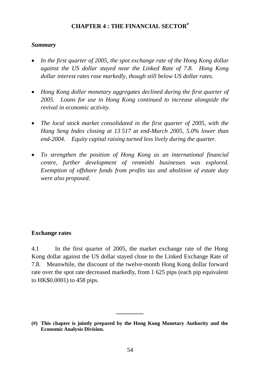# **CHAPTER 4 : THE FINANCIAL SECTOR#**

## *Summary*

- *In the first quarter of 2005, the spot exchange rate of the Hong Kong dollar against the US dollar stayed near the Linked Rate of 7.8. Hong Kong dollar interest rates rose markedly, though still below US dollar rates.*
- *Hong Kong dollar monetary aggregates declined during the first quarter of 2005. Loans for use in Hong Kong continued to increase alongside the revival in economic activity.*
- *The local stock market consolidated in the first quarter of 2005, with the Hang Seng Index closing at 13 517 at end-March 2005, 5.0% lower than end-2004. Equity capital raising turned less lively during the quarter.*
- *To strengthen the position of Hong Kong as an international financial centre, further development of renminbi businesses was explored. Exemption of offshore funds from profits tax and abolition of estate duty were also proposed.*

# **Exchange rates**

4.1 In the first quarter of 2005, the market exchange rate of the Hong Kong dollar against the US dollar stayed close to the Linked Exchange Rate of 7.8. Meanwhile, the discount of the twelve-month Hong Kong dollar forward rate over the spot rate decreased markedly, from 1 625 pips (each pip equivalent to HK\$0.0001) to 458 pips.

**\_\_\_\_\_\_\_\_\_** 

**<sup>(#)</sup> This chapter is jointly prepared by the Hong Kong Monetary Authority and the Economic Analysis Division.**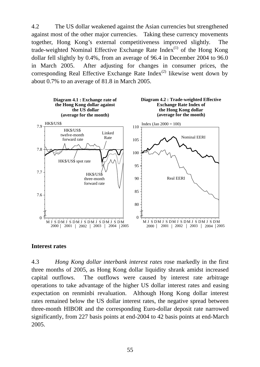4.2 The US dollar weakened against the Asian currencies but strengthened against most of the other major currencies. Taking these currency movements together, Hong Kong's external competitiveness improved slightly. The trade-weighted Nominal Effective Exchange Rate Index<sup>(1)</sup> of the Hong Kong dollar fell slightly by 0.4%, from an average of 96.4 in December 2004 to 96.0 in March 2005. After adjusting for changes in consumer prices, the corresponding Real Effective Exchange Rate Index<sup>(2)</sup> likewise went down by about 0.7% to an average of 81.8 in March 2005.



## **Interest rates**

4.3 *Hong Kong dollar interbank interest rates* rose markedly in the first three months of 2005, as Hong Kong dollar liquidity shrank amidst increased capital outflows. The outflows were caused by interest rate arbitrage operations to take advantage of the higher US dollar interest rates and easing expectation on renminbi revaluation. Although Hong Kong dollar interest rates remained below the US dollar interest rates, the negative spread between three-month HIBOR and the corresponding Euro-dollar deposit rate narrowed significantly, from 227 basis points at end-2004 to 42 basis points at end-March 2005.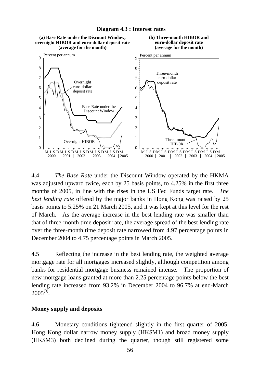

**Diagram 4.3 : Interest rates**

4.4 *The Base Rate* under the Discount Window operated by the HKMA was adjusted upward twice, each by 25 basis points, to 4.25% in the first three months of 2005, in line with the rises in the US Fed Funds target rate. *The best lending rate* offered by the major banks in Hong Kong was raised by 25 basis points to 5.25% on 21 March 2005, and it was kept at this level for the rest of March. As the average increase in the best lending rate was smaller than that of three-month time deposit rate, the average spread of the best lending rate over the three-month time deposit rate narrowed from 4.97 percentage points in December 2004 to 4.75 percentage points in March 2005.

4.5 Reflecting the increase in the best lending rate, the weighted average mortgage rate for all mortgages increased slightly, although competition among banks for residential mortgage business remained intense. The proportion of new mortgage loans granted at more than 2.25 percentage points below the best lending rate increased from 93.2% in December 2004 to 96.7% at end-March  $2005^{(3)}$ .

## **Money supply and deposits**

4.6 Monetary conditions tightened slightly in the first quarter of 2005. Hong Kong dollar narrow money supply (HK\$M1) and broad money supply (HK\$M3) both declined during the quarter, though still registered some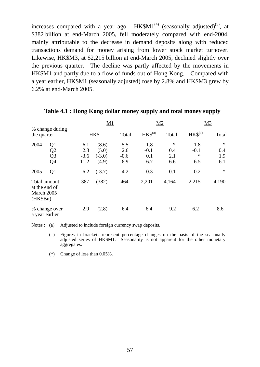increases compared with a year ago.  $HK$M1<sup>(4)</sup>$  (seasonally adjusted)<sup>(5)</sup>, at \$382 billion at end-March 2005, fell moderately compared with end-2004, mainly attributable to the decrease in demand deposits along with reduced transactions demand for money arising from lower stock market turnover. Likewise, HK\$M3, at \$2,215 billion at end-March 2005, declined slightly over the previous quarter. The decline was partly affected by the movements in HK\$M1 and partly due to a flow of funds out of Hong Kong. Compared with a year earlier, HK\$M1 (seasonally adjusted) rose by 2.8% and HK\$M3 grew by 6.2% at end-March 2005.

|                                                                              |                              | M1                                  |                             |                                | M2                     | M <sub>3</sub>                    |                             |
|------------------------------------------------------------------------------|------------------------------|-------------------------------------|-----------------------------|--------------------------------|------------------------|-----------------------------------|-----------------------------|
| % change during<br>the quarter                                               |                              | HK\$                                |                             | $HKS^{(a)}$                    | Total                  | $HK$^{(a)}$                       | Total                       |
| 2004<br>Q <sub>1</sub><br>Q <sub>2</sub><br>Q <sub>3</sub><br>Q <sub>4</sub> | 6.1<br>2.3<br>$-3.6$<br>11.2 | (8.6)<br>(5.0)<br>$(-3.0)$<br>(4.9) | 5.5<br>2.6<br>$-0.6$<br>8.9 | $-1.8$<br>$-0.1$<br>0.1<br>6.7 | ∗<br>0.4<br>2.1<br>6.6 | $-1.8$<br>$-0.1$<br>$\ast$<br>6.5 | $\ast$<br>0.4<br>1.9<br>6.1 |
| 2005<br>Q1                                                                   | $-6.2$                       | $(-3.7)$                            | $-4.2$                      | $-0.3$                         | $-0.1$                 | $-0.2$                            | $\ast$                      |
| Total amount<br>at the end of<br>March 2005<br>(HK\$Bn)                      | 387                          | (382)                               | 464                         | 2,201                          | 4,164                  | 2,215                             | 4,190                       |
| % change over<br>a year earlier                                              | 2.9                          | (2.8)                               | 6.4                         | 6.4                            | 9.2                    | 6.2                               | 8.6                         |

#### **Table 4.1 : Hong Kong dollar money supply and total money supply**

Notes : (a) Adjusted to include foreign currency swap deposits.

- ( ) Figures in brackets represent percentage changes on the basis of the seasonally adjusted series of HK\$M1. Seasonality is not apparent for the other monetary aggregates.
- (\*) Change of less than 0.05%.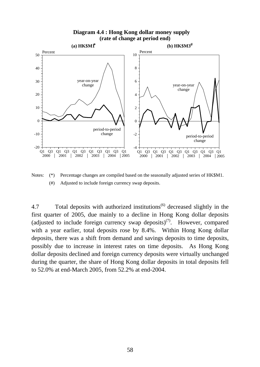#### **Diagram 4.4 : Hong Kong dollar money supply (rate of change at period end)**



Notes: (\*) Percentage changes are compiled based on the seasonally adjusted series of HK\$M1. (#) Adjusted to include foreign currency swap deposits.

4.7 Total deposits with authorized institutions<sup>(6)</sup> decreased slightly in the first quarter of 2005, due mainly to a decline in Hong Kong dollar deposits (adjusted to include foreign currency swap deposits)<sup>(7)</sup>. However, compared with a year earlier, total deposits rose by 8.4%. Within Hong Kong dollar deposits, there was a shift from demand and savings deposits to time deposits, possibly due to increase in interest rates on time deposits. As Hong Kong dollar deposits declined and foreign currency deposits were virtually unchanged during the quarter, the share of Hong Kong dollar deposits in total deposits fell to 52.0% at end-March 2005, from 52.2% at end-2004.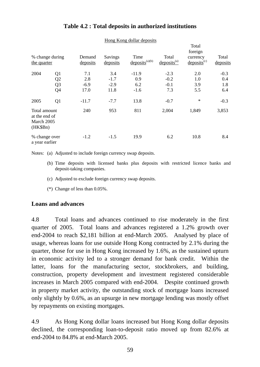| % change during<br>the quarter                          |                                                                | Demand<br>deposits                      | Savings<br>deposits                       | Time<br>$\text{deposits}^{(a)(b)}$      | Total<br>$deposits^{(a)}$                   | Total<br>foreign<br>currency<br>$\text{deposits}^{\text{(c)}}$ | Total<br>deposits                     |
|---------------------------------------------------------|----------------------------------------------------------------|-----------------------------------------|-------------------------------------------|-----------------------------------------|---------------------------------------------|----------------------------------------------------------------|---------------------------------------|
| 2004<br>2005                                            | Q <sub>1</sub><br>Q2<br>Q <sub>3</sub><br>Q4<br>Q <sub>1</sub> | 7.1<br>2.8<br>$-6.9$<br>17.0<br>$-11.7$ | 3.4<br>$-1.7$<br>$-2.9$<br>11.8<br>$-7.7$ | $-11.9$<br>0.9<br>6.2<br>$-1.6$<br>13.8 | $-2.3$<br>$-0.2$<br>$-0.1$<br>7.3<br>$-0.7$ | 2.0<br>1.0<br>3.9<br>5.5<br>$\ast$                             | $-0.3$<br>0.4<br>1.8<br>6.4<br>$-0.3$ |
| Total amount<br>at the end of<br>March 2005<br>(HK\$Bn) |                                                                | 240                                     | 953                                       | 811                                     | 2,004                                       | 1,849                                                          | 3,853                                 |
| % change over<br>a year earlier                         |                                                                | $-1.2$                                  | $-1.5$                                    | 19.9                                    | 6.2                                         | 10.8                                                           | 8.4                                   |

# **Table 4.2 : Total deposits in authorized institutions**

Hong Kong dollar deposits

Notes: (a) Adjusted to include foreign currency swap deposits.

- (b) Time deposits with licensed banks plus deposits with restricted licence banks and deposit-taking companies.
- (c) Adjusted to exclude foreign currency swap deposits.
- (\*) Change of less than 0.05%.

## **Loans and advances**

4.8 Total loans and advances continued to rise moderately in the first quarter of 2005. Total loans and advances registered a 1.2% growth over end-2004 to reach \$2,181 billion at end-March 2005. Analysed by place of usage, whereas loans for use outside Hong Kong contracted by 2.1% during the quarter, those for use in Hong Kong increased by 1.6%, as the sustained upturn in economic activity led to a stronger demand for bank credit. Within the latter, loans for the manufacturing sector, stockbrokers, and building, construction, property development and investment registered considerable increases in March 2005 compared with end-2004. Despite continued growth in property market activity, the outstanding stock of mortgage loans increased only slightly by 0.6%, as an upsurge in new mortgage lending was mostly offset by repayments on existing mortgages.

4.9 As Hong Kong dollar loans increased but Hong Kong dollar deposits declined, the corresponding loan-to-deposit ratio moved up from 82.6% at end-2004 to 84.8% at end-March 2005.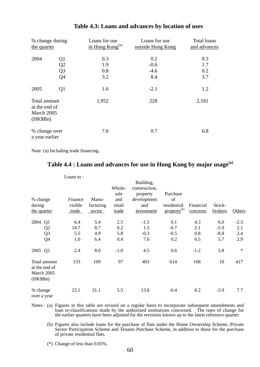| % change during<br>the quarter                          |                                              | Loans for use<br>in Hong $Kong(a)$ | Loans for use<br>outside Hong Kong | Total loans<br>and advances |
|---------------------------------------------------------|----------------------------------------------|------------------------------------|------------------------------------|-----------------------------|
| 2004                                                    | Q <sub>1</sub><br>Q2<br>Q <sub>3</sub><br>Q4 | 0.3<br>1.9<br>0.8<br>3.2           | 0.2<br>$-0.6$<br>$-4.6$<br>8.4     | 0.3<br>1.7<br>0.2<br>3.7    |
| 2005                                                    | Q <sub>1</sub>                               | 1.6                                | $-2.1$                             | 1.2                         |
| Total amount<br>at the end of<br>March 2005<br>(HK\$Bn) |                                              | 1,952                              | 228                                | 2,181                       |
| % change over<br>a year earlier                         |                                              | 7.6                                | 0.7                                | 6.8                         |

#### **Table 4.3: Loans and advances by location of uses**

Note: (a) Including trade financing.

# **Table 4.4 : Loans and advances for use in Hong Kong by major usage(a)**

|                                                                    | Loans to:                   |                              |                                          | Building,                                                     |                                                          |                          |                                |                             |
|--------------------------------------------------------------------|-----------------------------|------------------------------|------------------------------------------|---------------------------------------------------------------|----------------------------------------------------------|--------------------------|--------------------------------|-----------------------------|
| % change<br>during<br>the quarter                                  | Finance<br>visible<br>trade | Manu-<br>facturing<br>sector | Whole-<br>sale<br>and<br>retail<br>trade | construction,<br>property<br>development<br>and<br>investment | Purchase<br>of<br>residential<br>property <sup>(b)</sup> | Financial<br>concerns    | Stock-<br>brokers              | Others                      |
| 2004<br>Q1<br>Q2<br>Q <sub>3</sub><br>Q4                           | 6.4<br>14.7<br>5.5<br>1.0   | 5.4<br>8.7<br>4.9<br>6.4     | 2.5<br>0.2<br>5.8<br>0.4                 | $-1.5$<br>1.5<br>$-0.3$<br>7.6                                | 0.1<br>$-0.7$<br>$-0.5$<br>0.2                           | 4.3<br>2.1<br>0.8<br>6.5 | 6.0<br>$-5.9$<br>$-8.8$<br>5.7 | $-2.3$<br>2.1<br>2.4<br>2.9 |
| 2005 Q1<br>Total amount<br>at the end of<br>March 2005<br>(HK\$Bn) | 2.4<br>133                  | 8.0<br>109                   | $-1.0$<br>97                             | 4.5<br>403                                                    | 0.6<br>614                                               | $-1.2$<br>168            | 5.8<br>10                      | $\ast$<br>417               |
| % change<br>over a year                                            | 25.1                        | 31.1                         | 5.5                                      | 13.8                                                          | $-0.4$                                                   | 8.2                      | $-3.9$                         | 7.7                         |

Notes : (a) Figures in this table are revised on a regular basis to incorporate subsequent amendments and loan re-classifications made by the authorized institutions concerned. The rates of change for the earlier quarters have been adjusted for the revisions known up to the latest reference quarter.

 (b) Figures also include loans for the purchase of flats under the Home Ownership Scheme, Private Sector Participation Scheme and Tenants Purchase Scheme, in addition to those for the purchase of private residential flats.

(\*) Change of less than 0.05%.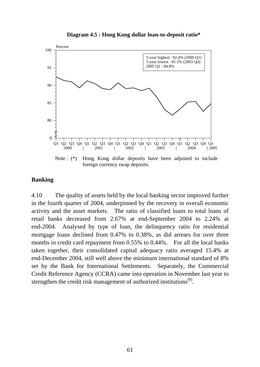

## **Banking**

4.10 The quality of assets held by the local banking sector improved further in the fourth quarter of 2004, underpinned by the recovery in overall economic activity and the asset markets. The ratio of classified loans to total loans of retail banks decreased from 2.67% at end-September 2004 to 2.24% at end-2004. Analysed by type of loan, the delinquency ratio for residential mortgage loans declined from 0.47% to 0.38%, as did arrears for over three months in credit card repayment from 0.55% to 0.44%. For all the local banks taken together, their consolidated capital adequacy ratio averaged 15.4% at end-December 2004, still well above the minimum international standard of 8% set by the Bank for International Settlements. Separately, the Commercial Credit Reference Agency (CCRA) came into operation in November last year to strengthen the credit risk management of authorized institutions<sup>(8)</sup>.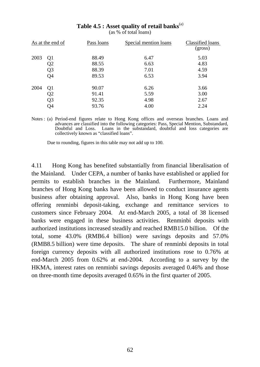|      | As at the end of | Pass loans | Special mention loans | Classified loans<br>(gross) |
|------|------------------|------------|-----------------------|-----------------------------|
| 2003 | Q <sub>1</sub>   | 88.49      | 6.47                  | 5.03                        |
|      | Q2               | 88.55      | 6.63                  | 4.83                        |
|      | Q <sub>3</sub>   | 88.39      | 7.01                  | 4.59                        |
|      | Q <sub>4</sub>   | 89.53      | 6.53                  | 3.94                        |
| 2004 | Q <sub>1</sub>   | 90.07      | 6.26                  | 3.66                        |
|      | Q <sub>2</sub>   | 91.41      | 5.59                  | 3.00                        |
|      | Q <sub>3</sub>   | 92.35      | 4.98                  | 2.67                        |
|      | Q4               | 93.76      | 4.00                  | 2.24                        |

**Table 4.5 : Asset quality of retail banks**(a)

(as % of total loans)

Notes : (a) Period-end figures relate to Hong Kong offices and overseas branches. Loans and advances are classified into the following categories: Pass, Special Mention, Substandard, Doubtful and Loss. Loans in the substandard, doubtful and loss categories are collectively known as "classified loans".

Due to rounding, figures in this table may not add up to 100.

4.11 Hong Kong has benefited substantially from financial liberalisation of the Mainland. Under CEPA, a number of banks have established or applied for permits to establish branches in the Mainland. Furthermore, Mainland branches of Hong Kong banks have been allowed to conduct insurance agents business after obtaining approval. Also, banks in Hong Kong have been offering renminbi deposit-taking, exchange and remittance services to customers since February 2004. At end-March 2005, a total of 38 licensed banks were engaged in these business activities. Renminbi deposits with authorized institutions increased steadily and reached RMB15.0 billion. Of the total, some 43.0% (RMB6.4 billion) were savings deposits and 57.0% (RMB8.5 billion) were time deposits. The share of renminbi deposits in total foreign currency deposits with all authorized institutions rose to 0.76% at end-March 2005 from 0.62% at end-2004. According to a survey by the HKMA, interest rates on renminbi savings deposits averaged 0.46% and those on three-month time deposits averaged 0.65% in the first quarter of 2005.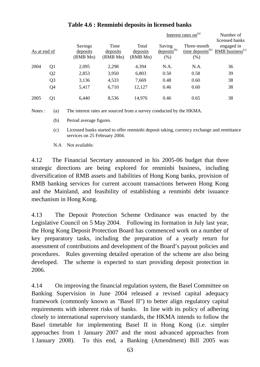|              |                |                                 | Interest rates on $(a)$      |                               | Number of<br>licensed banks        |                     |                                                                        |
|--------------|----------------|---------------------------------|------------------------------|-------------------------------|------------------------------------|---------------------|------------------------------------------------------------------------|
| As at end of |                | Savings<br>deposits<br>(RMB Mn) | Time<br>deposits<br>(RMB Mn) | Total<br>deposits<br>(RMB Mn) | Saving<br>$deposits^{(b)}$<br>(% ) | Three-month<br>(% ) | engaged in<br>time deposits <sup>(b)</sup> RMB business <sup>(c)</sup> |
| 2004         | Q1             | 2,095                           | 2,298                        | 4,394                         | N.A.                               | N.A.                | 36                                                                     |
|              | Q <sub>2</sub> | 2,853                           | 3,950                        | 6,803                         | 0.50                               | 0.58                | 39                                                                     |
|              | Q <sub>3</sub> | 3,136                           | 4,533                        | 7,669                         | 0.48                               | 0.60                | 38                                                                     |
|              | Q <sub>4</sub> | 5,417                           | 6,710                        | 12,127                        | 0.46                               | 0.60                | 38                                                                     |
| 2005         | Q <sub>1</sub> | 6,440                           | 8,536                        | 14,976                        | 0.46                               | 0.65                | 38                                                                     |

# **Table 4.6 : Renminbi deposits in licensed banks**

Notes : (a) The interest rates are sourced from a survey conducted by the HKMA.

(b) Period average figures.

 (c) Licensed banks started to offer renminbi deposit taking, currency exchange and remittance services on 25 February 2004.

N.A Not available.

4.12 The Financial Secretary announced in his 2005-06 budget that three strategic directions are being explored for renminbi business, including diversification of RMB assets and liabilities of Hong Kong banks, provision of RMB banking services for current account transactions between Hong Kong and the Mainland, and feasibility of establishing a renminbi debt issuance mechanism in Hong Kong.

4.13 The Deposit Protection Scheme Ordinance was enacted by the Legislative Council on 5 May 2004. Following its formation in July last year, the Hong Kong Deposit Protection Board has commenced work on a number of key preparatory tasks, including the preparation of a yearly return for assessment of contributions and development of the Board's payout policies and procedures. Rules governing detailed operation of the scheme are also being developed. The scheme is expected to start providing deposit protection in 2006.

4.14 On improving the financial regulation system, the Basel Committee on Banking Supervision in June 2004 released a revised capital adequacy framework (commonly known as "Basel II") to better align regulatory capital requirements with inherent risks of banks. In line with its policy of adhering closely to international supervisory standards, the HKMA intends to follow the Basel timetable for implementing Basel II in Hong Kong (i.e. simpler approaches from 1 January 2007 and the most advanced approaches from 1 January 2008). To this end, a Banking (Amendment) Bill 2005 was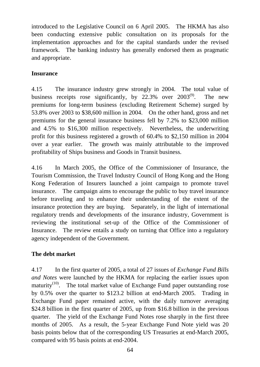introduced to the Legislative Council on 6 April 2005. The HKMA has also been conducting extensive public consultation on its proposals for the implementation approaches and for the capital standards under the revised framework. The banking industry has generally endorsed them as pragmatic and appropriate.

# **Insurance**

4.15 The insurance industry grew strongly in 2004. The total value of business receipts rose significantly, by 22.3% over 2003<sup>(9)</sup>. The new premiums for long-term business (excluding Retirement Scheme) surged by 53.8% over 2003 to \$38,600 million in 2004. On the other hand, gross and net premiums for the general insurance business fell by 7.2% to \$23,000 million and 4.5% to \$16,300 million respectively. Nevertheless, the underwriting profit for this business registered a growth of 60.4% to \$2,150 million in 2004 over a year earlier. The growth was mainly attributable to the improved profitability of Ships business and Goods in Transit business.

4.16 In March 2005, the Office of the Commissioner of Insurance, the Tourism Commission, the Travel Industry Council of Hong Kong and the Hong Kong Federation of Insurers launched a joint campaign to promote travel insurance. The campaign aims to encourage the public to buy travel insurance before traveling and to enhance their understanding of the extent of the insurance protection they are buying. Separately, in the light of international regulatory trends and developments of the insurance industry, Government is reviewing the institutional set-up of the Office of the Commissioner of Insurance. The review entails a study on turning that Office into a regulatory agency independent of the Government.

# **The debt market**

4.17 In the first quarter of 2005, a total of 27 issues of *Exchange Fund Bills and Notes* were launched by the HKMA for replacing the earlier issues upon maturity<sup>(10)</sup>. The total market value of Exchange Fund paper outstanding rose by 0.5% over the quarter to \$123.2 billion at end-March 2005. Trading in Exchange Fund paper remained active, with the daily turnover averaging \$24.8 billion in the first quarter of 2005, up from \$16.8 billion in the previous quarter. The yield of the Exchange Fund Notes rose sharply in the first three months of 2005. As a result, the 5-year Exchange Fund Note yield was 20 basis points below that of the corresponding US Treasuries at end-March 2005, compared with 95 basis points at end-2004.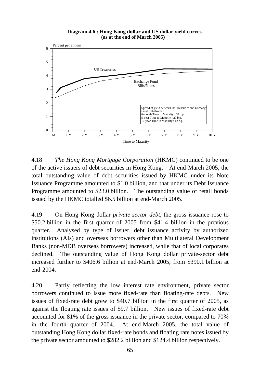**Diagram 4.6 : Hong Kong dollar and US dollar yield curves (as at the end of March 2005)**



4.18 *The Hong Kong Mortgage Corporation* (HKMC) continued to be one of the active issuers of debt securities in Hong Kong. At end-March 2005, the total outstanding value of debt securities issued by HKMC under its Note Issuance Programme amounted to \$1.0 billion, and that under its Debt Issuance Programme amounted to \$23.0 billion. The outstanding value of retail bonds issued by the HKMC totalled \$6.5 billion at end-March 2005.

4.19 On Hong Kong dollar *private-sector debt*, the gross issuance rose to \$50.2 billion in the first quarter of 2005 from \$41.4 billion in the previous quarter. Analysed by type of issuer, debt issuance activity by authorized institutions (AIs) and overseas borrowers other than Multilateral Development Banks (non-MDB overseas borrowers) increased, while that of local corporates declined. The outstanding value of Hong Kong dollar private-sector debt increased further to \$406.6 billion at end-March 2005, from \$390.1 billion at end-2004.

4.20 Partly reflecting the low interest rate environment, private sector borrowers continued to issue more fixed-rate than floating-rate debts. New issues of fixed-rate debt grew to \$40.7 billion in the first quarter of 2005, as against the floating rate issues of \$9.7 billion. New issues of fixed-rate debt accounted for 81% of the gross issuance in the private sector, compared to 70% in the fourth quarter of 2004. At end-March 2005, the total value of outstanding Hong Kong dollar fixed-rate bonds and floating rate notes issued by the private sector amounted to \$282.2 billion and \$124.4 billion respectively.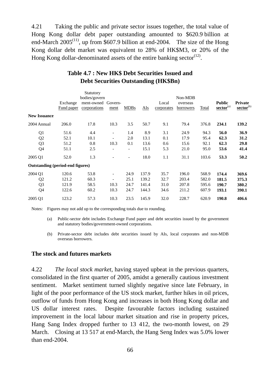4.21 Taking the public and private sector issues together, the total value of Hong Kong dollar debt paper outstanding amounted to \$620.9 billion at end-March  $2005^{(11)}$ , up from \$607.9 billion at end-2004. The size of the Hong Kong dollar debt market was equivalent to 28% of HK\$M3, or 20% of the Hong Kong dollar-denominated assets of the entire banking sector<sup> $(12)$ </sup>.

|                                         | Exchange<br>Fund paper | Statutory<br>bodies/govern<br>ment-owned Govern-<br>corporations | ment                     | <b>MDBs</b> | AIs   | Local<br>corporates | Non-MDB<br>overseas<br>borrowers | <b>Total</b> | <b>Public</b><br>$\mathbf{sector}^{\text{(a)}}$ | <b>Private</b><br>sector <sup>(b)</sup> |
|-----------------------------------------|------------------------|------------------------------------------------------------------|--------------------------|-------------|-------|---------------------|----------------------------------|--------------|-------------------------------------------------|-----------------------------------------|
| <b>New Issuance</b>                     |                        |                                                                  |                          |             |       |                     |                                  |              |                                                 |                                         |
| 2004 Annual                             | 206.0                  | 17.8                                                             | 10.3                     | 3.5         | 50.7  | 9.1                 | 79.4                             | 376.8        | 234.1                                           | 139.2                                   |
| Q1                                      | 51.6                   | 4.4                                                              | $\overline{\phantom{a}}$ | 1.4         | 8.9   | 3.1                 | 24.9                             | 94.3         | 56.0                                            | 36.9                                    |
| Q <sub>2</sub>                          | 52.1                   | 10.1                                                             | $\overline{\phantom{a}}$ | 2.0         | 13.1  | 0.1                 | 17.9                             | 95.4         | 62.3                                            | 31.2                                    |
| Q <sub>3</sub>                          | 51.2                   | 0.8                                                              | 10.3                     | 0.1         | 13.6  | 0.6                 | 15.6                             | 92.1         | 62.3                                            | 29.8                                    |
| Q4                                      | 51.1                   | 2.5                                                              |                          | Ξ.          | 15.1  | 5.3                 | 21.0                             | 95.0         | 53.6                                            | 41.4                                    |
| 2005 Q1                                 | 52.0                   | 1.3                                                              |                          | ٠           | 18.0  | 1.1                 | 31.1                             | 103.6        | 53.3                                            | 50.2                                    |
| <b>Outstanding (period-end figures)</b> |                        |                                                                  |                          |             |       |                     |                                  |              |                                                 |                                         |
| 2004 Q1                                 | 120.6                  | 53.8                                                             | $\overline{\phantom{a}}$ | 24.9        | 137.9 | 35.7                | 196.0                            | 568.9        | 174.4                                           | 369.6                                   |
| Q <sub>2</sub>                          | 121.2                  | 60.3                                                             | $\overline{\phantom{a}}$ | 25.1        | 139.2 | 32.7                | 203.4                            | 582.0        | 181.5                                           | 375.3                                   |
| Q <sub>3</sub>                          | 121.9                  | 58.5                                                             | 10.3                     | 24.7        | 141.4 | 31.0                | 207.8                            | 595.6        | 190.7                                           | 380.2                                   |
| Q <sub>4</sub>                          | 122.6                  | 60.2                                                             | 10.3                     | 24.7        | 144.3 | 34.6                | 211.2                            | 607.9        | 193.1                                           | 390.1                                   |
| 2005 Q1                                 | 123.2                  | 57.3                                                             | 10.3                     | 23.5        | 145.9 | 32.0                | 228.7                            | 620.9        | 190.8                                           | 406.6                                   |

# **Table 4.7 : New HK\$ Debt Securities Issued and Debt Securities Outstanding (HK\$Bn)**

Notes: Figures may not add up to the corresponding totals due to rounding.

 (a) Public-sector debt includes Exchange Fund paper and debt securities issued by the government and statutory bodies/government-owned corporations.

 (b) Private-sector debt includes debt securities issued by AIs, local corporates and non-MDB overseas borrowers.

#### **The stock and futures markets**

4.22 *The local stock market*, having stayed upbeat in the previous quarters, consolidated in the first quarter of 2005, amidst a generally cautious investment sentiment. Market sentiment turned slightly negative since late February, in light of the poor performance of the US stock market, further hikes in oil prices, outflow of funds from Hong Kong and increases in both Hong Kong dollar and US dollar interest rates. Despite favourable factors including sustained improvement in the local labour market situation and rise in property prices, Hang Sang Index dropped further to 13 412, the two-month lowest, on 29 March. Closing at 13 517 at end-March, the Hang Seng Index was 5.0% lower than end-2004.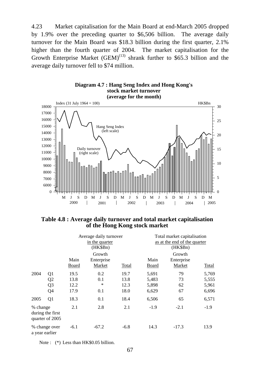4.23 Market capitalisation for the Main Board at end-March 2005 dropped by 1.9% over the preceding quarter to \$6,506 billion. The average daily turnover for the Main Board was \$18.3 billion during the first quarter, 2.1% higher than the fourth quarter of 2004. The market capitalisation for the Growth Enterprise Market  $(GEM)^{(13)}$  shrank further to \$65.3 billion and the average daily turnover fell to \$74 million.



# **Diagram 4.7 : Hang Seng Index and Hong Kong's**

## **Table 4.8 : Average daily turnover and total market capitalisation of the Hong Kong stock market**

|                                                 |                                                          | Average daily turnover<br>in the quarter<br>(HK\$Bn) |                                |                              | Total market capitalisation<br>as at the end of the quarter<br>(HK\$Bn) |                                |                                  |
|-------------------------------------------------|----------------------------------------------------------|------------------------------------------------------|--------------------------------|------------------------------|-------------------------------------------------------------------------|--------------------------------|----------------------------------|
|                                                 |                                                          | Main<br><b>Board</b>                                 | Growth<br>Enterprise<br>Market | <b>Total</b>                 | Main<br><b>Board</b>                                                    | Growth<br>Enterprise<br>Market | <b>Total</b>                     |
| 2004                                            | Q <sub>1</sub><br>Q2<br>Q <sub>3</sub><br>Q <sub>4</sub> | 19.5<br>13.8<br>12.2<br>17.9                         | 0.2<br>0.1<br>$\ast$<br>0.1    | 19.7<br>13.8<br>12.3<br>18.0 | 5,691<br>5,483<br>5,898<br>6,629                                        | 79<br>73<br>62<br>67           | 5,769<br>5,555<br>5,961<br>6,696 |
| 2005                                            | Q <sub>1</sub>                                           | 18.3                                                 | 0.1                            | 18.4                         | 6,506                                                                   | 65                             | 6,571                            |
| % change<br>during the first<br>quarter of 2005 |                                                          | 2.1                                                  | 2.8                            | 2.1                          | $-1.9$                                                                  | $-2.1$                         | $-1.9$                           |
| % change over<br>a year earlier                 |                                                          | $-6.1$                                               | $-67.2$                        | $-6.8$                       | 14.3                                                                    | $-17.3$                        | 13.9                             |

Note : (\*) Less than HK\$0.05 billion.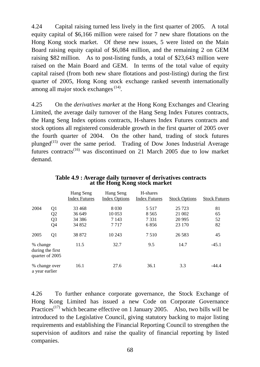4.24 Capital raising turned less lively in the first quarter of 2005. A total equity capital of \$6,166 million were raised for 7 new share flotations on the Hong Kong stock market. Of these new issues, 5 were listed on the Main Board raising equity capital of \$6,084 million, and the remaining 2 on GEM raising \$82 million. As to post-listing funds, a total of \$23,643 million were raised on the Main Board and GEM. In terms of the total value of equity capital raised (from both new share flotations and post-listing) during the first quarter of 2005, Hong Kong stock exchange ranked seventh internationally among all major stock exchanges (14).

4.25 On the *derivatives market* at the Hong Kong Exchanges and Clearing Limited, the average daily turnover of the Hang Seng Index Futures contracts, the Hang Seng Index options contracts, H-shares Index Futures contracts and stock options all registered considerable growth in the first quarter of 2005 over the fourth quarter of 2004. On the other hand, trading of stock futures plunged<sup> $(15)$ </sup> over the same period. Trading of Dow Jones Industrial Average futures contracts<sup> $(16)$ </sup> was discontinued on 21 March 2005 due to low market demand.

|                                                 |                | Hang Seng<br><b>Index Futures</b> | Hang Seng<br><b>Index Options</b> | H-shares<br><b>Index Futures</b> | <b>Stock Options</b> | <b>Stock Futures</b> |
|-------------------------------------------------|----------------|-----------------------------------|-----------------------------------|----------------------------------|----------------------|----------------------|
| 2004                                            | Q1             | 33 4 68                           | 8 0 3 0                           | 5 5 1 7                          | 25 7 23              | 81                   |
|                                                 | Q2             | 36 649                            | 10 0 53                           | 8 5 6 5                          | 21 002               | 65                   |
|                                                 | Q <sub>3</sub> | 34 38 6                           | 7 1 4 3                           | 7 3 3 1                          | 20 9 95              | 52                   |
|                                                 | Q4             | 34 852                            | 7 7 1 7                           | 6856                             | 23 170               | 82                   |
| 2005                                            | Q <sub>1</sub> | 38 872                            | 10 243                            | 7510                             | 26 5 8 3             | 45                   |
| % change<br>during the first<br>quarter of 2005 |                | 11.5                              | 32.7                              | 9.5                              | 14.7                 | $-45.1$              |
| % change over<br>a year earlier                 |                | 16.1                              | 27.6                              | 36.1                             | 3.3                  | $-44.4$              |

**Table 4.9 : Average daily turnover of derivatives contracts at the Hong Kong stock market**

4.26 To further enhance corporate governance, the Stock Exchange of Hong Kong Limited has issued a new Code on Corporate Governance Practices<sup> $(17)$ </sup> which became effective on 1 January 2005. Also, two bills will be introduced to the Legislative Council, giving statutory backing to major listing requirements and establishing the Financial Reporting Council to strengthen the supervision of auditors and raise the quality of financial reporting by listed companies.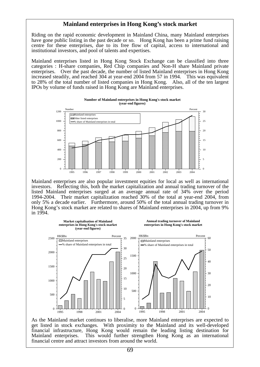#### **Mainland enterprises in Hong Kong's stock market**

Riding on the rapid economic development in Mainland China, many Mainland enterprises have gone public listing in the past decade or so. Hong Kong has been a prime fund raising centre for these enterprises, due to its free flow of capital, access to international and institutional investors, and pool of talents and expertises.

Mainland enterprises listed in Hong Kong Stock Exchange can be classified into three categories : H-share companies, Red Chip companies and Non-H share Mainland private enterprises. Over the past decade, the number of listed Mainland enterprises in Hong Kong increased steadily, and reached 304 at year-end 2004 from 57 in 1994. This was equivalent to 28% of the total number of listed companies in Hong Kong. Also, all of the ten largest IPOs by volume of funds raised in Hong Kong are Mainland enterprises.

**Number of Mainland enterprises in Hong Kong's stock market**



Mainland enterprises are also popular investment equities for local as well as international investors. Reflecting this, both the market capitalization and annual trading turnover of the listed Mainland enterprises surged at an average annual rate of 34% over the period 1994-2004. Their market capitalization reached 30% of the total at year-end 2004, from only 5% a decade earlier. Furthermore, around 50% of the total annual trading turnover in Hong Kong's stock market are related to shares of Mainland enterprises in 2004, up from 9% in 1994.



As the Mainland market continues to liberalise, more Mainland enterprises are expected to get listed in stock exchanges. With proximity to the Mainland and its well-developed financial infrastructure, Hong Kong would remain the leading listing destination for Mainland enterprises. This would further strengthen Hong Kong as an international financial centre and attract investors from around the world.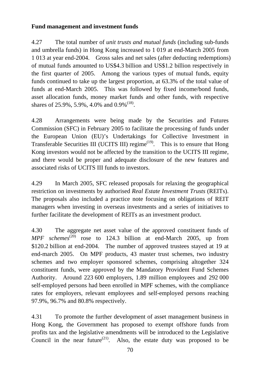### **Fund management and investment funds**

4.27 The total number of *unit trusts and mutual funds* (including sub-funds and umbrella funds) in Hong Kong increased to 1 019 at end-March 2005 from 1 013 at year end-2004. Gross sales and net sales (after deducting redemptions) of mutual funds amounted to US\$4.3 billion and US\$1.2 billion respectively in the first quarter of 2005. Among the various types of mutual funds, equity funds continued to take up the largest proportion, at 63.3% of the total value of funds at end-March 2005. This was followed by fixed income/bond funds, asset allocation funds, money market funds and other funds, with respective shares of 25.9%, 5.9%, 4.0% and  $0.9\%$ <sup>(18)</sup>.

4.28 Arrangements were being made by the Securities and Futures Commission (SFC) in February 2005 to facilitate the processing of funds under the European Union (EU)'s Undertakings for Collective Investment in Transferable Securities III (UCITS III) regime<sup> $(19)$ </sup>. This is to ensure that Hong Kong investors would not be affected by the transition to the UCITS III regime, and there would be proper and adequate disclosure of the new features and associated risks of UCITS III funds to investors.

4.29 In March 2005, SFC released proposals for relaxing the geographical restriction on investments by authorised *Real Estate Investment Trusts* (REITs). The proposals also included a practice note focusing on obligations of REIT managers when investing in overseas investments and a series of initiatives to further facilitate the development of REITs as an investment product.

4.30 The aggregate net asset value of the approved constituent funds of MPF schemes<sup>(20)</sup> rose to 124.3 billion at end-March 2005, up from \$120.2 billion at end-2004. The number of approved trustees stayed at 19 at end-march 2005. On MPF products, 43 master trust schemes, two industry schemes and two employer sponsored schemes, comprising altogether 324 constituent funds, were approved by the Mandatory Provident Fund Schemes Authority. Around 223 600 employers, 1.89 million employees and 292 000 self-employed persons had been enrolled in MPF schemes, with the compliance rates for employers, relevant employees and self-employed persons reaching 97.9%, 96.7% and 80.8% respectively.

4.31 To promote the further development of asset management business in Hong Kong, the Government has proposed to exempt offshore funds from profits tax and the legislative amendments will be introduced to the Legislative Council in the near future<sup>(21)</sup>. Also, the estate duty was proposed to be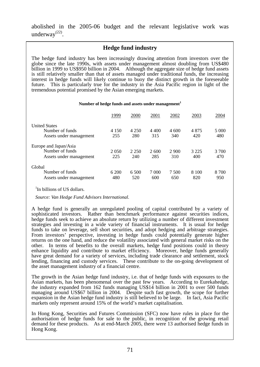abolished in the 2005-06 budget and the relevant legislative work was underway<sup>(22)</sup>.

### **Hedge fund industry**

The hedge fund industry has been increasingly drawing attention from investors over the globe since the late 1990s, with assets under management almost doubling from US\$480 billion in 1999 to US\$950 billion in 2004. Although the aggregate size of hedge fund assets is still relatively smaller than that of assets managed under traditional funds, the increasing interest in hedge funds will likely continue to buoy the distinct growth in the foreseeable future. This is particularly true for the industry in the Asia Pacific region in light of the tremendous potential promised by the Asian emerging markets.

#### **Number of hedge funds and assets under management<sup>1</sup>**

|                                                                     | 1999           | 2000           | 2001         | 2002         | 2003           | 2004         |
|---------------------------------------------------------------------|----------------|----------------|--------------|--------------|----------------|--------------|
| <b>United States</b><br>Number of funds<br>Assets under management  | 4 1 5 0<br>255 | 4 2 5 0<br>280 | 4 400<br>315 | 4 600<br>340 | 4875<br>420    | 5 000<br>480 |
| Europe and Japan/Asia<br>Number of funds<br>Assets under management | 2 0 5 0<br>225 | 2 2 5 0<br>240 | 2600<br>285  | 2 900<br>310 | 3 2 2 5<br>400 | 3 700<br>470 |
| Global<br>Number of funds<br>Assets under management                | 6 200<br>480   | 6.500<br>520   | 7 000<br>600 | 7.500<br>650 | 8 1 0 0<br>820 | 8 700<br>950 |

<sup>1</sup>In billions of US dollars.

 *Source: Van Hedge Fund Advisors International.*

A hedge fund is generally an unregulated pooling of capital contributed by a variety of sophisticated investors. Rather than benchmark performance against securities indices, hedge funds seek to achieve an absolute return by utilizing a number of different investment strategies and investing in a wide variety of financial instruments. It is usual for hedge funds to take on leverage, sell short securities, and adopt hedging and arbitrage strategies. From investors' perspective, investing in hedge funds could potentially generate higher returns on the one hand, and reduce the volatility associated with general market risks on the other. In terms of benefits to the overall markets, hedge fund positions could in theory enhance liquidity and contribute to market efficiency. Moreover, hedge funds generally have great demand for a variety of services, including trade clearance and settlement, stock lending, financing and custody services. These contribute to the on-going development of the asset management industry of a financial centre.

The growth in the Asian hedge fund industry, i.e. that of hedge funds with exposures to the Asian markets, has been phenomenal over the past few years. According to Eurekahedge, the industry expanded from 162 funds managing US\$14 billion in 2001 to over 500 funds managing around US\$67 billion in 2004. Despite such fast growth, the scope for further expansion in the Asian hedge fund industry is still believed to be large. In fact, Asia Pacific markets only represent around 15% of the world's market capitalisation.

In Hong Kong, Securities and Futures Commission (SFC) now have rules in place for the authorisation of hedge funds for sale to the public, in recognition of the growing retail demand for these products. As at end-March 2005, there were 13 authorised hedge funds in Hong Kong.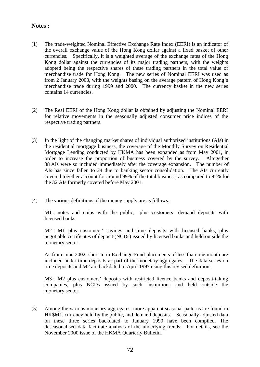#### **Notes :**

- (1) The trade-weighted Nominal Effective Exchange Rate Index (EERI) is an indicator of the overall exchange value of the Hong Kong dollar against a fixed basket of other currencies. Specifically, it is a weighted average of the exchange rates of the Hong Kong dollar against the currencies of its major trading partners, with the weights adopted being the respective shares of these trading partners in the total value of merchandise trade for Hong Kong. The new series of Nominal EERI was used as from 2 January 2003, with the weights basing on the average pattern of Hong Kong's merchandise trade during 1999 and 2000. The currency basket in the new series contains 14 currencies.
- (2) The Real EERI of the Hong Kong dollar is obtained by adjusting the Nominal EERI for relative movements in the seasonally adjusted consumer price indices of the respective trading partners.
- (3) In the light of the changing market shares of individual authorized institutions (AIs) in the residential mortgage business, the coverage of the Monthly Survey on Residential Mortgage Lending conducted by HKMA has been expanded as from May 2001, in order to increase the proportion of business covered by the survey. Altogether 38 AIs were so included immediately after the coverage expansion. The number of AIs has since fallen to 24 due to banking sector consolidation. The AIs currently covered together account for around 99% of the total business, as compared to 92% for the 32 AIs formerly covered before May 2001.
- (4) The various definitions of the money supply are as follows:

 M1 : notes and coins with the public, plus customers' demand deposits with licensed banks.

M2 : M1 plus customers' savings and time deposits with licensed banks, plus negotiable certificates of deposit (NCDs) issued by licensed banks and held outside the monetary sector.

 As from June 2002, short-term Exchange Fund placements of less than one month are included under time deposits as part of the monetary aggregates. The data series on time deposits and M2 are backdated to April 1997 using this revised definition.

M3 : M2 plus customers' deposits with restricted licence banks and deposit-taking companies, plus NCDs issued by such institutions and held outside the monetary sector.

(5) Among the various monetary aggregates, more apparent seasonal patterns are found in HK\$M1, currency held by the public, and demand deposits. Seasonally adjusted data on these three series backdated to January 1990 have been compiled. The deseasonalised data facilitate analysis of the underlying trends. For details, see the November 2000 issue of the HKMA Quarterly Bulletin.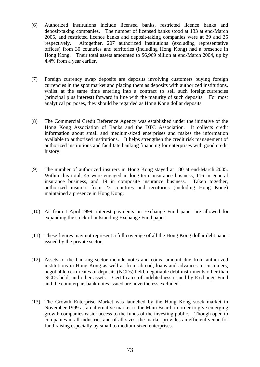- (6) Authorized institutions include licensed banks, restricted licence banks and deposit-taking companies. The number of licensed banks stood at 133 at end-March 2005, and restricted licence banks and deposit-taking companies were at 39 and 35 respectively. Altogether, 207 authorized institutions (excluding representative offices) from 30 countries and territories (including Hong Kong) had a presence in Hong Kong. Their total assets amounted to \$6,969 billion at end-March 2004, up by 4.4% from a year earlier.
- (7) Foreign currency swap deposits are deposits involving customers buying foreign currencies in the spot market and placing them as deposits with authorized institutions, whilst at the same time entering into a contract to sell such foreign currencies (principal plus interest) forward in line with the maturity of such deposits. For most analytical purposes, they should be regarded as Hong Kong dollar deposits.
- (8) The Commercial Credit Reference Agency was established under the initiative of the Hong Kong Association of Banks and the DTC Association. It collects credit information about small and medium-sized enterprises and makes the information available to authorized institutions. It helps strengthen the credit risk management of authorized institutions and facilitate banking financing for enterprises with good credit history.
- (9) The number of authorized insurers in Hong Kong stayed at 180 at end-March 2005. Within this total, 45 were engaged in long-term insurance business, 116 in general insurance business, and 19 in composite insurance business. Taken together, authorized insurers from 23 countries and territories (including Hong Kong) maintained a presence in Hong Kong.
- (10) As from 1 April 1999, interest payments on Exchange Fund paper are allowed for expanding the stock of outstanding Exchange Fund paper.
- (11) These figures may not represent a full coverage of all the Hong Kong dollar debt paper issued by the private sector.
- (12) Assets of the banking sector include notes and coins, amount due from authorized institutions in Hong Kong as well as from abroad, loans and advances to customers, negotiable certificates of deposits (NCDs) held, negotiable debt instruments other than NCDs held, and other assets. Certificates of indebtedness issued by Exchange Fund and the counterpart bank notes issued are nevertheless excluded.
- (13) The Growth Enterprise Market was launched by the Hong Kong stock market in November 1999 as an alternative market to the Main Board, in order to give emerging growth companies easier access to the funds of the investing public. Though open to companies in all industries and of all sizes, the market provides an efficient venue for fund raising especially by small to medium-sized enterprises.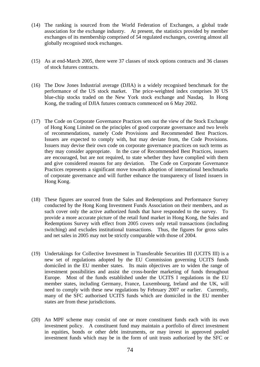- (14) The ranking is sourced from the World Federation of Exchanges, a global trade association for the exchange industry. At present, the statistics provided by member exchanges of its membership comprised of 54 regulated exchanges, covering almost all globally recognised stock exchanges.
- (15) As at end-March 2005, there were 37 classes of stock options contracts and 36 classes of stock futures contracts.
- (16) The Dow Jones Industrial average (DJIA) is a widely recognised benchmark for the performance of the US stock market. The price-weighted index comprises 30 US blue-chip stocks traded on the New York stock exchange and Nasdaq. In Hong Kong, the trading of DJIA futures contracts commenced on 6 May 2002.
- (17) The Code on Corporate Governance Practices sets out the view of the Stock Exchange of Hong Kong Limited on the principles of good corporate governance and two levels of recommendations, namely Code Provisions and Recommended Best Practices. Issuers are expected to comply with, but may deviate from, the Code Provisions. Issuers may devise their own code on corporate governance practices on such terms as they may consider appropriate. In the case of Recommended Best Practices, issuers are encouraged, but are not required, to state whether they have complied with them and give considered reasons for any deviation. The Code on Corporate Governance Practices represents a significant move towards adoption of international benchmarks of corporate governance and will further enhance the transparency of listed issuers in Hong Kong.
- (18) These figures are sourced from the Sales and Redemptions and Performance Survey conducted by the Hong Kong Investment Funds Association on their members, and as such cover only the active authorized funds that have responded to the survey. To provide a more accurate picture of the retail fund market in Hong Kong, the Sales and Redemptions Survey with effect from 2005 covers only retail transactions (including switching) and excludes institutional transactions. Thus, the figures for gross sales and net sales in 2005 may not be strictly comparable with those of 2004.
- (19) Undertakings for Collective Investment in Transferable Securities III (UCITS III) is a new set of regulations adopted by the EU Commission governing UCITS funds domiciled in the EU member states. Its main objectives are to widen the range of investment possibilities and assist the cross-border marketing of funds throughout Europe. Most of the funds established under the UCITS I regulations in the EU member states, including Germany, France, Luxembourg, Ireland and the UK, will need to comply with these new regulations by February 2007 or earlier. Currently, many of the SFC authorised UCITS funds which are domiciled in the EU member states are from these jurisdictions.
- (20) An MPF scheme may consist of one or more constituent funds each with its own investment policy. A constituent fund may maintain a portfolio of direct investment in equities, bonds or other debt instruments, or may invest in approved pooled investment funds which may be in the form of unit trusts authorized by the SFC or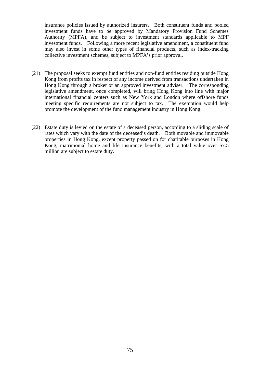insurance policies issued by authorized insurers. Both constituent funds and pooled investment funds have to be approved by Mandatory Provision Fund Schemes Authority (MPFA), and be subject to investment standards applicable to MPF investment funds. Following a more recent legislative amendment, a constituent fund may also invest in some other types of financial products, such as index-tracking collective investment schemes, subject to MPFA's prior approval.

- (21) The proposal seeks to exempt fund entities and non-fund entities residing outside Hong Kong from profits tax in respect of any income derived from transactions undertaken in Hong Kong through a broker or an approved investment adviser. The corresponding legislative amendment, once completed, will bring Hong Kong into line with major international financial centers such as New York and London where offshore funds meeting specific requirements are not subject to tax. The exemption would help promote the development of the fund management industry in Hong Kong.
- (22) Estate duty is levied on the estate of a deceased person, according to a sliding scale of rates which vary with the date of the deceased's death. Both movable and immovable properties in Hong Kong, except property passed on for charitable purposes in Hong Kong, matrimonial home and life insurance benefits, with a total value over \$7.5 million are subject to estate duty.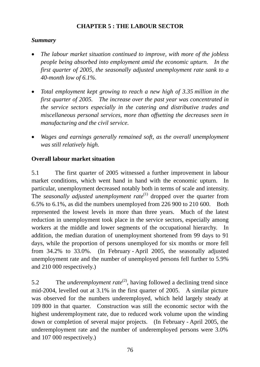## **CHAPTER 5 : THE LABOUR SECTOR**

### *Summary*

- *The labour market situation continued to improve, with more of the jobless people being absorbed into employment amid the economic upturn. In the first quarter of 2005, the seasonally adjusted unemployment rate sank to a 40-month low of 6.1%.*
- *Total employment kept growing to reach a new high of 3.35 million in the first quarter of 2005. The increase over the past year was concentrated in the service sectors especially in the catering and distributive trades and miscellaneous personal services, more than offsetting the decreases seen in manufacturing and the civil service.*
- *Wages and earnings generally remained soft, as the overall unemployment was still relatively high.*

## **Overall labour market situation**

5.1 The first quarter of 2005 witnessed a further improvement in labour market conditions, which went hand in hand with the economic upturn. In particular, unemployment decreased notably both in terms of scale and intensity. The *seasonally adjusted unemployment rate*<sup>(1)</sup> dropped over the quarter from 6.5% to 6.1%, as did the numbers unemployed from 226 900 to 210 600. Both represented the lowest levels in more than three years. Much of the latest reduction in unemployment took place in the service sectors, especially among workers at the middle and lower segments of the occupational hierarchy. In addition, the median duration of unemployment shortened from 99 days to 91 days, while the proportion of persons unemployed for six months or more fell from 34.2% to 33.0%. (In February - April 2005, the seasonally adjusted unemployment rate and the number of unemployed persons fell further to 5.9% and 210 000 respectively.)

5.2 The *underemployment rate*<sup>(2)</sup>, having followed a declining trend since mid-2004, levelled out at 3.1% in the first quarter of 2005. A similar picture was observed for the numbers underemployed, which held largely steady at 109 800 in that quarter. Construction was still the economic sector with the highest underemployment rate, due to reduced work volume upon the winding down or completion of several major projects. (In February - April 2005, the underemployment rate and the number of underemployed persons were 3.0% and 107 000 respectively.)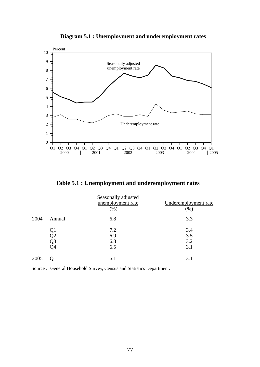

**Diagram 5.1 : Unemployment and underemployment rates**

**Table 5.1 : Unemployment and underemployment rates** 

|      |                                  | Seasonally adjusted<br>unemployment rate<br>(% ) | Underemployment rate<br>(% ) |
|------|----------------------------------|--------------------------------------------------|------------------------------|
| 2004 | Annual                           | 6.8                                              | 3.3                          |
|      | Q1<br>Q2<br>Q <sub>3</sub><br>Q4 | 7.2<br>6.9<br>6.8<br>6.5                         | 3.4<br>3.5<br>3.2<br>3.1     |
| 2005 | Q <sub>1</sub>                   | 6.1                                              | 3.1                          |

Source : General Household Survey, Census and Statistics Department.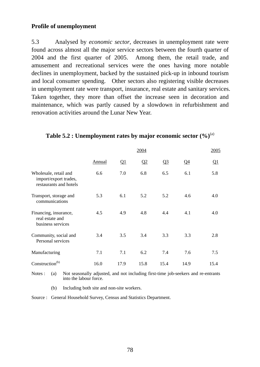### **Profile of unemployment**

5.3 Analysed by *economic sector*, decreases in unemployment rate were found across almost all the major service sectors between the fourth quarter of 2004 and the first quarter of 2005. Among them, the retail trade, and amusement and recreational services were the ones having more notable declines in unemployment, backed by the sustained pick-up in inbound tourism and local consumer spending. Other sectors also registering visible decreases in unemployment rate were transport, insurance, real estate and sanitary services. Taken together, they more than offset the increase seen in decoration and maintenance, which was partly caused by a slowdown in refurbishment and renovation activities around the Lunar New Year.

|                                                                          |        |          | 2004     |       |       | 2005     |
|--------------------------------------------------------------------------|--------|----------|----------|-------|-------|----------|
|                                                                          | Annual | $\Omega$ | $\Omega$ | $Q_3$ | $Q_4$ | $\Omega$ |
| Wholesale, retail and<br>import/export trades,<br>restaurants and hotels | 6.6    | 7.0      | 6.8      | 6.5   | 6.1   | 5.8      |
| Transport, storage and<br>communications                                 | 5.3    | 6.1      | 5.2      | 5.2   | 4.6   | 4.0      |
| Financing, insurance,<br>real estate and<br>business services            | 4.5    | 4.9      | 4.8      | 4.4   | 4.1   | 4.0      |
| Community, social and<br>Personal services                               | 3.4    | 3.5      | 3.4      | 3.3   | 3.3   | 2.8      |
| Manufacturing                                                            | 7.1    | 7.1      | 6.2      | 7.4   | 7.6   | 7.5      |
| Construction <sup>(b)</sup>                                              | 16.0   | 17.9     | 15.8     | 15.4  | 14.9  | 15.4     |

### **Table 5.2 : Unemployment rates by major economic sector (%)**(a)

Notes : (a) Not seasonally adjusted, and not including first-time job-seekers and re-entrants into the labour force.

(b) Including both site and non-site workers.

Source : General Household Survey, Census and Statistics Department.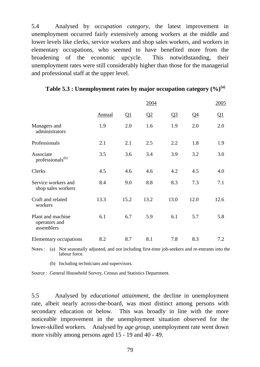5.4 Analysed by *occupation category*, the latest improvement in unemployment occurred fairly extensively among workers at the middle and lower levels like clerks, service workers and shop sales workers, and workers in elementary occupations, who seemed to have benefited more from the broadening of the economic upcycle. This notwithstanding, their unemployment rates were still considerably higher than those for the managerial and professional staff at the upper level.

|                                                  |               |          | 2004     |       |       | 2005     |
|--------------------------------------------------|---------------|----------|----------|-------|-------|----------|
|                                                  | <b>Annual</b> | $\Omega$ | $\Omega$ | $Q_3$ | $Q_4$ | $\Omega$ |
| Managers and<br>administrators                   | 1.9           | 2.0      | 1.6      | 1.9   | 2.0   | 2.0      |
| Professionals                                    | 2.1           | 2.1      | 2.5      | 2.2   | 1.8   | 1.9      |
| Associate<br>professionals <sup>(b)</sup>        | 3.5           | 3.6      | 3.4      | 3.9   | 3.2   | 3.0      |
| Clerks                                           | 4.5           | 4.6      | 4.6      | 4.2   | 4.5   | 4.0      |
| Service workers and<br>shop sales workers        | 8.4           | 9.0      | 8.8      | 8.3   | 7.3   | 7.1      |
| Craft and related<br>workers                     | 13.3          | 15.2     | 13.2     | 13.0  | 12.0  | 12.6     |
| Plant and machine<br>operators and<br>assemblers | 6.1           | 6.7      | 5.9      | 6.1   | 5.7   | 5.8      |
| Elementary occupations                           | 8.2           | 8.7      | 8.1      | 7.8   | 8.3   | 7.2      |

|  | Table 5.3 : Unemployment rates by major occupation category $(\%)^{(a)}$ |  |
|--|--------------------------------------------------------------------------|--|
|  |                                                                          |  |

Notes : (a) Not seasonally adjusted, and not including first-time job-seekers and re-entrants into the labour force.

(b) Including technicians and supervisors.

Source : General Household Survey, Census and Statistics Department.

5.5 Analysed by *educational attainment*, the decline in unemployment rate, albeit nearly across-the-board, was most distinct among persons with secondary education or below. This was broadly in line with the more noticeable improvement in the unemployment situation observed for the lower-skilled workers. Analysed by *age group*, unemployment rate went down more visibly among persons aged 15 - 19 and 40 - 49.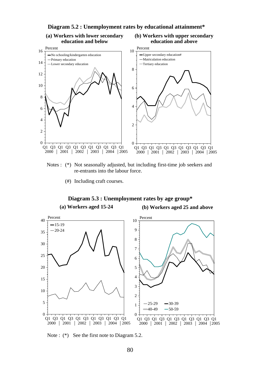

**Diagram 5.2 : Unemployment rates by educational attainment\***

# **(a) Workers with lower secondary**

# **(b) Workers with upper secondary**

 Notes : (\*) Not seasonally adjusted, but including first-time job seekers and re-entrants into the labour force.

(#) Including craft courses.

#### **Diagram 5.3 : Unemployment rates by age group\***

**(a) Workers aged 15-24**

**(b) Workers aged 25 and above**



Note : (\*) See the first note to Diagram 5.2.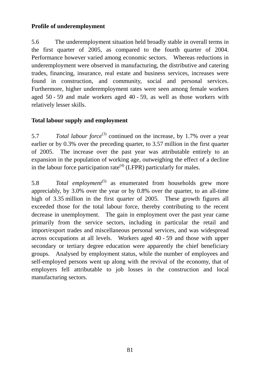### **Profile of underemployment**

5.6 The underemployment situation held broadly stable in overall terms in the first quarter of 2005, as compared to the fourth quarter of 2004. Performance however varied among economic sectors. Whereas reductions in underemployment were observed in manufacturing, the distributive and catering trades, financing, insurance, real estate and business services, increases were found in construction, and community, social and personal services. Furthermore, higher underemployment rates were seen among female workers aged 50 - 59 and male workers aged 40 - 59, as well as those workers with relatively lesser skills.

### **Total labour supply and employment**

5.7 *Total labour force*<sup>(3)</sup> continued on the increase, by 1.7% over a year earlier or by 0.3% over the preceding quarter, to 3.57 million in the first quarter of 2005. The increase over the past year was attributable entirely to an expansion in the population of working age, outweighing the effect of a decline in the labour force participation rate<sup>(4)</sup> (LFPR) particularly for males.

5.8 *Total employment*<sup>(5)</sup> as enumerated from households grew more appreciably, by 3.0% over the year or by 0.8% over the quarter, to an all-time high of 3.35 million in the first quarter of 2005. These growth figures all exceeded those for the total labour force, thereby contributing to the recent decrease in unemployment. The gain in employment over the past year came primarily from the service sectors, including in particular the retail and import/export trades and miscellaneous personal services, and was widespread across occupations at all levels. Workers aged 40 - 59 and those with upper secondary or tertiary degree education were apparently the chief beneficiary groups. Analysed by employment status, while the number of employees and self-employed persons went up along with the revival of the economy, that of employers fell attributable to job losses in the construction and local manufacturing sectors.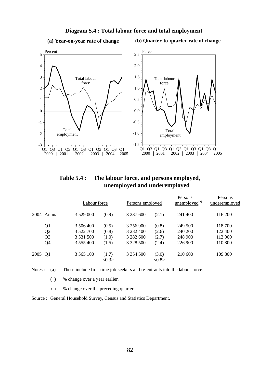

#### **Diagram 5.4 : Total labour force and total employment**

**(b) Quarter-to-quarter rate of change (a) Year-on-year rate of change**

 **Table 5.4 : The labour force, and persons employed, unemployed and underemployed** 

|                | Labour force  |                          | Persons employed |                | Persons<br>$\mu$ <u>unemployed</u> <sup>(a)</sup> | Persons<br>underemployed |
|----------------|---------------|--------------------------|------------------|----------------|---------------------------------------------------|--------------------------|
| 2004 Annual    | 3 5 29 0 0 0  | (0.9)                    | 3 287 600        | (2.1)          | 241 400                                           | 116 200                  |
| Q1             | 3 506 400     | (0.5)                    | 3 256 900        | (0.8)          | 249 500                                           | 118 700                  |
| Q <sub>2</sub> | 3 522 700     | (0.8)                    | 3 282 400        | (2.6)          | 240 200                                           | 122 400                  |
| Q <sub>3</sub> | 3 5 3 1 5 0 0 | (1.0)                    | 3 282 600        | (2.7)          | 248 900                                           | 112 900                  |
| Q4             | 3 555 400     | (1.5)                    | 3 3 2 5 5 0 0    | (2.4)          | 226 900                                           | 110 800                  |
| 2005 Q1        | 3 5 6 5 1 0 0 | (1.7)<br>$<\!\!0.3\!\!>$ | 3 3 5 4 5 0 0    | (3.0)<br><0.8> | 210 600                                           | 109 800                  |

Notes : (a) These include first-time job-seekers and re-entrants into the labour force.

- ( ) % change over a year earlier.
- < > % change over the preceding quarter.
- Source : General Household Survey, Census and Statistics Department.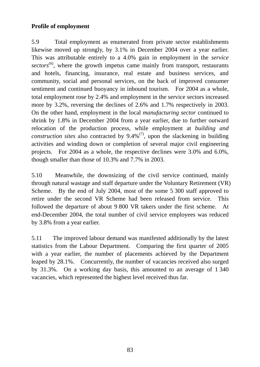### **Profile of employment**

5.9 Total employment as enumerated from private sector establishments likewise moved up strongly, by 3.1% in December 2004 over a year earlier. This was attributable entirely to a 4.0% gain in employment in the *service*  sectors<sup>(6)</sup>, where the growth impetus came mainly from transport, restaurants and hotels, financing, insurance, real estate and business services, and community, social and personal services, on the back of improved consumer sentiment and continued buoyancy in inbound tourism. For 2004 as a whole, total employment rose by 2.4% and employment in the service sectors increased more by 3.2%, reversing the declines of 2.6% and 1.7% respectively in 2003. On the other hand, employment in the local *manufacturing sector* continued to shrink by 1.8% in December 2004 from a year earlier, due to further outward relocation of the production process, while employment at *building and construction sites* also contracted by  $9.4\%$ <sup>(7)</sup>, upon the slackening in building activities and winding down or completion of several major civil engineering projects. For 2004 as a whole, the respective declines were 3.0% and 6.0%, though smaller than those of 10.3% and 7.7% in 2003.

5.10 Meanwhile, the downsizing of the civil service continued, mainly through natural wastage and staff departure under the Voluntary Retirement (VR) Scheme. By the end of July 2004, most of the some 5 300 staff approved to retire under the second VR Scheme had been released from service. This followed the departure of about 9 800 VR takers under the first scheme. At end-December 2004, the total number of civil service employees was reduced by 3.8% from a year earlier.

5.11 The improved labour demand was manifested additionally by the latest statistics from the Labour Department. Comparing the first quarter of 2005 with a year earlier, the number of placements achieved by the Department leaped by 28.1%. Concurrently, the number of vacancies received also surged by 31.3%. On a working day basis, this amounted to an average of 1 340 vacancies, which represented the highest level received thus far.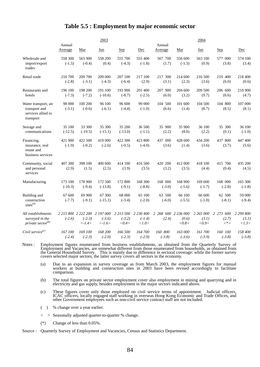#### **Table 5.5 : Employment by major economic sector**

|                                                                          |                      |                                    | 2003                                                                |                                    |                                    |                              |                     | 2004                        |                               |                             |
|--------------------------------------------------------------------------|----------------------|------------------------------------|---------------------------------------------------------------------|------------------------------------|------------------------------------|------------------------------|---------------------|-----------------------------|-------------------------------|-----------------------------|
|                                                                          | Annual               |                                    |                                                                     |                                    |                                    | Annual                       |                     |                             |                               |                             |
|                                                                          | Average              | Mar                                | Jun                                                                 | <b>Sep</b>                         | Dec                                | Average                      | Mar                 | Jun                         | Sep                           | Dec                         |
| Wholesale and<br>import/export<br>trades                                 | 558 300<br>$(-1.5)$  | 563 900<br>$(-0.4)$                | 558 200<br>(0.4)                                                    | 555 700<br>$(-4.3)$                | 555 400<br>$(-1.8)$                | 567 700<br>(1.7)             | 556 600<br>$(-1.3)$ | 563 100<br>(0.9)            | 577 000<br>(3.8)              | 574 100<br>(3.4)            |
| Retail trade                                                             | 210 700<br>$(-2.8)$  | 209 700<br>$(-3.1)$                | 209 000<br>$(-4.3)$                                                 | 207 100<br>$(-6.4)$                | 217 100<br>(2.9)                   | 217 300<br>(3.1)             | 214 600<br>(2.3)    | 216 500<br>(3.6)            | 219 400<br>(6.0)              | 218 400<br>(0.6)            |
| Restaurants and<br>hotels                                                | 196 100<br>$(-7.3)$  | 198 200<br>$(-7.2)$                | 191 100<br>$(-10.6)$                                                | 193 900<br>$(-8.7)$                | 201 400<br>$(-2.5)$                | 207 900<br>(6.0)             | 204 600<br>(3.2)    | 209 500<br>(9.7)            | 206 600<br>(6.6)              | 210 900<br>(4.7)            |
| Water transport, air<br>transport and<br>services allied to<br>transport | 98 000<br>$(-3.1)$   | 100 200<br>$(-0.6)$                | 96 100<br>$(-6.1)$                                                  | 96 600<br>$(-4.4)$                 | 99 000<br>$(-1.0)$                 | 104 500<br>(6.6)             | 101 600<br>(1.4)    | 104 500<br>(8.7)            | 104 800<br>(8.5)              | 107 000<br>(8.1)            |
| Storage and<br>communications                                            | 35 100<br>$(-12.5)$  | 33 300<br>$(-19.5)$                | 35 300<br>$(-15.1)$                                                 | 35 200<br>$(-13.0)$                | 36 500<br>$(-1.1)$                 | 35 900<br>(2.2)              | 35 900<br>(8.0)     | 36 100<br>(2.2)             | 35 300<br>(0.1)               | 36 100<br>$(-1.0)$          |
| Financing,<br>insurance, real<br>estate and<br>business services         | 421 900<br>$(-1.9)$  | 422 500<br>$(-0.2)$                | 419 000<br>$(-2.6)$                                                 | 422 300<br>$(-0.5)$                | 423 800<br>$(-4.0)$                | 437 000<br>(3.6)             | 428 600<br>(1.4)    | 434 200<br>(3.6)            | 437 800<br>(3.7)              | 447 400<br>(5.6)            |
| Community, social<br>and personal<br>services                            | 407 300<br>(2.9)     | 398 100<br>(1.5)                   | 400 600<br>(2.5)                                                    | 414 100<br>(3.9)                   | 416 500<br>(3.5)                   | 420 200<br>(3.2)             | 412 000<br>(3.5)    | 418 100<br>(4.4)            | 415 700<br>(0.4)              | 435 200<br>(4.5)            |
| Manufacturing                                                            | 173 100<br>$(-10.3)$ | 178 900<br>$(-9.4)$                | 172 500<br>$(-13.8)$                                                | 172 800<br>$(-9.1)$                | 168 300<br>$(-8.8)$                | 168 000<br>$(-3.0)$          | 168 900<br>$(-5.6)$ | 169 600<br>$(-1.7)$         | 168 000<br>$(-2.8)$           | 165 300<br>$(-1.8)$         |
| Building and<br>construction<br>sites $(a)$                              | 67 600<br>$(-7.7)$   | 69 900<br>$(-9.1)$                 | 67 300<br>$(-15.1)$                                                 | 68 000<br>$(-3.4)$                 | 65 100<br>$(-2.0)$                 | 63 500<br>$(-6.0)$           | 66 100<br>$(-5.5)$  | 66 600<br>$(-1.0)$          | 62 500<br>$(-8.1)$            | 59 000<br>$(-9.4)$          |
| All establishments<br>surveyed in the<br>private sector <sup>(b)</sup>   | $(-2.6)$             | $(-2.3)$<br>$\langle -1.4 \rangle$ | 2 215 800 2 222 200 2 197 000<br>$(-3.6)$<br>$\langle -1.6 \rangle$ | 2 2 1 3 5 0 0<br>$(-3.2)$<br><0.4> | 2 2 3 0 4 0 0<br>$(-1.4)$<br><1.0> | 2 268 600 2 236 000<br>(2.4) | (0.6)<br><0.8>      | 2 265 000<br>(3.1)<br><0.9> | 2 273 600<br>(2.7)<br>$\lt^*$ | 2 299 800<br>(3.1)<br><1.3> |
| Civil service $(c)$                                                      | 167 100<br>$(-2.4)$  | 169 100<br>$(-2.3)$                | 168 200<br>$(-2.0)$                                                 | 166 500<br>$(-2.3)$                | 164 700<br>$(-2.9)$                | 160 800<br>$(-3.8)$          | 163 000<br>$(-3.6)$ | 161 700<br>$(-3.9)$         | 160 100<br>$(-3.8)$           | 158 400<br>$(-3.8)$         |

Notes : Employment figures enumerated from business establishments, as obtained from the Quarterly Survey of Employment and Vacancies, are somewhat different from those enumerated from households, as obtained from the General Household Survey. This is mainly due to difference in sectoral coverage: while the former survey covers selected major sectors, the latter survey covers all sectors in the economy.

- (a) Due to an expansion in survey coverage as from March 2003, the employment figures for manual workers at building and construction sites in 2003 have been revised accordingly to facilitate comparison.
- (b) The total figures on private sector employment cover also employment in mining and quarrying and in electricity and gas supply, besides employment in the major sectors indicated above.
- (c) These figures cover only those employed on civil service terms of appointment. Judicial officers, ICAC officers, locally engaged staff working in overseas Hong Kong Economic and Trade Offices, and other Government empl
- ( ) % change over a year earlier.
- < > Seasonally adjusted quarter-to-quarter % change.
- (\*) Change of less than 0.05%.

Source : Quarterly Survey of Employment and Vacancies, Census and Statistics Department.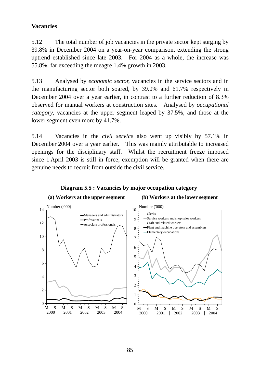### **Vacancies**

5.12 The total number of job vacancies in the private sector kept surging by 39.8% in December 2004 on a year-on-year comparison, extending the strong uptrend established since late 2003. For 2004 as a whole, the increase was 55.8%, far exceeding the meagre 1.4% growth in 2003.

5.13 Analysed by *economic sector,* vacancies in the service sectors and in the manufacturing sector both soared, by 39.0% and 61.7% respectively in December 2004 over a year earlier, in contrast to a further reduction of 8.3% observed for manual workers at construction sites. Analysed by *occupational category*, vacancies at the upper segment leaped by 37.5%, and those at the lower segment even more by 41.7%.

5.14 Vacancies in the *civil service* also went up visibly by 57.1% in December 2004 over a year earlier. This was mainly attributable to increased openings for the disciplinary staff. Whilst the recruitment freeze imposed since 1 April 2003 is still in force, exemption will be granted when there are genuine needs to recruit from outside the civil service.



#### **Diagram 5.5 : Vacancies by major occupation category**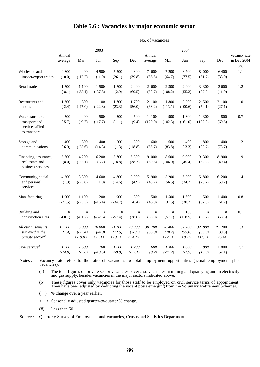#### **Table 5.6 : Vacancies by major economic sector**

No. of vacancies

|                                                                          | Annual             |                                   | 2003                         |                            |                            | Annual           |                            | 2004                      |                            |                           | Vacancy rate        |
|--------------------------------------------------------------------------|--------------------|-----------------------------------|------------------------------|----------------------------|----------------------------|------------------|----------------------------|---------------------------|----------------------------|---------------------------|---------------------|
|                                                                          | average            | Mar                               | Jun                          | <b>Sep</b>                 | Dec                        | average          | Mar                        | Jun                       | <b>Sep</b>                 | Dec                       | in Dec 2004<br>(% ) |
| Wholesale and<br>import/export trades                                    | 4 800<br>(10.0)    | 4 4 0 0<br>$(-12.2)$              | 4 9 0 0<br>$(-1.9)$          | 5 300<br>(26.1)            | 4 800<br>(39.8)            | 7 600<br>(56.5)  | 7 200<br>(64.7)            | 8700<br>(77.5)            | 8 000<br>(51.7)            | 6 400<br>(33.0)           | 1.1                 |
| Retail trade                                                             | 1700<br>$(-8.1)$   | 1 100<br>$(-35.1)$                | 1 500<br>$(-37.8)$           | 1700<br>(2.9)              | 2 400<br>(60.5)            | 2 600<br>(58.7)  | 2 3 0 0<br>(108.2)         | 2 400<br>(55.2)           | 3 300<br>(97.3)            | 2 600<br>(11.0)           | 1.2                 |
| Restaurants and<br>hotels                                                | 1 300<br>$(-2.4)$  | 800<br>$(-47.0)$                  | 1 100<br>$(-22.3)$           | 1700<br>(23.3)             | 1700<br>(56.0)             | 2 100<br>(63.2)  | 1800<br>(113.1)            | 2 2 0 0<br>(100.6)        | 2 500<br>(50.1)            | 2 100<br>(27.1)           | 1.0                 |
| Water transport, air<br>transport and<br>services allied<br>to transport | 500<br>$(-5.7)$    | 400<br>$(-9.7)$                   | 500<br>$(-17.7)$             | 500<br>$(-1.1)$            | 500<br>(9.4)               | 1 100<br>(129.0) | 900<br>(102.3)             | 1 300<br>(161.0)          | 1 300<br>(192.8)           | 800<br>(60.6)             | 0.7                 |
| Storage and<br>communications                                            | 400<br>$(-6.9)$    | 300<br>$(-25.6)$                  | 400<br>(14.3)                | 500<br>(1.3)               | 300<br>$(-18.8)$           | 600<br>(55.7)    | 600<br>(83.8)              | 400<br>$(-3.3)$           | 800<br>(83.7)              | 400<br>(73.7)             | 1.2                 |
| Financing, insurance,<br>real estate and<br>business services            | 5 600<br>(8.0)     | 4 200<br>$(-22.1)$                | 6 200<br>(3.2)               | 5 700<br>(18.8)            | 6 300<br>(38.7)            | 9 000<br>(59.6)  | 8 600<br>(106.0)           | 9 0 0 0<br>(45.4)         | 9 300<br>(62.2)            | 8 900<br>(40.4)           | 1.9                 |
| Community, social<br>and personal<br>services                            | 4 200<br>(1.3)     | 3 300<br>$(-23.8)$                | 4 600<br>(11.0)              | 4 800<br>(14.6)            | 3 900<br>(4.9)             | 5 900<br>(40.7)  | 5 200<br>(56.5)            | 6 200<br>(34.2)           | 5 800<br>(20.7)            | 6 200<br>(59.2)           | 1.4                 |
| Manufacturing                                                            | 1 000<br>$(-21.5)$ | 1 100<br>$(-23.5)$                | 1 200<br>$(-16.4)$           | 900<br>$(-34.7)$           | 800<br>$(-6.4)$            | 1 500<br>(46.9)  | 1 500<br>(37.5)            | 1 600<br>(30.2)           | 1 500<br>(67.0)            | 1 400<br>(61.7)           | 0.8                 |
| Building and<br>construction sites                                       | #<br>$(-60.1)$     | $^{\#}$<br>$(-81.7)$              | #<br>$(-52.6)$               | $\#$<br>$(-57.4)$          | $\#$<br>(28.6)             | #<br>(53.9)      | $^{\#}$<br>(57.7)          | 100<br>(118.5)            | $\#$<br>(69.2)             | #<br>$(-8.3)$             | 0.1                 |
| All establishments<br>surveyed in the<br>private sector <sup>(a)</sup>   | 19700<br>(1.4)     | 15 900<br>$(-23.4)$<br>$<$ -19.0> | 20 800<br>$(-4.9)$<br><25.1> | 21 100<br>(12.5)<br><10.9> | 20 900<br>(28.9)<br><14.7> | 30 700<br>(55.8) | 28 400<br>(78.7)<br><12.5> | 32 200<br>(55.0)<br><8.1> | 32 800<br>(55.3)<br><11.2> | 29 200<br>(39.8)<br><3.4> | 1.3                 |
| Civil service <sup>(b)</sup>                                             | 1500<br>$(-14.8)$  | 1600<br>$(-3.8)$                  | 1700<br>$(-13.5)$            | 1600<br>$(-9.9)$           | 1 200<br>$(-32.1)$         | 1 600<br>(8.2)   | 1 300<br>$(-21.7)$         | 1600<br>$(-1.9)$          | 1 800<br>(13.3)            | 1 800<br>(57.1)           | 1.1                 |

Notes : Vacancy rate refers to the ratio of vacancies to total employment opportunities (actual employment plus vacancies).

(a) The total figures on private sector vacancies cover also vacancies in mining and quarrying and in electricity and gas supply, besides vacancies in the major sectors indicated above.

(b) These figures cover only vacancies for those staff to be employed on civil service terms of appointment. They have been adjusted by deducting the vacant posts emerging from the Voluntary Retirement Schemes.

- ( ) % change over a year earlier.
- < > Seasonally adjusted quarter-to-quarter % change.
- (#) Less than 50.

Source : Quarterly Survey of Employment and Vacancies, Census and Statistics Department.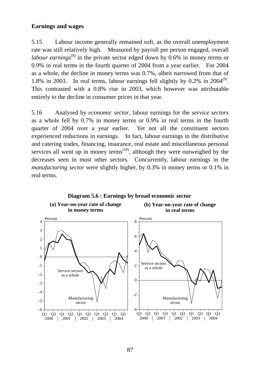#### **Earnings and wages**

5.15 Labour income generally remained soft, as the overall unemployment rate was still relatively high. Measured by payroll per person engaged, overall *labour earnings*<sup>(8)</sup> in the private sector edged down by 0.6% in money terms or 0.9% in real terms in the fourth quarter of 2004 from a year earlier. For 2004 as a whole, the decline in money terms was 0.7%, albeit narrowed from that of 1.8% in 2003. In real terms, labour earnings fell slightly by  $0.2\%$  in  $2004^{(9)}$ . This contrasted with a 0.8% rise in 2003, which however was attributable entirely to the decline in consumer prices in that year.

5.16 Analysed by *economic sector*, labour earnings for the *service sectors* as a whole fell by 0.7% in money terms or 0.9% in real terms in the fourth quarter of 2004 over a year earlier. Yet not all the constituent sectors experienced reductions in earnings. In fact, labour earnings in the distributive and catering trades, financing, insurance, real estate and miscellaneous personal services all went up in money terms<sup> $(10)$ </sup>, although they were outweighed by the decreases seen in most other sectors. Concurrently, labour earnings in the *manufacturing sector* were slightly higher, by 0.3% in money terms or 0.1% in real terms.

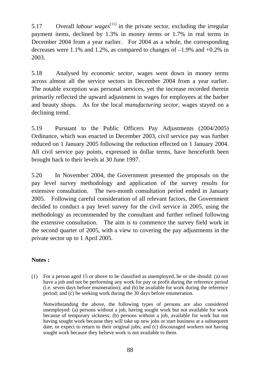5.17 Overall *labour wages*<sup>(11)</sup> in the private sector, excluding the irregular payment items, declined by 1.3% in money terms or 1.7% in real terms in December 2004 from a year earlier. For 2004 as a whole, the corresponding decreases were 1.1% and 1.2%, as compared to changes of  $-1.9\%$  and  $+0.2\%$  in 2003.

5.18 Analysed by *economic sector*, wages went down in money terms across almost all the service sectors in December 2004 from a year earlier. The notable exception was personal services, yet the increase recorded therein primarily reflected the upward adjustment in wages for employees at the barber and beauty shops. As for the local *manufacturing sector,* wages stayed on a declining trend.

5.19 Pursuant to the Public Officers Pay Adjustments (2004/2005) Ordinance, which was enacted in December 2003, civil service pay was further reduced on 1 January 2005 following the reduction effected on 1 January 2004. All civil service pay points, expressed in dollar terms, have henceforth been brought back to their levels at 30 June 1997.

5.20 In November 2004, the Government presented the proposals on the pay level survey methodology and application of the survey results for extensive consultation. The two-month consultation period ended in January 2005. Following careful consideration of all relevant factors, the Government decided to conduct a pay level survey for the civil service in 2005, using the methodology as recommended by the consultant and further refined following the extensive consultation. The aim is to commence the survey field work in the second quarter of 2005, with a view to covering the pay adjustments in the private sector up to 1 April 2005.

### **Notes :**

(1) For a person aged 15 or above to be classified as unemployed, he or she should: (a) not have a job and not be performing any work for pay or profit during the reference period (i.e. seven days before enumeration); and (b) be available for work during the reference period; and (c) be seeking work during the 30 days before enumeration.

 Notwithstanding the above, the following types of persons are also considered unemployed: (a) persons without a job, having sought work but not available for work because of temporary sickness; (b) persons without a job, available for work but not having sought work because they will take up new jobs or start business at a subsequent date, or expect to return to their original jobs; and (c) discouraged workers not having sought work because they believe work is not available to them.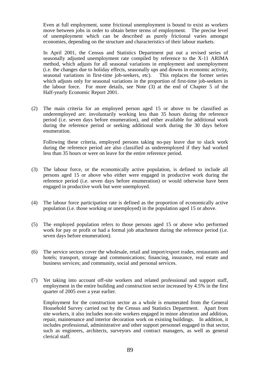Even at full employment, some frictional unemployment is bound to exist as workers move between jobs in order to obtain better terms of employment. The precise level of unemployment which can be described as purely frictional varies amongst economies, depending on the structure and characteristics of their labour markets.

 In April 2001, the Census and Statistics Department put out a revised series of seasonally adjusted unemployment rate compiled by reference to the X-11 ARIMA method, which adjusts for all seasonal variations in employment and unemployment (i.e. the changes due to holiday effects, seasonally ups and downs in economic activity, seasonal variations in first-time job-seekers, etc). This replaces the former series which adjusts only for seasonal variations in the proportion of first-time job-seekers in the labour force. For more details, see Note (3) at the end of Chapter 5 of the Half-yearly Economic Report 2001.

(2) The main criteria for an employed person aged 15 or above to be classified as underemployed are: involuntarily working less than 35 hours during the reference period (i.e. seven days before enumeration), and either available for additional work during the reference period or seeking additional work during the 30 days before enumeration.

 Following these criteria, employed persons taking no-pay leave due to slack work during the reference period are also classified as underemployed if they had worked less than 35 hours or were on leave for the entire reference period.

- (3) The labour force, or the economically active population, is defined to include all persons aged 15 or above who either were engaged in productive work during the reference period (i.e. seven days before enumeration) or would otherwise have been engaged in productive work but were unemployed.
- (4) The labour force participation rate is defined as the proportion of economically active population (i.e. those working or unemployed) in the population aged 15 or above.
- (5) The employed population refers to those persons aged 15 or above who performed work for pay or profit or had a formal job attachment during the reference period (i.e. seven days before enumeration).
- (6) The service sectors cover the wholesale, retail and import/export trades, restaurants and hotels; transport, storage and communications; financing, insurance, real estate and business services; and community, social and personal services.
- (7) Yet taking into account off-site workers and related professional and support staff, employment in the entire building and construction sector increased by 4.5% in the first quarter of 2005 over a year earlier.

 Employment for the construction sector as a whole is enumerated from the General Household Survey carried out by the Census and Statistics Department. Apart from site workers, it also includes non-site workers engaged in minor alteration and addition, repair, maintenance and interior decoration work on existing buildings. In addition, it includes professional, administrative and other support personnel engaged in that sector, such as engineers, architects, surveyors and contract managers, as well as general clerical staff.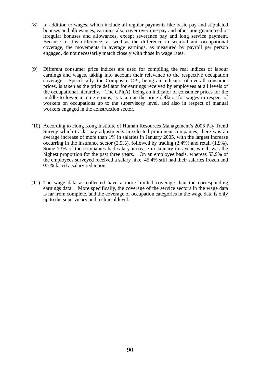- (8) In addition to wages, which include all regular payments like basic pay and stipulated bonuses and allowances, earnings also cover overtime pay and other non-guaranteed or irregular bonuses and allowances, except severance pay and long service payment. Because of this difference, as well as the difference in sectoral and occupational coverage, the movements in average earnings, as measured by payroll per person engaged, do not necessarily match closely with those in wage rates.
- (9) Different consumer price indices are used for compiling the real indices of labour earnings and wages, taking into account their relevance to the respective occupation coverage. Specifically, the Composite CPI, being an indicator of overall consumer prices, is taken as the price deflator for earnings received by employees at all levels of the occupational hierarchy. The CPI(A), being an indicator of consumer prices for the middle to lower income groups, is taken as the price deflator for wages in respect of workers on occupations up to the supervisory level, and also in respect of manual workers engaged in the construction sector.
- (10) According to Hong Kong Institute of Human Resources Management's 2005 Pay Trend Survey which tracks pay adjustments in selected prominent companies, there was an average increase of more than 1% in salaries in January 2005, with the largest increase occurring in the insurance sector (2.5%), followed by trading (2.4%) and retail (1.9%). Some 73% of the companies had salary increase in January this year, which was the highest proportion for the past three years. On an employee basis, whereas 53.9% of the employees surveyed received a salary hike, 45.4% still had their salaries frozen and 0.7% faced a salary reduction.
- (11) The wage data as collected have a more limited coverage than the corresponding earnings data. More specifically, the coverage of the service sectors in the wage data is far from complete, and the coverage of occupation categories in the wage data is only up to the supervisory and technical level.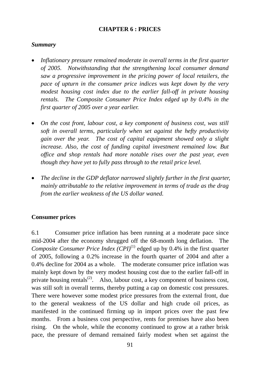### **CHAPTER 6 : PRICES**

#### *Summary*

- *Inflationary pressure remained moderate in overall terms in the first quarter of 2005. Notwithstanding that the strengthening local consumer demand saw a progressive improvement in the pricing power of local retailers, the pace of upturn in the consumer price indices was kept down by the very modest housing cost index due to the earlier fall-off in private housing rentals. The Composite Consumer Price Index edged up by 0.4% in the first quarter of 2005 over a year earlier.*
- *On the cost front, labour cost, a key component of business cost, was still soft in overall terms, particularly when set against the hefty productivity gain over the year. The cost of capital equipment showed only a slight increase. Also, the cost of funding capital investment remained low. But office and shop rentals had more notable rises over the past year, even though they have yet to fully pass through to the retail price level.*
- *The decline in the GDP deflator narrowed slightly further in the first quarter, mainly attributable to the relative improvement in terms of trade as the drag from the earlier weakness of the US dollar waned.*

### **Consumer prices**

6.1 Consumer price inflation has been running at a moderate pace since mid-2004 after the economy shrugged off the 68-month long deflation. The *Composite Consumer Price Index*  $(CPI)^{(1)}$  edged up by 0.4% in the first quarter of 2005, following a 0.2% increase in the fourth quarter of 2004 and after a 0.4% decline for 2004 as a whole. The moderate consumer price inflation was mainly kept down by the very modest housing cost due to the earlier fall-off in private housing rentals<sup>(2)</sup>. Also, labour cost, a key component of business cost, was still soft in overall terms, thereby putting a cap on domestic cost pressures. There were however some modest price pressures from the external front, due to the general weakness of the US dollar and high crude oil prices, as manifested in the continued firming up in import prices over the past few months. From a business cost perspective, rents for premises have also been rising. On the whole, while the economy continued to grow at a rather brisk pace, the pressure of demand remained fairly modest when set against the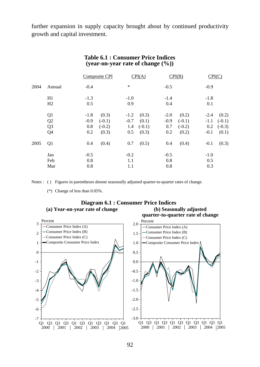further expansion in supply capacity brought about by continued productivity growth and capital investment.

|      |                                              |                                | Composite CPI                          |                                | CPI(A)                              |                                | CPI(B)                                 | CPI(C)                            |                                        |
|------|----------------------------------------------|--------------------------------|----------------------------------------|--------------------------------|-------------------------------------|--------------------------------|----------------------------------------|-----------------------------------|----------------------------------------|
| 2004 | Annual                                       | $-0.4$                         |                                        | $\ast$                         |                                     | $-0.5$                         |                                        | $-0.9$                            |                                        |
|      | H1<br>H2                                     | $-1.3$<br>0.5                  |                                        | $-1.0$<br>0.9                  |                                     | $-1.4$<br>0.4                  |                                        | $-1.8$<br>0.1                     |                                        |
|      | Q <sub>1</sub><br>Q2<br>Q <sub>3</sub><br>Q4 | $-1.8$<br>$-0.9$<br>0.8<br>0.2 | (0.3)<br>$(-0.1)$<br>$(-0.2)$<br>(0.3) | $-1.2$<br>$-0.7$<br>1.4<br>0.5 | (0.3)<br>(0.1)<br>$(-0.1)$<br>(0.3) | $-2.0$<br>$-0.9$<br>0.7<br>0.2 | (0.2)<br>$(-0.1)$<br>$(-0.2)$<br>(0.2) | $-2.4$<br>$-1.1$<br>0.2<br>$-0.1$ | (0.2)<br>$(-0.1)$<br>$(-0.3)$<br>(0.1) |
| 2005 | Q <sub>1</sub>                               | 0.4                            | (0.4)                                  | 0.7                            | (0.5)                               | 0.4                            | (0.4)                                  | $-0.1$                            | (0.3)                                  |
|      | Jan<br>Feb<br>Mar                            | $-0.5$<br>0.8<br>0.8           |                                        | $-0.2$<br>1.1<br>1.1           |                                     | $-0.5$<br>0.8<br>0.8           |                                        | $-1.0$<br>0.5<br>0.3              |                                        |

#### **Table 6.1 : Consumer Price Indices (year-on-year rate of change (%))**

Notes : ( ) Figures in parentheses denote seasonally adjusted quarter-to-quarter rates of change.

(\*) Change of less than 0.05%.

#### **(a) Year-on-year rate of change (b) Seasonally adjusted Diagram 6.1 : Consumer Price Indices**

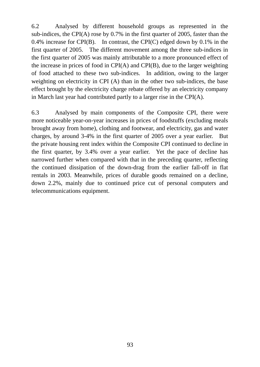6.2 Analysed by different household groups as represented in the sub-indices, the CPI(A) rose by 0.7% in the first quarter of 2005, faster than the 0.4% increase for CPI(B). In contrast, the CPI(C) edged down by 0.1% in the first quarter of 2005. The different movement among the three sub-indices in the first quarter of 2005 was mainly attributable to a more pronounced effect of the increase in prices of food in CPI(A) and CPI(B), due to the larger weighting of food attached to these two sub-indices. In addition, owing to the larger weighting on electricity in CPI (A) than in the other two sub-indices, the base effect brought by the electricity charge rebate offered by an electricity company in March last year had contributed partly to a larger rise in the CPI(A).

6.3 Analysed by main components of the Composite CPI, there were more noticeable year-on-year increases in prices of foodstuffs (excluding meals brought away from home), clothing and footwear, and electricity, gas and water charges, by around 3-4% in the first quarter of 2005 over a year earlier. But the private housing rent index within the Composite CPI continued to decline in the first quarter, by 3.4% over a year earlier. Yet the pace of decline has narrowed further when compared with that in the preceding quarter, reflecting the continued dissipation of the down-drag from the earlier fall-off in flat rentals in 2003. Meanwhile, prices of durable goods remained on a decline, down 2.2%, mainly due to continued price cut of personal computers and telecommunications equipment.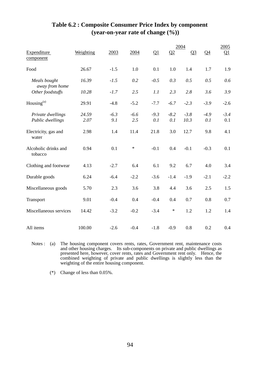|                                       |               |               |               |               |               | 2004           |                | 2005                  |
|---------------------------------------|---------------|---------------|---------------|---------------|---------------|----------------|----------------|-----------------------|
| Expenditure<br>component              | Weighting     | 2003          | 2004          | Q1            | Q2            | Q <sub>3</sub> | Q <sub>4</sub> | $\Omega$ <sup>1</sup> |
| Food                                  | 26.67         | $-1.5$        | 1.0           | 0.1           | 1.0           | 1.4            | 1.7            | 1.9                   |
| Meals bought<br>away from home        | 16.39         | $-1.5$        | 0.2           | $-0.5$        | 0.3           | 0.5            | 0.5            | 0.6                   |
| Other foodstuffs                      | 10.28         | $-1.7$        | 2.5           | 1.1           | 2.3           | 2.8            | 3.6            | 3.9                   |
| Housing $(a)$                         | 29.91         | $-4.8$        | $-5.2$        | $-7.7$        | $-6.7$        | $-2.3$         | $-3.9$         | $-2.6$                |
| Private dwellings<br>Public dwellings | 24.59<br>2.07 | $-6.3$<br>9.1 | $-6.6$<br>2.5 | $-9.3$<br>0.1 | $-8.2$<br>0.1 | $-3.8$<br>10.3 | $-4.9$<br>0.1  | $-3.4$<br>0.1         |
| Electricity, gas and<br>water         | 2.98          | 1.4           | 11.4          | 21.8          | 3.0           | 12.7           | 9.8            | 4.1                   |
| Alcoholic drinks and<br>tobacco       | 0.94          | 0.1           | $\ast$        | $-0.1$        | 0.4           | $-0.1$         | $-0.3$         | 0.1                   |
| Clothing and footwear                 | 4.13          | $-2.7$        | 6.4           | 6.1           | 9.2           | 6.7            | 4.0            | 3.4                   |
| Durable goods                         | 6.24          | $-6.4$        | $-2.2$        | $-3.6$        | $-1.4$        | $-1.9$         | $-2.1$         | $-2.2$                |
| Miscellaneous goods                   | 5.70          | 2.3           | 3.6           | 3.8           | 4.4           | 3.6            | 2.5            | 1.5                   |
| Transport                             | 9.01          | $-0.4$        | 0.4           | $-0.4$        | 0.4           | 0.7            | 0.8            | 0.7                   |
| Miscellaneous services                | 14.42         | $-3.2$        | $-0.2$        | $-3.4$        | $\ast$        | 1.2            | 1.2            | 1.4                   |
| All items                             | 100.00        | $-2.6$        | $-0.4$        | $-1.8$        | $-0.9$        | 0.8            | 0.2            | 0.4                   |

## **Table 6.2 : Composite Consumer Price Index by component (year-on-year rate of change (%))**

Notes : (a) The housing component covers rents, rates, Government rent, maintenance costs and other housing charges. Its sub-components on private and public dwellings as presented here, however, cover rents, rates and Government rent only. Hence, the combined weighting of private and public dwellings is slightly less than the weighting of the entire housing component.

(\*) Change of less than 0.05%.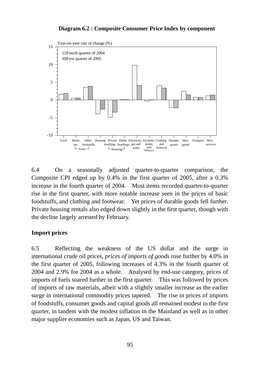#### **Diagram 6.2 : Composite Consumer Price Index by component**



6.4 On a seasonally adjusted quarter-to-quarter comparison, the Composite CPI edged up by 0.4% in the first quarter of 2005, after a 0.3% increase in the fourth quarter of 2004. Most items recorded quarter-to-quarter rise in the first quarter, with more notable increase seen in the prices of basic foodstuffs, and clothing and footwear. Yet prices of durable goods fell further. Private housing rentals also edged down slightly in the first quarter, though with the decline largely arrested by February.

### **Import prices**

6.5 Reflecting the weakness of the US dollar and the surge in international crude oil prices, *prices of imports of goods* rose further by 4.0% in the first quarter of 2005, following increases of 4.3% in the fourth quarter of 2004 and 2.9% for 2004 as a whole. Analysed by end-use category, prices of imports of fuels soared further in the first quarter. This was followed by prices of imports of raw materials, albeit with a slightly smaller increase as the earlier surge in international commodity prices tapered. The rise in prices of imports of foodstuffs, consumer goods and capital goods all remained modest in the first quarter, in tandem with the modest inflation in the Mainland as well as in other major supplier economies such as Japan, US and Taiwan.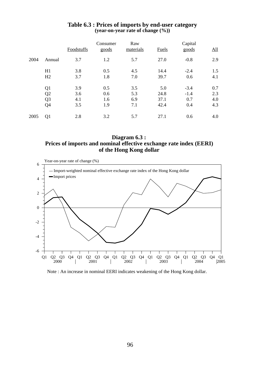|      |                                                          | Foodstuffs               | Consumer<br>goods        | Raw<br>materials         | Fuels                       | Capital<br>goods               | All                      |
|------|----------------------------------------------------------|--------------------------|--------------------------|--------------------------|-----------------------------|--------------------------------|--------------------------|
| 2004 | Annual                                                   | 3.7                      | 1.2                      | 5.7                      | 27.0                        | $-0.8$                         | 2.9                      |
|      | H1<br>H2                                                 | 3.8<br>3.7               | 0.5<br>1.8               | 4.5<br>7.0               | 14.4<br>39.7                | $-2.4$<br>0.6                  | 1.5<br>4.1               |
|      | Q1<br>Q <sub>2</sub><br>Q <sub>3</sub><br>Q <sub>4</sub> | 3.9<br>3.6<br>4.1<br>3.5 | 0.5<br>0.6<br>1.6<br>1.9 | 3.5<br>5.3<br>6.9<br>7.1 | 5.0<br>24.8<br>37.1<br>42.4 | $-3.4$<br>$-1.4$<br>0.7<br>0.4 | 0.7<br>2.3<br>4.0<br>4.3 |
| 2005 | Q <sub>1</sub>                                           | 2.8                      | 3.2                      | 5.7                      | 27.1                        | 0.6                            | 4.0                      |

#### **Table 6.3 : Prices of imports by end-user category (year-on-year rate of change (%))**

**Diagram 6.3 : Prices of imports and nominal effective exchange rate index (EERI) of the Hong Kong dollar**



Note : An increase in nominal EERI indicates weakening of the Hong Kong dollar.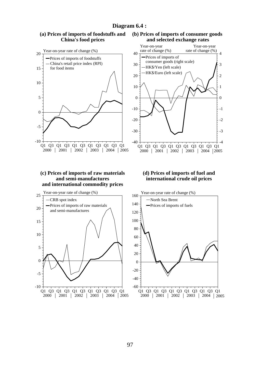#### **China's food prices** Q1 Q3 Q1 Q3 Q1 Q3 Q1 Q3 Q1 Q3 Q1 2000 | 2001 | 2002 | 2003 | 2004 | 2005 0 5 10 15 20 -5 -10 Year-on-year rate of change (%) Prices of imports of foodstuffs Q1 Q3 Q1 Q3 Q1 Q3 Q1 Q3 Q1 Q3 Q1 2000 | 2001 | 2002 | 2003 | 2004 |2005 0 10 20 30 40 -10 -20 -30  $-40 -$ Year-on-year rate of change (%) 0 1 2 3 4 -1 -2 -3  $-4$ Year-on-year rate of change (%) Prices of imports of consumer goods (right scale) HK\$/Yen (left scale) HK\$/Euro (left scale) China's retail price index (RPI) for food items **(c) Prices of imports of raw materials and semi-manufactures and international commodity prices**  $\theta$ 5 10 15 20 25 -5 Year-on-year rate of change  $(\%)$ -CRB spot index Prices of imports of raw materials **(d) Prices of imports of fuel and international crude oil prices**  $\theta$ 20 40 60 80 100 120 140 160 -20 -40 Year-on-year rate of change  $(\%)$ North Sea Brent Prices of imports of fuels and semi-manufactures

#### **Diagram 6.4 :**

**(a) Prices of imports of foodstuffs and**

Q1 Q3 Q1 Q3 Q1 Q3 Q1 Q3 Q1 Q3 Q1 2000 2001 2002 2003 2004 2005

-10

**(b) Prices of imports of consumer goods and selected exchange rates**

Q1 Q3 Q1 Q3 Q1 Q3 Q1 Q3 Q1 Q3 Q1 2005 2000 | 2001 | 2002 | 2003 | 2004 | 2005

-60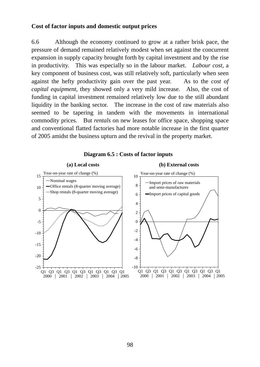#### **Cost of factor inputs and domestic output prices**

6.6 Although the economy continued to grow at a rather brisk pace, the pressure of demand remained relatively modest when set against the concurrent expansion in supply capacity brought forth by capital investment and by the rise in productivity. This was especially so in the labour market. *Labour cost*, a key component of business cost, was still relatively soft, particularly when seen against the hefty productivity gain over the past year. As to the *cost of capital equipment*, they showed only a very mild increase. Also, the cost of funding in capital investment remained relatively low due to the still abundant liquidity in the banking sector. The increase in the cost of raw materials also seemed to be tapering in tandem with the movements in international commodity prices. But *rentals* on new leases for office space, shopping space and conventional flatted factories had more notable increase in the first quarter of 2005 amidst the business upturn and the revival in the property market.



#### **Diagram 6.5 : Costs of factor inputs**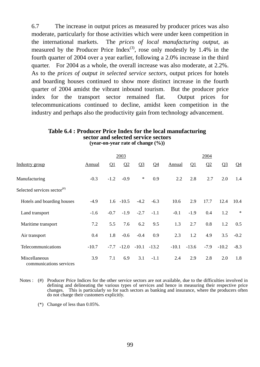6.7 The increase in output prices as measured by producer prices was also moderate, particularly for those activities which were under keen competition in the international markets. The *prices of local manufacturing output*, as measured by the Producer Price Index<sup>(3)</sup>, rose only modestly by 1.4% in the fourth quarter of 2004 over a year earlier, following a 2.0% increase in the third quarter. For 2004 as a whole, the overall increase was also moderate, at 2.2%. As to the *prices of output in selected service sectors*, output prices for hotels and boarding houses continued to show more distinct increase in the fourth quarter of 2004 amidst the vibrant inbound tourism. But the producer price index for the transport sector remained flat. Output prices for telecommunications continued to decline, amidst keen competition in the industry and perhaps also the productivity gain from technology advancement.

#### **Table 6.4 : Producer Price Index for the local manufacturing sector and selected service sectors (year-on-year rate of change (%))**

|                                                                      |         |          | 2003         |                       |                |         |            | 2004     |         |          |
|----------------------------------------------------------------------|---------|----------|--------------|-----------------------|----------------|---------|------------|----------|---------|----------|
| Industry group                                                       | Annual  | $\Omega$ | Q2           | $\Omega$ <sup>3</sup> | Q <sub>4</sub> | Annual  | $\Omega$ 1 | $\Omega$ | $Q_3$   | $\Omega$ |
| Manufacturing                                                        | $-0.3$  | $-1.2$   | $-0.9$       | $\ast$                | 0.9            | 2.2     | 2.8        | 2.7      | 2.0     | 1.4      |
| Selected services sector $($ <sup><math>#</math><math>)</math></sup> |         |          |              |                       |                |         |            |          |         |          |
| Hotels and boarding houses                                           | $-4.9$  |          | $1.6 - 10.5$ | $-4.2$                | $-6.3$         | 10.6    | 2.9        | 17.7     | 12.4    | 10.4     |
| Land transport                                                       | $-1.6$  | $-0.7$   | $-1.9$       | $-2.7$                | $-1.1$         | $-0.1$  | $-1.9$     | 0.4      | 1.2     | $\ast$   |
| Maritime transport                                                   | 7.2     | 5.5      | 7.6          | 6.2                   | 9.5            | 1.3     | 2.7        | 0.8      | 1.2     | 0.5      |
| Air transport                                                        | 0.4     | 1.8      | $-0.6$       | $-0.4$                | 0.9            | 2.3     | 1.2        | 4.9      | 3.5     | $-0.2$   |
| Telecommunications                                                   | $-10.7$ | $-7.7$   | $-12.0$      | $-10.1$               | $-13.2$        | $-10.1$ | $-13.6$    | $-7.9$   | $-10.2$ | $-8.3$   |
| Miscellaneous<br>communications services                             | 3.9     | 7.1      | 6.9          | 3.1                   | $-1.1$         | 2.4     | 2.9        | 2.8      | 2.0     | 1.8      |

- Notes : (#) Producer Price Indices for the other service sectors are not available, due to the difficulties involved in defining and delineating the various types of services and hence in measuring their respective price changes. This is particularly so for such sectors as banking and insurance, where the producers often do not charge their customers explicitly.
	- (\*) Change of less than 0.05%.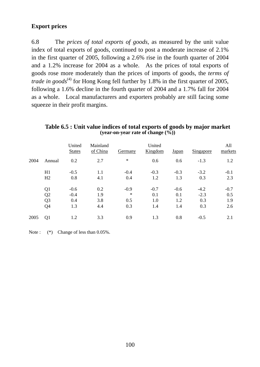### **Export prices**

6.8 The *prices of total exports of goods*, as measured by the unit value index of total exports of goods, continued to post a moderate increase of 2.1% in the first quarter of 2005, following a 2.6% rise in the fourth quarter of 2004 and a 1.2% increase for 2004 as a whole. As the prices of total exports of goods rose more moderately than the prices of imports of goods, the *terms of trade in goods*<sup>(4)</sup> for Hong Kong fell further by 1.8% in the first quarter of 2005, following a 1.6% decline in the fourth quarter of 2004 and a 1.7% fall for 2004 as a whole. Local manufacturers and exporters probably are still facing some squeeze in their profit margins.

|      |                | United<br><b>States</b> | Mainland<br>of China | Germany | United<br>Kingdom | Japan  | <b>Singapore</b> | All<br>markets |
|------|----------------|-------------------------|----------------------|---------|-------------------|--------|------------------|----------------|
| 2004 | Annual         | 0.2                     | 2.7                  | $\ast$  | 0.6               | 0.6    | $-1.3$           | 1.2            |
|      | H1             | $-0.5$                  | 1.1                  | $-0.4$  | $-0.3$            | $-0.3$ | $-3.2$           | $-0.1$         |
|      | H2             | 0.8                     | 4.1                  | 0.4     | 1.2               | 1.3    | 0.3              | 2.3            |
|      | Q <sub>1</sub> | $-0.6$                  | 0.2                  | $-0.9$  | $-0.7$            | $-0.6$ | $-4.2$           | $-0.7$         |
|      | Q2             | $-0.4$                  | 1.9                  | $\ast$  | 0.1               | 0.1    | $-2.3$           | 0.5            |
|      | Q <sub>3</sub> | 0.4                     | 3.8                  | 0.5     | 1.0               | 1.2    | 0.3              | 1.9            |
|      | Q4             | 1.3                     | 4.4                  | 0.3     | 1.4               | 1.4    | 0.3              | 2.6            |
| 2005 | Q1             | 1.2                     | 3.3                  | 0.9     | 1.3               | 0.8    | $-0.5$           | 2.1            |

**Table 6.5 : Unit value indices of total exports of goods by major market (year-on-year rate of change (%))** 

Note :  $(*)$  Change of less than 0.05%.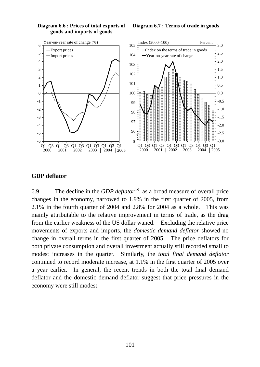

#### **Diagram 6.6 : Prices of total exports of goods and imports of goods**

#### **Diagram 6.7 : Terms of trade in goods**

#### **GDP deflator**

6.9 The decline in the *GDP deflator*<sup>(5)</sup>, as a broad measure of overall price changes in the economy, narrowed to 1.9% in the first quarter of 2005, from 2.1% in the fourth quarter of 2004 and 2.8% for 2004 as a whole. This was mainly attributable to the relative improvement in terms of trade, as the drag from the earlier weakness of the US dollar waned. Excluding the relative price movements of exports and imports, the *domestic demand deflator* showed no change in overall terms in the first quarter of 2005. The price deflators for both private consumption and overall investment actually still recorded small to modest increases in the quarter. Similarly, the *total final demand deflator* continued to record moderate increase, at 1.1% in the first quarter of 2005 over a year earlier. In general, the recent trends in both the total final demand deflator and the domestic demand deflator suggest that price pressures in the economy were still modest.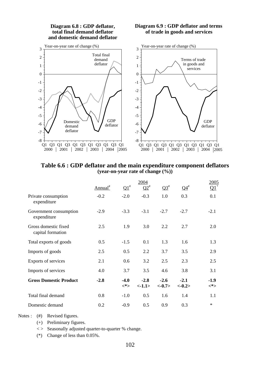

**Table 6.6 : GDP deflator and the main expenditure component deflators (year-on-year rate of change (%))** 

|                                           |                  |               | 2004            |                    |                    | 2005          |
|-------------------------------------------|------------------|---------------|-----------------|--------------------|--------------------|---------------|
|                                           | ${\rm Annual}^*$ | $\Omega^*$    | $\Omega^{*}$    | $Q3^{\#}$          | $\Omega^{4^{\#}}$  |               |
| Private consumption<br>expenditure        | $-0.2$           | $-2.0$        | $-0.3$          | 1.0                | 0.3                | 0.1           |
| Government consumption<br>expenditure     | $-2.9$           | $-3.3$        | $-3.1$          | $-2.7$             | $-2.7$             | $-2.1$        |
| Gross domestic fixed<br>capital formation | 2.5              | 1.9           | 3.0             | 2.2                | 2.7                | 2.0           |
| Total exports of goods                    | 0.5              | $-1.5$        | 0.1             | 1.3                | 1.6                | 1.3           |
| Imports of goods                          | 2.5              | 0.5           | 2.2             | 3.7                | 3.5                | 2.9           |
| Exports of services                       | 2.1              | 0.6           | 3.2             | 2.5                | 2.3                | 2.5           |
| Imports of services                       | 4.0              | 3.7           | 3.5             | 4.6                | 3.8                | 3.1           |
| <b>Gross Domestic Product</b>             | $-2.8$           | $-4.0$<br><*> | $-2.8$<br><1.1> | $-2.6$<br>$<-0.7>$ | $-2.1$<br>$<-0.2>$ | $-1.9$<br><*> |
| Total final demand                        | 0.8              | $-1.0$        | 0.5             | 1.6                | 1.4                | 1.1           |
| Domestic demand                           | 0.2              | $-0.9$        | 0.5             | 0.9                | 0.3                | $\ast$        |

Notes : (#) Revised figures.

- (+) Preliminary figures.
- $\langle \rangle$  Seasonally adjusted quarter-to-quarter % change.
- (\*) Change of less than 0.05%.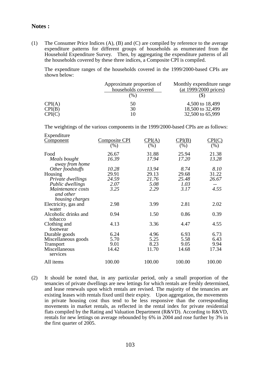#### **Notes :**

(1) The Consumer Price Indices (A), (B) and (C) are compiled by reference to the average expenditure patterns for different groups of households as enumerated from the Household Expenditure Survey. Then, by aggregating the expenditure patterns of all the households covered by these three indices, a Composite CPI is compiled.

 The expenditure ranges of the households covered in the 1999/2000-based CPIs are shown below:

|        | Approximate proportion of<br>households covered<br>$(\%)$ | Monthly expenditure range<br>(at 1999/2000 prices) |
|--------|-----------------------------------------------------------|----------------------------------------------------|
| CPI(A) | 50                                                        | 4,500 to 18,499                                    |
| CPI(B) | 30                                                        | 18,500 to 32,499                                   |
| CPI(C) | 10                                                        | 32,500 to 65,999                                   |

The weightings of the various components in the 1999/2000-based CPIs are as follows:

| Expenditure          |               |                               |        |        |
|----------------------|---------------|-------------------------------|--------|--------|
| <u>Component</u>     | Composite CPI | $\mathrm{CPI}(\underline{A})$ | CPI(B) | CPI(C) |
|                      | $(\%)$        | (% )                          | (%)    | (% )   |
| Food                 | 26.67         | 31.88                         | 25.94  | 21.38  |
| Meals bought         | 16.39         | 17.94                         | 17.20  | 13.28  |
| away from home       |               |                               |        |        |
| Other foodstuffs     | 10.28         | 13.94                         | 8.74   | 8.10   |
| Housing              | 29.91         | 29.13                         | 29.68  | 31.22  |
| Private dwellings    | 24.59         | 21.76                         | 25.48  | 26.67  |
| Public dwellings     | 2.07          | 5.08                          | 1.03   |        |
| Maintenance costs    | 3.25          | 2.29                          | 3.17   | 4.55   |
| and other            |               |                               |        |        |
| housing charges      |               |                               |        |        |
| Electricity, gas and | 2.98          | 3.99                          | 2.81   | 2.02   |
| water                |               |                               |        |        |
| Alcoholic drinks and | 0.94          | 1.50                          | 0.86   | 0.39   |
| tobacco              |               |                               |        |        |
| Clothing and         | 4.13          | 3.36                          | 4.47   | 4.55   |
| footwear             |               |                               |        |        |
| Durable goods        | 6.24          | 4.96                          | 6.93   | 6.73   |
| Miscellaneous goods  | 5.70          | 5.25                          | 5.58   | 6.43   |
| <b>Transport</b>     | 9.01          | 8.23                          | 9.05   | 9.94   |
| Miscellaneous        | 14.42         | 11.70                         | 14.68  | 17.34  |
| services             |               |                               |        |        |
| All items            | 100.00        | 100.00                        | 100.00 | 100.00 |
|                      |               |                               |        |        |

(2) It should be noted that, in any particular period, only a small proportion of the tenancies of private dwellings are new lettings for which rentals are freshly determined, and lease renewals upon which rentals are revised. The majority of the tenancies are existing leases with rentals fixed until their expiry. Upon aggregation, the movements in private housing cost thus tend to be less responsive than the corresponding movements in market rentals, as reflected in the rental index for private residential flats compiled by the Rating and Valuation Department (R&VD). According to R&VD, rentals for new lettings on average rebounded by 6% in 2004 and rose further by 3% in the first quarter of 2005.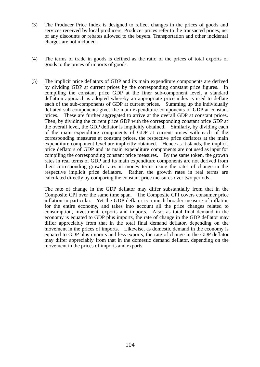- (3) The Producer Price Index is designed to reflect changes in the prices of goods and services received by local producers. Producer prices refer to the transacted prices, net of any discounts or rebates allowed to the buyers. Transportation and other incidental charges are not included.
- (4) The terms of trade in goods is defined as the ratio of the prices of total exports of goods to the prices of imports of goods.
- (5) The implicit price deflators of GDP and its main expenditure components are derived by dividing GDP at current prices by the corresponding constant price figures. In compiling the constant price GDP at the finer sub-component level, a standard deflation approach is adopted whereby an appropriate price index is used to deflate each of the sub-components of GDP at current prices. Summing up the individually deflated sub-components gives the main expenditure components of GDP at constant prices. These are further aggregated to arrive at the overall GDP at constant prices. Then, by dividing the current price GDP with the corresponding constant price GDP at the overall level, the GDP deflator is implicitly obtained. Similarly, by dividing each of the main expenditure components of GDP at current prices with each of the corresponding measures at constant prices, the respective price deflators at the main expenditure component level are implicitly obtained. Hence as it stands, the implicit price deflators of GDP and its main expenditure components are not used as input for compiling the corresponding constant price measures. By the same token, the growth rates in real terms of GDP and its main expenditure components are not derived from their corresponding growth rates in money terms using the rates of change in the respective implicit price deflators. Rather, the growth rates in real terms are calculated directly by comparing the constant price measures over two periods.

 The rate of change in the GDP deflator may differ substantially from that in the Composite CPI over the same time span. The Composite CPI covers consumer price inflation in particular. Yet the GDP deflator is a much broader measure of inflation for the entire economy, and takes into account all the price changes related to consumption, investment, exports and imports. Also, as total final demand in the economy is equated to GDP plus imports, the rate of change in the GDP deflator may differ appreciably from that in the total final demand deflator, depending on the movement in the prices of imports. Likewise, as domestic demand in the economy is equated to GDP plus imports and less exports, the rate of change in the GDP deflator may differ appreciably from that in the domestic demand deflator, depending on the movement in the prices of imports and exports.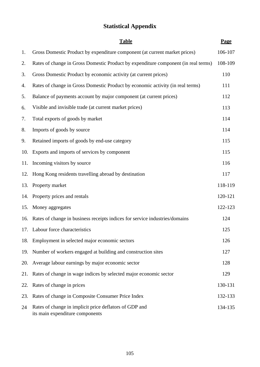# **Statistical Appendix**

|     | <b>Table</b>                                                                              | Page    |
|-----|-------------------------------------------------------------------------------------------|---------|
| 1.  | Gross Domestic Product by expenditure component (at current market prices)                | 106-107 |
| 2.  | Rates of change in Gross Domestic Product by expenditure component (in real terms)        | 108-109 |
| 3.  | Gross Domestic Product by economic activity (at current prices)                           | 110     |
| 4.  | Rates of change in Gross Domestic Product by economic activity (in real terms)            | 111     |
| 5.  | Balance of payments account by major component (at current prices)                        | 112     |
| 6.  | Visible and invisible trade (at current market prices)                                    | 113     |
| 7.  | Total exports of goods by market                                                          | 114     |
| 8.  | Imports of goods by source                                                                | 114     |
| 9.  | Retained imports of goods by end-use category                                             | 115     |
| 10. | Exports and imports of services by component                                              | 115     |
|     | 11. Incoming visitors by source                                                           | 116     |
| 12. | Hong Kong residents travelling abroad by destination                                      | 117     |
| 13. | Property market                                                                           | 118-119 |
|     | 14. Property prices and rentals                                                           | 120-121 |
| 15. | Money aggregates                                                                          | 122-123 |
|     | 16. Rates of change in business receipts indices for service industries/domains           | 124     |
|     | 17. Labour force characteristics                                                          | 125     |
| 18. | Employment in selected major economic sectors                                             | 126     |
| 19. | Number of workers engaged at building and construction sites                              | 127     |
| 20. | Average labour earnings by major economic sector                                          | 128     |
| 21. | Rates of change in wage indices by selected major economic sector                         | 129     |
| 22. | Rates of change in prices                                                                 | 130-131 |
| 23. | Rates of change in Composite Consumer Price Index                                         | 132-133 |
| 24  | Rates of change in implicit price deflators of GDP and<br>its main expenditure components | 134-135 |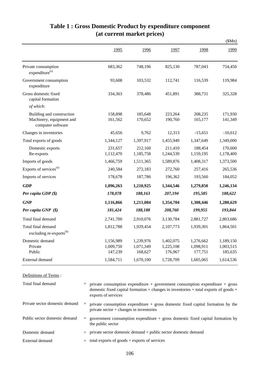|                                                                            |                                   |                                   |                                   |                                   | \$Mn)                             |
|----------------------------------------------------------------------------|-----------------------------------|-----------------------------------|-----------------------------------|-----------------------------------|-----------------------------------|
|                                                                            | 1995                              | 1996                              | 1997                              | 1998                              | 1999                              |
| Private consumption<br>expenditure <sup>(a)</sup>                          | 683,362                           | 748,196                           | 825,130                           | 787,043                           | 754,450                           |
| Government consumption<br>expenditure                                      | 93,608                            | 103,532                           | 112,741                           | 116,539                           | 119,984                           |
| Gross domestic fixed<br>capital formation                                  | 334,363                           | 378,486                           | 451,891                           | 388,731                           | 325,328                           |
| of which:                                                                  |                                   |                                   |                                   |                                   |                                   |
| Building and construction<br>Machinery, equipment and<br>computer software | 158,898<br>161,562                | 185,648<br>170,652                | 223,264<br>190,760                | 208,235<br>165,177                | 171,930<br>141,349                |
| Changes in inventories                                                     | 45,656                            | 9,762                             | 12,313                            | $-15,651$                         | $-10,612$                         |
| Total exports of goods                                                     | 1,344,127                         | 1,397,917                         | 1,455,949                         | 1,347,649                         | 1,349,000                         |
| Domestic exports<br>Re-exports                                             | 231,657<br>1,112,470              | 212,160<br>1,185,758              | 211,410<br>1,244,539              | 188,454<br>1,159,195              | 170,600<br>1,178,400              |
| Imports of goods                                                           | 1,466,759                         | 1,511,365                         | 1,589,876                         | 1,408,317                         | 1,373,500                         |
| Exports of services <sup>(a)</sup>                                         | 240,584                           | 272,183                           | 272,760                           | 257,416                           | 265,536                           |
| Imports of services                                                        | 178,678                           | 187,786                           | 196,362                           | 193,560                           | 184,052                           |
| <b>GDP</b>                                                                 | 1,096,263                         | 1,210,925                         | 1,344,546                         | 1,279,850                         | 1,246,134                         |
| Per capita GDP $(\$)$                                                      | 178,078                           | 188,163                           | 207,194                           | 195,585                           | 188,622                           |
| <b>GNP</b>                                                                 | 1,116,866                         | 1,211,084                         | 1,354,704                         | 1,308,446                         | 1,280,629                         |
| Per capita GNP (\$)                                                        | 181,424                           | 188,188                           | 208,760                           | 199,955                           | 193,844                           |
| Total final demand                                                         | 2,741,700                         | 2,910,076                         | 3,130,784                         | 2,881,727                         | 2,803,686                         |
| Total final demand<br>excluding re-exports <sup>(b)</sup>                  | 1,812,788                         | 1,929,454                         | 2,107,773                         | 1,939,301                         | 1,864,501                         |
| Domestic demand<br>Private<br>Public                                       | 1,156,989<br>1,009,750<br>147,239 | 1,239,976<br>1,071,349<br>168,627 | 1,402,075<br>1,225,108<br>176,967 | 1,276,662<br>1,098,911<br>177,751 | 1,189,150<br>1,003,515<br>185,635 |
| External demand                                                            | 1,584,711                         | 1,670,100                         | 1,728,709                         | 1,605,065                         | 1,614,536                         |

#### **Table 1 : Gross Domestic Product by expenditure component (at current market prices)**

| Definitions of Terms :         |                                                                                                                                                                                                            |
|--------------------------------|------------------------------------------------------------------------------------------------------------------------------------------------------------------------------------------------------------|
| Total final demand             | $\equiv$ private consumption expenditure + government consumption expenditure + gross<br>domestic fixed capital formation $+$ changes in inventories $+$ total exports of goods $+$<br>exports of services |
| Private sector domestic demand | $\equiv$ private consumption expenditure + gross domestic fixed capital formation by the<br>private sector $+$ changes in inventories                                                                      |

# ic fixed capital formation by the

- = government consumption expenditure + gross domestic fixed capital formation by the public sector Public sector domestic demand
- Domestic demand  $=$  private sector domestic demand + public sector domestic demand
- External demand  $=$  total exports of goods + exports of services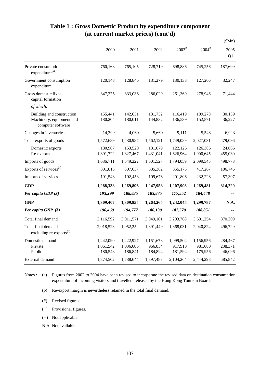|                                                                            |                                   |                                   |                                 |                                 |                                 | \$Mn)                        |
|----------------------------------------------------------------------------|-----------------------------------|-----------------------------------|---------------------------------|---------------------------------|---------------------------------|------------------------------|
|                                                                            | 2000                              | 2001                              | 2002                            | $2003^*$                        | $2004$ <sup>#</sup>             | 2005<br>$Q1^+$               |
| Private consumption<br>expenditure <sup>(a)</sup>                          | 760,168                           | 765,105                           | 728,719                         | 698,886                         | 745,256                         | 187,699                      |
| Government consumption<br>expenditure                                      | 120,148                           | 128,846                           | 131,279                         | 130,138                         | 127,206                         | 32,247                       |
| Gross domestic fixed<br>capital formation                                  | 347,375                           | 333,036                           | 286,020                         | 261,369                         | 278,946                         | 71,444                       |
| of which:                                                                  |                                   |                                   |                                 |                                 |                                 |                              |
| Building and construction<br>Machinery, equipment and<br>computer software | 155,441<br>180,204                | 142,651<br>180,011                | 131,752<br>144,832              | 116,419<br>136,539              | 109,278<br>152,871              | 30,139<br>36,227             |
| Changes in inventories                                                     | 14,399                            | $-4,060$                          | 5,660                           | 9,111                           | 5,548                           | $-6,923$                     |
| Total exports of goods                                                     | 1,572,689                         | 1,480,987                         | 1,562,121                       | 1,749,089                       | 2,027,031                       | 479,096                      |
| Domestic exports<br>Re-exports                                             | 180,967<br>1,391,722              | 153,520<br>1,327,467              | 131,079<br>1,431,041            | 122,126<br>1,626,964            | 126,386<br>1,900,645            | 24,066<br>455,030            |
| Imports of goods                                                           | 1,636,711                         | 1,549,222                         | 1,601,527                       | 1,794,059                       | 2,099,545                       | 498,773                      |
| Exports of services <sup>(a)</sup>                                         | 301,813                           | 307,657                           | 335,362                         | 355,175                         | 417,267                         | 106,746                      |
| Imports of services                                                        | 191,543                           | 192,453                           | 199,676                         | 201,806                         | 232,228                         | 57,307                       |
| <b>GDP</b>                                                                 | 1,288,338                         | 1,269,896                         | 1,247,958                       | 1,207,903                       | 1,269,481                       | 314,229                      |
| Per capita GDP $(\$)$                                                      | 193,299                           | 188,835                           | 183,875                         | 177,552                         | 184,448                         |                              |
| <b>GNP</b>                                                                 | 1,309,407                         | 1,309,855                         | 1,263,265                       | 1,242,045                       | 1,299,787                       | N.A.                         |
| Per capita GNP (\$)                                                        | 196,460                           | 194,777                           | 186,130                         | 182,570                         | 188,851                         |                              |
| Total final demand                                                         | 3,116,592                         | 3,011,571                         | 3,049,161                       | 3,203,768                       | 3,601,254                       | 870,309                      |
| Total final demand<br>excluding re-exports <sup>(b)</sup>                  | 2,018,523                         | 1,952,252                         | 1,891,449                       | 1,868,031                       | 2,040,824                       | 496,729                      |
| Domestic demand<br>Private<br>Public                                       | 1,242,090<br>1,061,542<br>180,548 | 1,222,927<br>1,036,086<br>186,841 | 1,151,678<br>966,854<br>184,824 | 1,099,504<br>917,910<br>181,594 | 1,156,956<br>981,000<br>175,956 | 284,467<br>238,371<br>46,096 |
| External demand                                                            | 1,874,502                         | 1,788,644                         | 1,897,483                       | 2,104,264                       | 2,444,298                       | 585,842                      |

## **Table 1 : Gross Domestic Product by expenditure component (at current market prices) (cont'd)**

(a) Notes : (a) Figures from 2002 to 2004 have been revised to incorporate the revised data on destination consumption expenditure of incoming visitors and travellers released by the Hong Kong Tourism Board.

- (b) Re-export margin is nevertheless retained in the total final demand.
- (#) Revised figures.
- (+) Provisional figures.
- (--) Not applicable.
- N.A. Not available.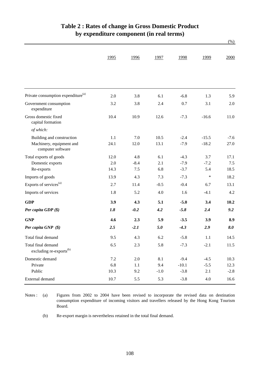|                                                           | 1995 | 1996    | 1997   | 1998    | 1999    | 2000   |
|-----------------------------------------------------------|------|---------|--------|---------|---------|--------|
|                                                           |      |         |        |         |         |        |
|                                                           |      |         |        |         |         |        |
|                                                           |      |         |        |         |         |        |
| Private consumption expenditure <sup>(a)</sup>            | 2.0  | 3.8     | 6.1    | $-6.8$  | 1.3     | 5.9    |
| Government consumption<br>expenditure                     | 3.2  | 3.8     | 2.4    | 0.7     | 3.1     | 2.0    |
| Gross domestic fixed<br>capital formation                 | 10.4 | 10.9    | 12.6   | $-7.3$  | $-16.6$ | 11.0   |
| of which:                                                 |      |         |        |         |         |        |
| Building and construction                                 | 1.1  | 7.0     | 10.5   | $-2.4$  | $-15.5$ | $-7.6$ |
| Machinery, equipment and<br>computer software             | 24.1 | 12.0    | 13.1   | $-7.9$  | $-18.2$ | 27.0   |
| Total exports of goods                                    | 12.0 | 4.8     | 6.1    | $-4.3$  | 3.7     | 17.1   |
| Domestic exports                                          | 2.0  | $-8.4$  | 2.1    | $-7.9$  | $-7.2$  | 7.5    |
| Re-exports                                                | 14.3 | $7.5$   | 6.8    | $-3.7$  | 5.4     | 18.5   |
| Imports of goods                                          | 13.9 | 4.3     | 7.3    | $-7.3$  | $\ast$  | 18.2   |
| Exports of services <sup>(a)</sup>                        | 2.7  | 11.4    | $-0.5$ | $-0.4$  | 6.7     | 13.1   |
| Imports of services                                       | 1.8  | 5.2     | 4.0    | 1.6     | $-4.1$  | 4.2    |
| <b>GDP</b>                                                | 3.9  | 4.3     | 5.1    | $-5.0$  | 3.4     | 10.2   |
| Per capita $GDP$ $(\$)$                                   | 1.8  | $-0.2$  | 4.2    | $-5.8$  | 2.4     | 9.2    |
| <b>GNP</b>                                                | 4.6  | 2.3     | 5.9    | $-3.5$  | 3.9     | 8.9    |
| Per capita GNP (\$)                                       | 2.5  | $-2.1$  | 5.0    | $-4.3$  | 2.9     | 8.0    |
| Total final demand                                        | 9.5  | 4.3     | 6.2    | $-5.8$  | 1.1     | 14.5   |
| Total final demand<br>excluding re-exports <sup>(b)</sup> | 6.5  | 2.3     | 5.8    | $-7.3$  | $-2.1$  | 11.5   |
| Domestic demand                                           | 7.2  | 2.0     | 8.1    | $-9.4$  | $-4.5$  | 10.3   |
| Private                                                   | 6.8  | $1.1\,$ | 9.4    | $-10.1$ | $-5.5$  | 12.3   |
| Public                                                    | 10.3 | 9.2     | $-1.0$ | $-3.8$  | 2.1     | $-2.8$ |
| External demand                                           | 10.7 | 5.5     | 5.3    | $-3.8$  | 4.0     | 16.6   |

#### **Table 2 : Rates of change in Gross Domestic Product by expenditure component (in real terms)**

(%)

Notes : (a) Figures from 2002 to 2004 have been revised to incorporate the revised data on destination consumption expenditure of incoming visitors and travellers released by the Hong Kong Tourism Board.

(b) Re-export margin is nevertheless retained in the total final demand.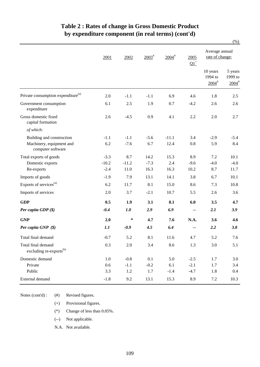#### **Table 2 : Rates of change in Gross Domestic Product by expenditure component (in real terms) (cont'd)**

|                                                           |         |         |                   |                     |                          |                                            | $(\%)$                                    |
|-----------------------------------------------------------|---------|---------|-------------------|---------------------|--------------------------|--------------------------------------------|-------------------------------------------|
|                                                           | 2001    | 2002    | $2003^{\text{*}}$ | $2004$ <sup>#</sup> | 2005<br>$\Omega^+$       | Average annual<br>rate of change:          |                                           |
|                                                           |         |         |                   |                     |                          | 10 years<br>1994 to<br>$2004$ <sup>#</sup> | 5 years<br>1999 to<br>$2004$ <sup>#</sup> |
| Private consumption expenditure <sup>(a)</sup>            | 2.0     | $-1.1$  | $-1.1$            | 6.9                 | 4.6                      | 1.8                                        | 2.5                                       |
| Government consumption<br>expenditure                     | 6.1     | 2.5     | 1.9               | 0.7                 | $-4.2$                   | 2.6                                        | 2.6                                       |
| Gross domestic fixed<br>capital formation                 | 2.6     | $-4.5$  | 0.9               | 4.1                 | 2.2                      | 2.0                                        | 2.7                                       |
| of which:                                                 |         |         |                   |                     |                          |                                            |                                           |
| Building and construction                                 | $-1.1$  | $-1.1$  | $-5.6$            | $-11.1$             | 3.4                      | $-2.9$                                     | $-5.4$                                    |
| Machinery, equipment and<br>computer software             | 6.2     | $-7.6$  | 6.7               | 12.4                | 0.8                      | 5.9                                        | 8.4                                       |
| Total exports of goods                                    | $-3.3$  | 8.7     | 14.2              | 15.3                | 8.9                      | 7.2                                        | 10.1                                      |
| Domestic exports                                          | $-10.2$ | $-11.2$ | $-7.3$            | 2.4                 | $-9.6$                   | $-4.0$                                     | $-4.0$                                    |
| Re-exports                                                | $-2.4$  | 11.0    | 16.3              | 16.3                | 10.2                     | 8.7                                        | 11.7                                      |
| Imports of goods                                          | $-1.9$  | 7.9     | 13.1              | 14.1                | 3.8                      | 6.7                                        | 10.1                                      |
| Exports of services <sup>(a)</sup>                        | 6.2     | 11.7    | 8.1               | 15.0                | 8.6                      | 7.3                                        | 10.8                                      |
| Imports of services                                       | 2.0     | 3.7     | $-2.1$            | 10.7                | 5.5                      | 2.6                                        | 3.6                                       |
| <b>GDP</b>                                                | 0.5     | 1.9     | 3.1               | 8.1                 | 6.0                      | 3.5                                        | 4.7                                       |
| Per capita GDP (\$)                                       | $-0.4$  | 1.0     | 2.9               | 6.9                 | $\overline{\phantom{a}}$ | 2.1                                        | 3.9                                       |
| <b>GNP</b>                                                | 2.0     | ∗       | 4.7               | 7.6                 | N.A.                     | 3.6                                        | 4.6                                       |
| Per capita GNP (\$)                                       | 1.1     | $-0.9$  | 4.5               | 6.4                 |                          | 2.2                                        | 3.8                                       |
| Total final demand                                        | $-0.7$  | 5.2     | 8.1               | 11.6                | 4.7                      | 5.2                                        | 7.6                                       |
| Total final demand<br>excluding re-exports <sup>(b)</sup> | 0.3     | $2.0\,$ | 3.4               | 8.6                 | 1.3                      | 3.0                                        | 5.1                                       |
| Domestic demand                                           | 1.0     | $-0.8$  | 0.1               | 5.0                 | $-2.5$                   | 1.7                                        | 3.0                                       |
| Private                                                   | 0.6     | $-1.1$  | $-0.2$            | 6.1                 | $-2.1$                   | 1.7                                        | 3.4                                       |
| Public                                                    | 3.3     | 1.2     | 1.7               | $-1.4$              | $-4.7$                   | 1.8                                        | 0.4                                       |
| External demand                                           | $-1.8$  | 9.2     | 13.1              | 15.3                | 8.9                      | $7.2\,$                                    | 10.3                                      |

Notes (cont'd) : (#) Revised figures.

(+) Provisional figures.

(\*) Change of less than 0.05%.

(--) Not applicable.

N.A. Not available.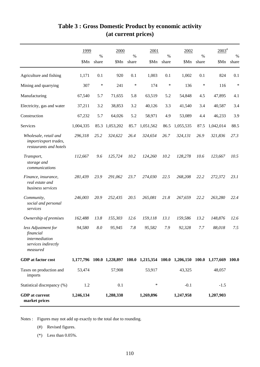|                                                                                       | 1999      | $\%$  | 2000      | $\%$   | 2001                                                                            | $\%$   | 2002      | $\%$  | $2003^*$  | $\%$   |
|---------------------------------------------------------------------------------------|-----------|-------|-----------|--------|---------------------------------------------------------------------------------|--------|-----------|-------|-----------|--------|
|                                                                                       | \$Mn      | share | \$Mn      | share  | \$Mn                                                                            | share  | \$Mn      | share | \$Mn      | share  |
| Agriculture and fishing                                                               | 1,171     | 0.1   | 920       | 0.1    | 1,003                                                                           | 0.1    | 1,002     | 0.1   | 824       | 0.1    |
| Mining and quarrying                                                                  | 307       | *     | 241       | $\ast$ | 174                                                                             | $\ast$ | 136       | ∗     | 116       | $\ast$ |
| Manufacturing                                                                         | 67,540    | 5.7   | 71,655    | 5.8    | 63,519                                                                          | 5.2    | 54,848    | 4.5   | 47,895    | 4.1    |
| Electricity, gas and water                                                            | 37,211    | 3.2   | 38,853    | 3.2    | 40,126                                                                          | 3.3    | 41,540    | 3.4   | 40,587    | 3.4    |
| Construction                                                                          | 67,232    | 5.7   | 64,026    | 5.2    | 58,971                                                                          | 4.9    | 53,089    | 4.4   | 46,233    | 3.9    |
| Services                                                                              | 1,004,335 | 85.3  | 1,053,202 | 85.7   | 1,051,562                                                                       | 86.5   | 1,055,535 | 87.5  | 1,042,014 | 88.5   |
| Wholesale, retail and<br>import/export trades,<br>restaurants and hotels              | 296,318   | 25.2  | 324,622   | 26.4   | 324,654                                                                         | 26.7   | 324,131   | 26.9  | 321,836   | 27.3   |
| Transport,<br>storage and<br>communications                                           | 112,667   | 9.6   | 125,724   | 10.2   | 124,260                                                                         | 10.2   | 128,278   | 10.6  | 123,667   | 10.5   |
| Finance, insurance,<br>real estate and<br>business services                           | 281,439   | 23.9  | 291,062   | 23.7   | 274,030                                                                         | 22.5   | 268,208   | 22.2  | 272,372   | 23.1   |
| Community,<br>social and personal<br>services                                         | 246,003   | 20.9  | 252,435   | 20.5   | 265,081                                                                         | 21.8   | 267,659   | 22.2  | 263,280   | 22.4   |
| Ownership of premises                                                                 | 162,488   | 13.8  | 155,303   | 12.6   | 159,118                                                                         | 13.1   | 159,586   | 13.2  | 148,876   | 12.6   |
| less Adjustment for<br>financial<br>intermediation<br>services indirectly<br>measured | 94,580    | 8.0   | 95,945    | 7.8    | 95,582                                                                          | 7.9    | 92,328    | 7.7   | 88,018    | 7.5    |
| GDP at factor cost                                                                    |           |       |           |        | 1,177,796 100.0 1,228,897 100.0 1,215,354 100.0 1,206,150 100.0 1,177,669 100.0 |        |           |       |           |        |
| Taxes on production and<br>imports                                                    | 53,474    |       | 57,908    |        | 53,917                                                                          |        | 43,325    |       | 48,057    |        |
| Statistical discrepancy (%)                                                           | 1.2       |       | 0.1       |        | ∗                                                                               |        | $-0.1$    |       | $-1.5$    |        |
| <b>GDP</b> at current<br>market prices                                                | 1,246,134 |       | 1,288,338 |        | 1,269,896                                                                       |        | 1,247,958 |       | 1,207,903 |        |

## **Table 3 : Gross Domestic Product by economic activity (at current prices)**

Notes : Figures may not add up exactly to the total due to rounding.

- (#) Revised figures.
- (\*) Less than 0.05%.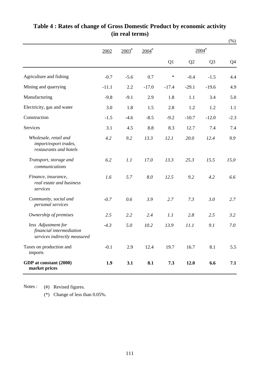|                                                                                 |         |                   |                     |         |         |                     | $(\% )$        |
|---------------------------------------------------------------------------------|---------|-------------------|---------------------|---------|---------|---------------------|----------------|
|                                                                                 | 2002    | $2003^{\text{#}}$ | $2004$ <sup>#</sup> |         |         | $2004$ <sup>#</sup> |                |
|                                                                                 |         |                   |                     | Q1      | Q2      | Q <sub>3</sub>      | Q <sub>4</sub> |
| Agriculture and fishing                                                         | $-0.7$  | $-5.6$            | 0.7                 | ∗       | $-0.4$  | $-1.5$              | 4.4            |
| Mining and quarrying                                                            | $-11.1$ | 2.2               | $-17.0$             | $-17.4$ | $-29.1$ | $-19.6$             | 4.9            |
| Manufacturing                                                                   | $-9.8$  | $-9.1$            | 2.9                 | 1.8     | 1.1     | 3.4                 | 5.0            |
| Electricity, gas and water                                                      | 3.0     | 1.8               | 1.5                 | 2.8     | 1.2     | 1.2                 | 1.1            |
| Construction                                                                    | $-1.5$  | $-4.6$            | $-8.5$              | $-9.2$  | $-10.7$ | $-12.0$             | $-2.3$         |
| <b>Services</b>                                                                 | 3.1     | 4.5               | 8.8                 | 8.3     | 12.7    | 7.4                 | 7.4            |
| Wholesale, retail and<br>import/export trades,<br>restaurants and hotels        | 4.2     | 9.2               | 13.3                | 12.1    | 20.0    | 12.4                | 9.9            |
| Transport, storage and<br>communications                                        | 6.2     | 1.1               | 17.0                | 13.3    | 25.3    | 15.5                | 15.0           |
| Finance, insurance,<br>real estate and business<br>services                     | 1.6     | 5.7               | 8.0                 | 12.5    | 9.2     | 4.2                 | 6.6            |
| Community, social and<br>personal services                                      | $-0.7$  | 0.6               | 3.9                 | 2.7     | 7.3     | 3.0                 | 2.7            |
| Ownership of premises                                                           | 2.5     | 2.2               | 2.4                 | 1.1     | 2.8     | 2.5                 | 3.2            |
| less Adjustment for<br>financial intermediation<br>services indirectly measured | $-4.3$  | 5.0               | 10.2                | 13.9    | 11.1    | 9.1                 | 7.0            |
| Taxes on production and<br>imports                                              | $-0.1$  | 2.9               | 12.4                | 19.7    | 16.7    | 8.1                 | 5.5            |
| GDP at constant (2000)<br>market prices                                         | 1.9     | 3.1               | 8.1                 | 7.3     | 12.0    | 6.6                 | 7.1            |

#### **Table 4 : Rates of change of Gross Domestic Product by economic activity (in real terms)**

Notes : (#) Revised figures.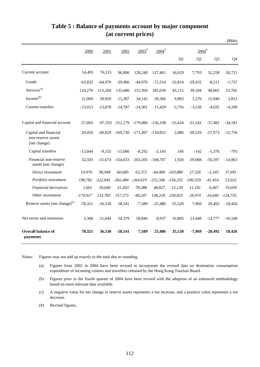#### **Table 5 : Balance of payments account by major component (at current prices)**

 $(6M)^2$ 

|                                                             |            |            |            |                                    |                     |                       |                     |                | (JIVIII)             |
|-------------------------------------------------------------|------------|------------|------------|------------------------------------|---------------------|-----------------------|---------------------|----------------|----------------------|
|                                                             | 2000       | 2001       | 2002       | $2003*$                            | $2004$ <sup>#</sup> |                       | $2004$ <sup>#</sup> |                |                      |
|                                                             |            |            |            |                                    |                     | Q1                    | Q <sub>2</sub>      | Q <sub>3</sub> | Q4                   |
| Current account                                             | 54,495     | 76,315     | 96,800     | 128,240                            | 127,401             | 16,629                | 7,793               | 52,258         | 50,721               |
| Goods                                                       | $-63,832$  | $-64,970$  | $-39,406$  | $-44,970$                          | $-72,514$           | $-32,814$             | $-29,432$           | $-8,511$       | $-1,757$             |
| Services <sup>(a)</sup>                                     | 110,270    | 115,204    | 135,686    | 153,369                            | 185,039             | 43,215                | 39,194              | 48,865         | 53,765               |
| Income <sup>(b)</sup>                                       | 21,069     | 39,959     | 15,307     | 34,142                             | 30,306              | 9,983                 | 1,570               | 15,940         | 2,813                |
| Current transfers                                           | $-13,013$  | $-13,878$  | $-14,787$  | $-14,301$                          | $-15,429$           | $-3,756$              | $-3,539$            | $-4,035$       | $-4,100$             |
| Capital and financial account                               | $-57,863$  |            |            | -97,359 -151,179 -179,086 -136,338 |                     | $-33,434$             | $-31,241$           | $-37,482$      | $-34,181$            |
| Capital and financial<br>non-reserve assets<br>(net change) | 20,459     | $-60,829$  |            | -169,720 -171,497 -110,852         |                     | 2,086                 | $-39,210$           | $-57,973$      | $-15,756$            |
| Capital transfers                                           | $-12,044$  | $-9,155$   | $-15,686$  | $-8,292$                           | $-2,145$            | 166                   | $-142$              | $-1,376$       | $-793$               |
| Financial non-reserve<br>assets (net change)                | 32,503     | $-51,674$  | $-154,033$ | $-163,205$                         | $-108,707$          | 1,920                 | $-39,068$           | $-56,597$      | $-14,963$            |
| Direct investment                                           | 19,976     | 96,948     | $-60,685$  | 63,372                             |                     | $-44,406$ $-103,880$  | 27,326              | $-5,543$       | 37,691               |
| Portfolio investment                                        | 190,782    | $-322,045$ | $-302,484$ | $-264,619$                         |                     | $-251,346$ $-156,355$ | $-106,559$          | $-41,454$      | 53,022               |
| Financial derivatives                                       | 1,661      | 39,640     | 51,563     | 78,288                             | 48,827              | 12,130                | 11,191              | 6,447          | 19,059               |
| Other investment                                            | $-179,917$ | 133,783    | 157,573    | $-40,247$                          | 138,218             | 250,025               | 28,974              |                | $-16,046$ $-124,735$ |
| Reserve assets (net change) <sup>(c)</sup>                  | $-78,321$  | $-36,530$  | 18,541     | $-7,589$                           | $-25,486$           | $-35,520$             | 7,969               | 20,492         | $-18,426$            |
| Net errors and omissions                                    | 3,368      | 21,044     | 54,379     | 50,846                             | 8,937               | 16,805                | 23,448              | $-14,777$      | $-16,540$            |
| <b>Overall balance of</b><br>payments                       | 78,321     | 36,530     | $-18,541$  | 7,589                              | 25,486              | 35,520                | $-7,969$            | $-20,492$      | 18,426               |

Notes: Figures may not add up exactly to the total due to rounding.

- (a) Figures from 2002 to 2004 have been revised to incorporate the revised data on destination consumption expenditure of incoming visitors and travellers released by the Hong Kong Tourism Board.
- (b) Figures prior to the fourth quarter of 2004 have been revised with the adoption of an enhanced methodology based on more relevant data available.
- (c) A negative value for net change in reserve assets represents a net increase, and a positive value represents a net decrease.
- (#) Revised figures.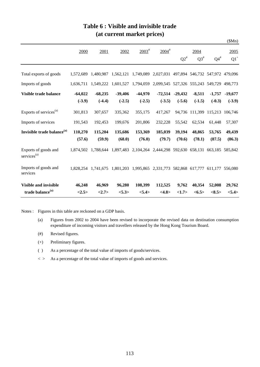|                                                 |           |           |                     |                     |                                                                         |           |                        |                                 | \$Mn)             |
|-------------------------------------------------|-----------|-----------|---------------------|---------------------|-------------------------------------------------------------------------|-----------|------------------------|---------------------------------|-------------------|
|                                                 | 2000      | 2001      | 2002                | $2003$ <sup>#</sup> | $2004$ <sup>#</sup>                                                     |           | 2004                   |                                 | 2005              |
|                                                 |           |           |                     |                     |                                                                         | $Q2^{\#}$ | $Q3^{\#}$              | $Q4^{\#}$                       | $Q1$ <sup>+</sup> |
| Total exports of goods                          | 1.572.689 |           | 1,480,987 1,562,121 |                     | 1,749,089 2,027,031                                                     |           |                        | 497,894 546,732 547,972 479,096 |                   |
| Imports of goods                                | 1.636.711 | 1,549,222 | 1,601,527           |                     | 1,794,059 2,099,545 527,326 555,243 549,729                             |           |                        |                                 | 498,773           |
| Visible trade balance                           | $-64,022$ | $-68,235$ | $-39,406$           | $-44,970$           | $-72,514$                                                               | $-29,432$ | $-8,511$               | $-1,757$                        | $-19,677$         |
|                                                 | $(-3.9)$  | $(-4.4)$  | $(-2.5)$            | $(-2.5)$            | $(-3.5)$                                                                | $(-5.6)$  | $(-1.5)$               | $(-0.3)$                        | $(-3.9)$          |
| Exports of services <sup>(a)</sup>              | 301,813   | 307,657   | 335,362             | 355,175             | 417,267                                                                 |           | 94,736 111,399 115,213 |                                 | 106,746           |
| Imports of services                             | 191,543   | 192,453   | 199,676             | 201,806             | 232,228                                                                 | 55,542    | 62,534                 | 61,448                          | 57,307            |
| Invisible trade balance <sup>(a)</sup>          | 110,270   | 115,204   | 135,686             | 153,369             | 185,039                                                                 | 39,194    | 48,865                 | 53,765                          | 49,439            |
|                                                 | (57.6)    | (59.9)    | (68.0)              | (76.0)              | (79.7)                                                                  | (70.6)    | (78.1)                 | (87.5)                          | (86.3)            |
| Exports of goods and<br>services <sup>(a)</sup> | 1,874,502 | 1,788,644 | 1,897,483           |                     | 2,104,264 2,444,298 592,630 658,131                                     |           |                        | 663,185                         | 585,842           |
| Imports of goods and<br>services                | 1.828.254 |           |                     |                     | 1,741,675 1,801,203 1,995,865 2,331,773 582,868 617,777 611,177 556,080 |           |                        |                                 |                   |
| <b>Visible and invisible</b>                    | 46,248    | 46,969    | 96,280              | 108,399             | 112,525                                                                 | 9,762     | 40,354                 | 52,008                          | 29,762            |
| trade balance <sup>(a)</sup>                    | <2.5>     | <2.7>     | < 5.3>              | <5.4>               | <4.8>                                                                   | <1.7>     | <6.5>                  | $<\!\!8.5\!\!>$                 | <5.4>             |

#### **Table 6 : Visible and invisible trade (at current market prices)**

Notes : Figures in this table are reckoned on a GDP basis.

- (a) Figures from 2002 to 2004 have been revised to incorporate the revised data on destination consumption expenditure of incoming visitors and travellers released by the Hong Kong Tourism Board.
- (#) Revised figures.
- (+) Preliminary figures.
- ( ) As a percentage of the total value of imports of goods/services.
- $\langle \rangle$  As a percentage of the total value of imports of goods and services.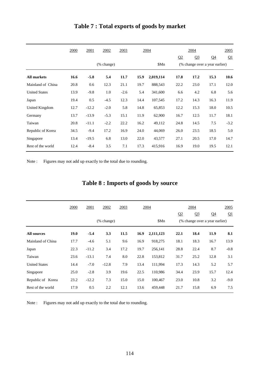|                      | 2000 | 2001    | 2002       | 2003   | 2004 |           |                | 2004                           |                | 2005   |  |
|----------------------|------|---------|------------|--------|------|-----------|----------------|--------------------------------|----------------|--------|--|
|                      |      |         |            |        |      |           | Q <sub>2</sub> | Q <sub>3</sub>                 | Q <sub>4</sub> | Q1     |  |
|                      |      |         | (% change) |        |      | \$Mn      |                | (% change over a year earlier) |                |        |  |
| <b>All markets</b>   | 16.6 | $-5.8$  | 5.4        | 11.7   | 15.9 | 2,019,114 | 17.8           | 17.2                           | 15.3           | 10.6   |  |
| Mainland of China    | 20.8 | 0.6     | 12.3       | 21.1   | 19.7 | 888,543   | 22.2           | 23.0                           | 17.1           | 12.0   |  |
| <b>United States</b> | 13.9 | $-9.8$  | 1.0        | $-2.6$ | 5.4  | 341,600   | 6.6            | 4.2                            | 6.8            | 5.6    |  |
| Japan                | 19.4 | 0.5     | $-4.5$     | 12.3   | 14.4 | 107,545   | 17.2           | 14.3                           | 16.3           | 11.9   |  |
| United Kingdom       | 12.7 | $-12.2$ | $-2.0$     | 5.8    | 14.8 | 65,853    | 12.2           | 15.3                           | 18.0           | 10.5   |  |
| Germany              | 13.7 | $-13.9$ | $-5.3$     | 15.1   | 11.9 | 62,900    | 16.7           | 12.5                           | 11.7           | 18.1   |  |
| Taiwan               | 20.8 | $-11.1$ | $-2.2$     | 22.2   | 16.2 | 49,112    | 24.8           | 14.5                           | 7.5            | $-3.2$ |  |
| Republic of Korea    | 34.5 | $-9.4$  | 17.2       | 16.9   | 24.0 | 44,069    | 26.0           | 23.5                           | 18.5           | 5.0    |  |
| Singapore            | 13.4 | $-19.5$ | 6.8        | 13.0   | 22.0 | 43,577    | 27.1           | 20.5                           | 17.0           | 14.7   |  |
| Rest of the world    | 12.4 | $-8.4$  | 3.5        | 7.1    | 17.3 | 415,916   | 16.9           | 19.0                           | 19.5           | 12.1   |  |

## **Table 7 : Total exports of goods by market**

Note : Figures may not add up exactly to the total due to rounding.

| Table 8 : Imports of goods by source |  |  |  |  |  |  |  |
|--------------------------------------|--|--|--|--|--|--|--|
|--------------------------------------|--|--|--|--|--|--|--|

|                      | 2000        | 2001    | 2002                                | 2003 | 2004 |           |                                | 2004           |                |        |
|----------------------|-------------|---------|-------------------------------------|------|------|-----------|--------------------------------|----------------|----------------|--------|
|                      |             |         |                                     |      |      |           | Q2                             | Q <sub>3</sub> | Q <sub>4</sub> | Q1     |
|                      |             |         | $(% \mathbf{A})$ (% change)<br>\$Mn |      |      |           | (% change over a year earlier) |                |                |        |
| <b>All sources</b>   | <b>19.0</b> | $-5.4$  | 3.3                                 | 11.5 | 16.9 | 2,111,123 | 22.1                           | 18.4           | 11.9           | 8.1    |
| Mainland of China    | 17.7        | $-4.6$  | 5.1                                 | 9.6  | 16.9 | 918,275   | 18.1                           | 18.3           | 16.7           | 13.9   |
| Japan                | 22.3        | $-11.2$ | 3.4                                 | 17.2 | 19.7 | 256,141   | 28.8                           | 22.4           | 8.7            | $-0.8$ |
| Taiwan               | 23.6        | $-13.1$ | 7.4                                 | 8.0  | 22.8 | 153,812   | 31.7                           | 25.2           | 12.8           | 3.1    |
| <b>United States</b> | 14.4        | $-7.0$  | $-12.8$                             | 7.9  | 13.4 | 111,994   | 17.3                           | 14.3           | 5.2            | 5.7    |
| Singapore            | 25.0        | $-2.8$  | 3.9                                 | 19.6 | 22.5 | 110,986   | 34.4                           | 23.9           | 15.7           | 12.4   |
| Republic of Korea    | 23.2        | $-12.2$ | 7.3                                 | 15.0 | 15.0 | 100,467   | 23.0                           | 10.8           | 3.2            | $-9.0$ |
| Rest of the world    | 17.9        | 0.5     | 2.2                                 | 12.1 | 13.6 | 459,448   | 21.7                           | 15.8           | 6.9            | 7.5    |

Note : Figures may not add up exactly to the total due to rounding.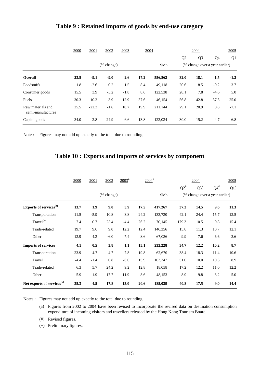|                                        | 2000                        | 2001    | 2002    | 2003   | 2004 |         |                                | 2004           |                |        |
|----------------------------------------|-----------------------------|---------|---------|--------|------|---------|--------------------------------|----------------|----------------|--------|
|                                        |                             |         |         |        |      |         | Q <sub>2</sub>                 | Q <sub>3</sub> | Q <sub>4</sub> | Q1     |
|                                        | $(% \mathbf{A})$ (% change) |         |         |        |      | \$Mn    | (% change over a year earlier) |                |                |        |
| <b>Overall</b>                         | 23.5                        | $-9.1$  | $-9.0$  | 2.6    | 17.2 | 556,862 | 32.0                           | 18.1           | 1.5            | $-1.2$ |
| Foodstuffs                             | 1.8                         | $-2.6$  | 0.2     | 1.5    | 8.4  | 49,118  | 20.6                           | 8.5            | $-0.2$         | 3.7    |
| Consumer goods                         | 15.5                        | 3.9     | $-5.2$  | $-1.8$ | 8.6  | 122,538 | 28.1                           | 7.8            | $-4.6$         | 5.0    |
| Fuels                                  | 30.3                        | $-10.2$ | 3.9     | 12.9   | 37.6 | 46,154  | 56.8                           | 42.8           | 37.5           | 25.0   |
| Raw materials and<br>semi-manufactures | 25.5                        | $-22.3$ | $-1.6$  | 10.7   | 19.9 | 211,144 | 29.1                           | 20.9           | 0.8            | $-7.1$ |
| Capital goods                          | 34.0                        | $-2.8$  | $-24.9$ | $-6.6$ | 13.8 | 122,034 | 30.0                           | 15.2           | $-4.7$         | $-6.8$ |

#### **Table 9 : Retained imports of goods by end-use category**

Note : Figures may not add up exactly to the total due to rounding.

# **Table 10 : Exports and imports of services by component**

|                                        | 2000   | $2003^{\text{*}}$<br>$2004$ <sup>#</sup><br>2002<br>2001 |        |        |      | 2004    |           | 2005                           |           |        |
|----------------------------------------|--------|----------------------------------------------------------|--------|--------|------|---------|-----------|--------------------------------|-----------|--------|
|                                        |        |                                                          |        |        |      |         | $Q2^{\#}$ | $Q3^{\#}$                      | $Q4^{\#}$ | $Q1^+$ |
|                                        |        | $(% \mathbf{A})$ (% change)                              |        |        |      | \$Mn    |           | (% change over a year earlier) |           |        |
| Exports of services <sup>(a)</sup>     | 13.7   | 1.9                                                      | 9.0    | 5.9    | 17.5 | 417,267 | 37.2      | 14.5                           | 9.6       | 11.3   |
| Transportation                         | 11.5   | $-5.9$                                                   | 10.8   | 3.8    | 24.2 | 133,730 | 42.1      | 24.4                           | 15.7      | 12.5   |
| Travel <sup>(a)</sup>                  | 7.4    | 0.7                                                      | 25.4   | $-4.4$ | 26.2 | 70,145  | 179.3     | 10.5                           | 0.8       | 15.4   |
| Trade-related                          | 19.7   | 9.0                                                      | 9.0    | 12.2   | 12.4 | 146,356 | 15.8      | 11.3                           | 10.7      | 12.1   |
| Other                                  | 12.9   | 4.3                                                      | $-6.0$ | 7.4    | 8.6  | 67,036  | 9.9       | 7.6                            | 6.6       | 3.6    |
| <b>Imports of services</b>             | 4.1    | 0.5                                                      | 3.8    | 1.1    | 15.1 | 232,228 | 34.7      | 12.2                           | 10.2      | 8.7    |
| Transportation                         | 23.9   | 4.7                                                      | $-4.7$ | 7.8    | 19.8 | 62,670  | 38.4      | 18.3                           | 11.4      | 10.6   |
| Travel                                 | $-4.4$ | $-1.4$                                                   | 0.8    | $-8.0$ | 15.9 | 103,347 | 51.0      | 10.0                           | 10.3      | 8.9    |
| Trade-related                          | 6.3    | 5.7                                                      | 24.2   | 9.2    | 12.8 | 18,058  | 17.2      | 12.2                           | 11.0      | 12.2   |
| Other                                  | 5.9    | $-1.9$                                                   | 17.7   | 11.9   | 8.6  | 48,153  | 8.9       | 9.8                            | 8.2       | 5.0    |
| Net exports of services <sup>(a)</sup> | 35.3   | 4.5                                                      | 17.8   | 13.0   | 20.6 | 185,039 | 40.8      | 17.5                           | 9.0       | 14.4   |

Notes : Figures may not add up exactly to the total due to rounding.

- (a) Figures from 2002 to 2004 have been revised to incorporate the revised data on destination consumption expenditure of incoming visitors and travellers released by the Hong Kong Tourism Board.
- (#) Revised figures.
- (+) Preliminary figures.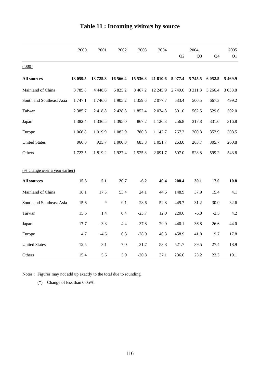|                                       | 2000       | 2001        | 2002      | 2003        | 2004       |         | 2004           |                | 2005      |
|---------------------------------------|------------|-------------|-----------|-------------|------------|---------|----------------|----------------|-----------|
|                                       |            |             |           |             |            | Q2      | Q <sub>3</sub> | Q <sub>4</sub> | Q1        |
| (000)                                 |            |             |           |             |            |         |                |                |           |
| <b>All sources</b>                    | 13 059.5   | 13725.3     | 16 566.4  | 15 536.8    | 21 810.6   | 5 077.4 | 5 745.5        | 6 0 5 2.5      | 5 4 6 9.9 |
| Mainland of China                     | 3785.8     | 4 4 4 8 . 6 | 6 825.2   | 8 4 6 7.2   | 12 245.9   | 2749.0  | 3 3 1 1 . 3    | 3 2 6 6.4      | 3 0 38.8  |
| South and Southeast Asia              | 1 747.1    | 1746.6      | 1 905.2   | 1 3 5 9 . 6 | 2077.7     | 533.4   | 500.5          | 667.3          | 499.2     |
| Taiwan                                | 2 3 8 5 .7 | 2418.8      | 2 4 2 8.8 | 1 852.4     | 2074.8     | 501.0   | 562.5          | 529.6          | 502.0     |
| Japan                                 | 1 3 8 2.4  | 1 3 3 6 . 5 | 1 395.0   | 867.2       | 1 1 2 6 .3 | 256.8   | 317.8          | 331.6          | 316.8     |
| Europe                                | 1 068.8    | 1 0 1 9.9   | 1 0 8 3.9 | 780.8       | 1 1 4 2.7  | 267.2   | 260.8          | 352.9          | 308.5     |
| <b>United States</b>                  | 966.0      | 935.7       | 1 000.8   | 683.8       | 1 0 5 1 .7 | 263.0   | 263.7          | 305.7          | 260.8     |
| Others                                | 1723.5     | 1819.2      | 1927.4    | 1 5 2 5 .8  | 2 0 9 1.7  | 507.0   | 528.8          | 599.2          | 543.8     |
|                                       |            |             |           |             |            |         |                |                |           |
| <u>(% change over a year earlier)</u> |            |             |           |             |            |         |                |                |           |
| <b>All sources</b>                    | 15.3       | 5.1         | 20.7      | $-6.2$      | 40.4       | 208.4   | 30.1           | 17.0           | 10.8      |
| Mainland of China                     | 18.1       | 17.5        | 53.4      | 24.1        | 44.6       | 148.9   | 37.9           | 15.4           | 4.1       |
| South and Southeast Asia              | 15.6       | $\ast$      | 9.1       | $-28.6$     | 52.8       | 449.7   | 31.2           | 30.0           | 32.6      |
| Taiwan                                | 15.6       | 1.4         | 0.4       | $-23.7$     | 12.0       | 220.6   | $-6.0$         | $-2.5$         | 4.2       |
| Japan                                 | 17.7       | $-3.3$      | 4.4       | $-37.8$     | 29.9       | 440.1   | 36.8           | 26.6           | 44.0      |
| Europe                                | 4.7        | $-4.6$      | 6.3       | $-28.0$     | 46.3       | 458.9   | 41.8           | 19.7           | 17.8      |
| <b>United States</b>                  | 12.5       | $-3.1$      | 7.0       | $-31.7$     | 53.8       | 521.7   | 39.5           | 27.4           | 18.9      |
| Others                                | 15.4       | 5.6         | 5.9       | $-20.8$     | 37.1       | 236.6   | 23.2           | 22.3           | 19.1      |

# **Table 11 : Incoming visitors by source**

Notes : Figures may not add up exactly to the total due to rounding.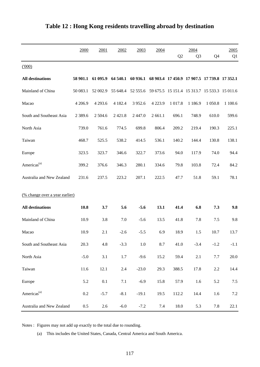|                                | 2000      | 2001       | 2002        | 2003              | 2004                                         |                | 2004           |                                              | 2005     |
|--------------------------------|-----------|------------|-------------|-------------------|----------------------------------------------|----------------|----------------|----------------------------------------------|----------|
|                                |           |            |             |                   |                                              | Q <sub>2</sub> | Q <sub>3</sub> | Q <sub>4</sub>                               | Q1       |
| (000)                          |           |            |             |                   |                                              |                |                |                                              |          |
| <b>All destinations</b>        | 58 901.1  | 61 095.9   | 64 540.1    | 60 936.1          |                                              |                |                | 68 903.4 17 450.9 17 907.5 17 739.8 17 352.1 |          |
| Mainland of China              | 50 083.1  | 52 002.9   |             | 55 648.4 52 555.6 | 59 675.5 15 151.4 15 313.7 15 533.3 15 011.6 |                |                |                                              |          |
| Macao                          | 4 206.9   | 4 2 9 3.6  | 4 1 8 2 . 4 | 3 9 5 2.6         | 4 2 2 3 .9                                   | 1 0 1 7 .8     | 1 1 8 6.9      | 1 0 5 0.8                                    | 1 100.6  |
| South and Southeast Asia       | 2 3 8 9.6 | 2 5 0 4 .6 | 2 4 2 1 .8  | 2 4 4 7 .0        | 2 661.1                                      | 696.1          | 748.9          | 610.0                                        | 599.6    |
| North Asia                     | 739.0     | 761.6      | 774.5       | 699.8             | 806.4                                        | 209.2          | 219.4          | 190.3                                        | 225.1    |
| Taiwan                         | 468.7     | 525.5      | 538.2       | 414.5             | 536.1                                        | 140.2          | 144.4          | 130.8                                        | 138.1    |
| Europe                         | 323.5     | 323.7      | 346.6       | 322.7             | 373.6                                        | 94.0           | 117.9          | 74.0                                         | 94.4     |
| Americas <sup>(a)</sup>        | 399.2     | 376.6      | 346.3       | 280.1             | 334.6                                        | 79.8           | 103.8          | 72.4                                         | 84.2     |
| Australia and New Zealand      | 231.6     | 237.5      | 223.2       | 207.1             | 222.5                                        | 47.7           | 51.8           | 59.1                                         | 78.1     |
| (% change over a year earlier) |           |            |             |                   |                                              |                |                |                                              |          |
| <b>All destinations</b>        | 10.8      | 3.7        | 5.6         | $-5.6$            | 13.1                                         | 41.4           | 6.8            | 7.3                                          | 9.8      |
| Mainland of China              | 10.9      | 3.8        | 7.0         | $-5.6$            | 13.5                                         | 41.8           | 7.8            | $7.5$                                        | 9.8      |
| Macao                          | 10.9      | 2.1        | $-2.6$      | $-5.5$            | 6.9                                          | 18.9           | 1.5            | 10.7                                         | 13.7     |
| South and Southeast Asia       | 20.3      | 4.8        | $-3.3$      | $1.0\,$           | 8.7                                          | 41.0           | $-3.4$         | $-1.2$                                       | $-1.1$   |
| North Asia                     | $-5.0$    | 3.1        | 1.7         | $-9.6$            | 15.2                                         | 59.4           | $2.1\,$        | 7.7                                          | $20.0\,$ |
| Taiwan                         | 11.6      | 12.1       | 2.4         | $-23.0$           | 29.3                                         | 388.5          | 17.8           | $2.2\,$                                      | 14.4     |
| Europe                         | 5.2       | $0.1\,$    | 7.1         | $-6.9$            | 15.8                                         | 57.9           | 1.6            | 5.2                                          | $7.5\,$  |
| Americas <sup>(a)</sup>        | 0.2       | $-5.7$     | $-8.1$      | $-19.1$           | 19.5                                         | 112.2          | 14.4           | 1.6                                          | $7.2\,$  |
| Australia and New Zealand      | $0.5\,$   | 2.6        | $-6.0$      | $-7.2$            | 7.4                                          | 18.0           | 5.3            | 7.8                                          | 22.1     |

## **Table 12 : Hong Kong residents travelling abroad by destination**

Notes : Figures may not add up exactly to the total due to rounding.

(a) This includes the United States, Canada, Central America and South America.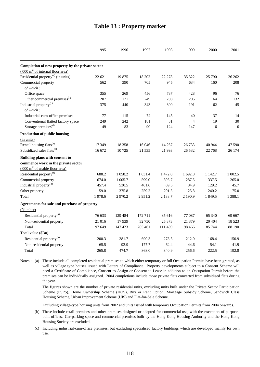|                                                    | 1995   | 1996      | 1997    | 1998       | 1999           | 2000    | 2001             |
|----------------------------------------------------|--------|-----------|---------|------------|----------------|---------|------------------|
| Completion of new property by the private sector   |        |           |         |            |                |         |                  |
| $(000 \text{ m}^2 \text{ of internal floor area})$ |        |           |         |            |                |         |                  |
| Residential property <sup>(a)</sup> (in units)     | 22 621 | 19875     | 18 20 2 | 22 278     | 35 322         | 25 790  | 26 26 2          |
| Commercial property<br>of which:                   | 562    | 390       | 705     | 945        | 634            | 160     | 208              |
| Office space                                       | 355    | 269       | 456     | 737        | 428            | 96      | 76               |
| Other commercial premises <sup>(b)</sup>           | 207    | 121       | 249     | 208        | 206            | 64      | 132              |
| Industrial property <sup>(c)</sup><br>of which:    | 375    | 440       | 343     | 300        | 191            | 62      | 45               |
| Industrial-cum-office premises                     | 77     | 115       | 72      | 145        | 40             | 37      | 14               |
| Conventional flatted factory space                 | 249    | 242       | 181     | 31         | $\overline{4}$ | 19      | 30               |
| Storage premises <sup>(d)</sup>                    | 49     | 83        | 90      | 124        | 147            | 6       | $\boldsymbol{0}$ |
| Production of public housing                       |        |           |         |            |                |         |                  |
| (in units)                                         |        |           |         |            |                |         |                  |
| Rental housing flats <sup>(e)</sup>                | 17 349 | 18 3 5 8  | 16 04 6 | 14 267     | 26 7 33        | 40 944  | 47 590           |
| Subsidized sales flats <sup>(e)</sup>              | 16 672 | 10725     | 21 5 35 | 21 993     | 26 5 32        | 22 768  | 26 174           |
| Building plans with consent to                     |        |           |         |            |                |         |                  |
| commence work in the private sector                |        |           |         |            |                |         |                  |
| $(000 \text{ m}^2 \text{ of usable floor area})$   |        |           |         |            |                |         |                  |
| Residential property <sup>(f)</sup>                | 688.2  | 1 0 5 8.2 | 1 631.4 | 1472.0     | 1692.8         | 1 142.7 | 1 002.5          |
| Commercial property                                | 674.0  | 1 005.7   | 599.0   | 395.7      | 287.5          | 337.5   | 265.0            |
| Industrial property <sup>(g)</sup>                 | 457.4  | 530.5     | 461.6   | 69.5       | 84.9           | 129.2   | 45.7             |
| Other property                                     | 159.0  | 375.8     | 259.2   | 201.5      | 125.8          | 240.2   | 75.0             |
| Total                                              | 1978.6 | 2 9 7 0.2 | 2951.2  | 2 1 3 8 .7 | 2 190.9        | 1 849.5 | 1 3 8 8.1        |
| Agreements for sale and purchase of property       |        |           |         |            |                |         |                  |
| (Number)                                           |        |           |         |            |                |         |                  |
| Residential property <sup>(h)</sup>                | 76 633 | 129 484   | 172 711 | 85 616     | 77 087         | 65 340  | 69 667           |
| Non-residential property                           | 21 016 | 17939     | 32750   | 25 873     | 21 379         | 20 404  | 18 5 23          |
| Total                                              | 97 649 | 147 423   | 205 461 | 111 489    | 98 4 66        | 85 744  | 88 190           |
| Total value (\$Bn)                                 |        |           |         |            |                |         |                  |
| Residential property <sup>(h)</sup>                | 200.3  | 381.7     | 690.3   | 278.5      | 212.0          | 168.4   | 150.9            |
| Non-residential property                           | 65.5   | 92.9      | 177.7   | 62.4       | 44.6           | 54.1    | 41.9             |
| Total                                              | 265.8  | 474.7     | 868.0   | 340.9      | 256.6          | 222.5   | 192.8            |

#### **Table 13 : Property market**

Notes : (a) These include all completed residential premises to which either temporary or full Occupation Permits have been granted, as well as village type houses issued with Letters of Compliance. Property developments subject to a Consent Scheme will need a Certificate of Compliance, Consent to Assign or Consent to Lease in addition to an Occupation Permit before the premises can be individually assigned. 2004 completions include those private flats converted from subsidised flats during the year.

The figures shown are the number of private residential units, excluding units built under the Private Sector Participation Scheme (PSPS), Home Ownership Scheme (HOS), Buy or Rent Option, Mortgage Subsidy Scheme, Sandwich Class Housing Scheme, Urban Improvement Scheme (UIS) and Flat-for-Sale Scheme.

Excluding village-type housing units from 2002 and units issued with temporary Occupation Permits from 2004 onwards.

- (b) These include retail premises and other premises designed or adapted for commercial use, with the exception of purposebuilt offices. Car-parking space and commercial premises built by the Hong Kong Housing Authority and the Hong Kong Housing Society are excluded.
- (c) Including industrial-cum-office premises, but excluding specialised factory buildings which are developed mainly for own use.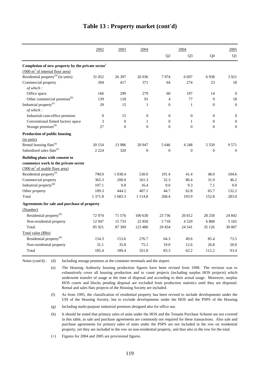|                                                               | 2002             | 2003           | 2004             |                  | 2004             |                  | 2005             |
|---------------------------------------------------------------|------------------|----------------|------------------|------------------|------------------|------------------|------------------|
|                                                               |                  |                |                  | Q2               | Q <sub>3</sub>   | Q4               | Q1               |
| Completion of new property by the private sector <sup>+</sup> |                  |                |                  |                  |                  |                  |                  |
| $(000 \text{ m}^2 \text{ of internal floor area})$            |                  |                |                  |                  |                  |                  |                  |
| Residential property <sup>(a)</sup> (in units)                | 31 052           | 26 397         | 26 036           | 7974             | 6697             | 6938             | 3 9 2 1          |
| Commercial property<br>of which:                              | 304              | 417            | 371              | 64               | 274              | 23               | 18               |
| Office space                                                  | 166              | 299            | 279              | 60               | 197              | 14               | $\mathbf{0}$     |
| Other commercial premises <sup>(b)</sup>                      | 139              | 118            | 91               | $\overline{4}$   | 77               | $\boldsymbol{9}$ | 18               |
| Industrial property <sup>(c)</sup><br>of which:               | 29               | 15             | $\mathbf{1}$     | $\mathbf{0}$     | $\mathbf{1}$     | $\theta$         | $\boldsymbol{0}$ |
| Industrial-cum-office premises                                | $\boldsymbol{0}$ | 15             | $\boldsymbol{0}$ | $\mathbf{0}$     | $\boldsymbol{0}$ | $\boldsymbol{0}$ | $\boldsymbol{0}$ |
| Conventional flatted factory space                            | 3                | $\theta$       | $\mathbf{1}$     | $\mathbf{0}$     | 1                | $\theta$         | $\boldsymbol{0}$ |
| Storage premises <sup>(d)</sup>                               | 27               | $\overline{0}$ | $\overline{0}$   | $\overline{0}$   | $\overline{0}$   | $\overline{0}$   | $\boldsymbol{0}$ |
| Production of public housing                                  |                  |                |                  |                  |                  |                  |                  |
| (in units)                                                    |                  |                |                  |                  |                  |                  |                  |
| Rental housing flats <sup>(e)</sup>                           | 20 154           | 13 9 8 6       | 20 947           | 5 6 4 6          | 4 2 4 8          | 5 5 5 0          | 9571             |
| Subsidized sales flats <sup>(e)</sup>                         | 2 2 2 4          | 320            | $\boldsymbol{0}$ | $\boldsymbol{0}$ | $\boldsymbol{0}$ | $\boldsymbol{0}$ | $\boldsymbol{0}$ |
| Building plans with consent to                                |                  |                |                  |                  |                  |                  |                  |
| commence work in the private sector                           |                  |                |                  |                  |                  |                  |                  |
| $(000 \text{ m}^2 \text{ of usable floor area})$              |                  |                |                  |                  |                  |                  |                  |
| Residential property <sup>(f)</sup>                           | 790.0            | 1 0 38.4       | 530.0            | 191.4            | 41.4             | 48.0             | 104.6            |
| Commercial property                                           | 365.3            | 200.0          | 161.3            | 32.3             | 80.4             | 31.9             | 46.2             |
| Industrial property <sup>(g)</sup>                            | 107.1            | 0.8            | 16.4             | 0.0              | 9.3              | 7.1              | 0.0              |
| Other property                                                | 109.3            | 444.2          | 407.1            | 44.7             | 62.8             | 65.7             | 132.2            |
| Total                                                         | 1 371.8          | 1 683.3        | 1 1 1 4 .8       | 268.4            | 193.9            | 152.8            | 283.0            |
| Agreements for sale and purchase of property                  |                  |                |                  |                  |                  |                  |                  |
| (Number)                                                      |                  |                |                  |                  |                  |                  |                  |
| Residential property <sup>(h)</sup>                           | 72 974           | 71 576         | 100 630          | 23 7 36          | 20 012           | 28 25 8          | 24 842           |
| Non-residential property                                      | 12 947           | 15 7 33        | 22 850           | 5718             | 4529             | 6868             | 5 1 6 5          |
| Total                                                         | 85 921           | 87 309         | 123 480          | 29 4 5 4         | 24 5 41          | 35 1 26          | 30 007           |
| Total value (\$Bn)                                            |                  |                |                  |                  |                  |                  |                  |
| Residential property <sup>(h)</sup>                           | 154.3            | 153.6          | 276.7            | 64.3             | 49.6             | 85.4             | 73.5             |
| Non-residential property                                      | 31.1             | 35.8           | 75.1             | 19.0             | 12.6             | 26.8             | 20.0             |
| Total                                                         | 185.4            | 189.4          | 351.8            | 83.3             | 62.2             | 112.2            | 93.4             |

#### **Table 13 : Property market (cont'd)**

Notes (cont'd) : (d)

Including storage premises at the container terminals and the airport.

(e) The Housing Authority housing production figures have been revised from 1998. The revision was to exhaustively cover all housing production and to count projects (including surplus HOS projects) which underwent transfer of usage at the time of disposal and according to their actual usage. Moreover, surplus HOS courts and blocks pending disposal are excluded from production statistics until they are disposed. Rental and sales flats projects of the Housing Society are included.

(f) As from 1995, the classification of residential property has been revised to include developments under the UIS of the Housing Society, but to exclude developments under the HOS and the PSPS of the Housing

(g) Including multi-purpose industrial premises designed also for office use.

(h) It should be noted that primary sales of units under the HOS and the Tenants Purchase Scheme are not covered in this table, as sale and purchase agreements are commonly not required for these transactions. Also sale and purchase agreements for primary sales of units under the PSPS are not included in the row on residential property, yet they are included in the row on non-residential property, and thus also in the row for the total.

(+) Figures for 2004 and 2005 are provisional figures.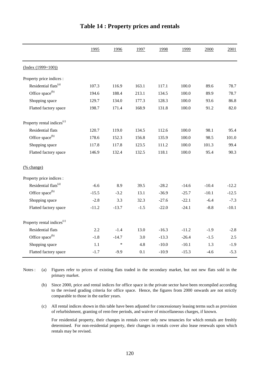|                                        | 1995    | 1996    | 1997   | 1998    | 1999    | 2000    | 2001    |
|----------------------------------------|---------|---------|--------|---------|---------|---------|---------|
| $(Index (1999=100))$                   |         |         |        |         |         |         |         |
| Property price indices :               |         |         |        |         |         |         |         |
| Residential flats <sup>(a)</sup>       | 107.3   | 116.9   | 163.1  | 117.1   | 100.0   | 89.6    | 78.7    |
| Office space <sup>(b)</sup>            | 194.6   | 188.4   | 213.1  | 134.5   | 100.0   | 89.9    | 78.7    |
| Shopping space                         | 129.7   | 134.0   | 177.3  | 128.3   | 100.0   | 93.6    | 86.8    |
| Flatted factory space                  | 198.7   | 171.4   | 168.9  | 131.8   | 100.0   | 91.2    | 82.0    |
| Property rental indices <sup>(c)</sup> |         |         |        |         |         |         |         |
| Residential flats                      | 120.7   | 119.0   | 134.5  | 112.6   | 100.0   | 98.1    | 95.4    |
| Office space <sup>(b)</sup>            | 178.6   | 152.3   | 156.8  | 135.9   | 100.0   | 98.5    | 101.0   |
| Shopping space                         | 117.8   | 117.8   | 123.5  | 111.2   | 100.0   | 101.3   | 99.4    |
| Flatted factory space                  | 146.9   | 132.4   | 132.5  | 118.1   | 100.0   | 95.4    | 90.3    |
| (% change)                             |         |         |        |         |         |         |         |
| Property price indices :               |         |         |        |         |         |         |         |
| Residential flats <sup>(a)</sup>       | $-6.6$  | 8.9     | 39.5   | $-28.2$ | $-14.6$ | $-10.4$ | $-12.2$ |
| Office space <sup>(b)</sup>            | $-15.5$ | $-3.2$  | 13.1   | $-36.9$ | $-25.7$ | $-10.1$ | $-12.5$ |
| Shopping space                         | $-2.8$  | 3.3     | 32.3   | $-27.6$ | $-22.1$ | $-6.4$  | $-7.3$  |
| Flatted factory space                  | $-11.2$ | $-13.7$ | $-1.5$ | $-22.0$ | $-24.1$ | $-8.8$  | $-10.1$ |
| Property rental indices <sup>(c)</sup> |         |         |        |         |         |         |         |
| Residential flats                      | 2.2     | $-1.4$  | 13.0   | $-16.3$ | $-11.2$ | $-1.9$  | $-2.8$  |
| Office space <sup>(b)</sup>            | $-1.8$  | $-14.7$ | 3.0    | $-13.3$ | $-26.4$ | $-1.5$  | 2.5     |
| Shopping space                         | 1.1     | ∗       | 4.8    | $-10.0$ | $-10.1$ | 1.3     | $-1.9$  |
| Flatted factory space                  | $-1.7$  | $-9.9$  | 0.1    | $-10.9$ | $-15.3$ | $-4.6$  | $-5.3$  |

#### **Table 14 : Property prices and rentals**

(a) Notes : (a) Figures refer to prices of existing flats traded in the secondary market, but not new flats sold in the primary market.

- (b) Since 2000, price and rental indices for office space in the private sector have been recompiled according to the revised grading criteria for office space. Hence, the figures from 2000 onwards are not strictly comparable to those in the earlier years.
- (c) All rental indices shown in this table have been adjusted for concessionary leasing terms such as provision of refurbishment, granting of rent-free periods, and waiver of miscellaneous charges, if known.

For residential property, their changes in rentals cover only new tenancies for which rentals are freshly determined. For non-residential property, their changes in rentals cover also lease renewals upon which rentals may be revised.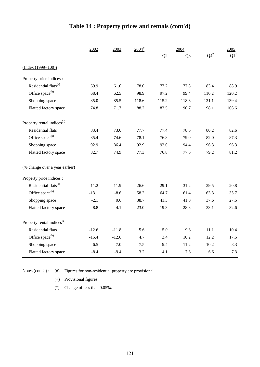|                                        | 2002<br>2003 |         | $2004$ <sup>#</sup> |       | 2004           | 2005            |        |  |
|----------------------------------------|--------------|---------|---------------------|-------|----------------|-----------------|--------|--|
|                                        |              |         |                     | Q2    | Q <sub>3</sub> | ${\bf Q4}^{\#}$ | $Q1^+$ |  |
| $(Index (1999=100))$                   |              |         |                     |       |                |                 |        |  |
| Property price indices :               |              |         |                     |       |                |                 |        |  |
| Residential flats <sup>(a)</sup>       | 69.9         | 61.6    | 78.0                | 77.2  | 77.8           | 83.4            | 88.9   |  |
| Office space <sup>(b)</sup>            | 68.4         | 62.5    | 98.9                | 97.2  | 99.4           | 110.2           | 120.2  |  |
| Shopping space                         | 85.0         | 85.5    | 118.6               | 115.2 | 118.6          | 131.1           | 139.4  |  |
| Flatted factory space                  | 74.8         | 71.7    | 88.2                | 83.5  | 90.7           | 98.1            | 106.6  |  |
| Property rental indices <sup>(c)</sup> |              |         |                     |       |                |                 |        |  |
| <b>Residential flats</b>               | 83.4         | 73.6    | 77.7                | 77.4  | 78.6           | 80.2            | 82.6   |  |
| Office space <sup>(b)</sup>            | 85.4         | 74.6    | 78.1                | 76.8  | 79.0           | 82.0            | 87.3   |  |
| Shopping space                         | 92.9         | 86.4    | 92.9                | 92.0  | 94.4           | 96.3            | 96.3   |  |
| Flatted factory space                  | 82.7         | 74.9    | 77.3                | 76.8  | 77.5           | 79.2            | 81.2   |  |
| (% change over a year earlier)         |              |         |                     |       |                |                 |        |  |
| Property price indices :               |              |         |                     |       |                |                 |        |  |
| Residential flats <sup>(a)</sup>       | $-11.2$      | $-11.9$ | 26.6                | 29.1  | 31.2           | 29.5            | 20.8   |  |
| Office space <sup>(b)</sup>            | $-13.1$      | $-8.6$  | 58.2                | 64.7  | 61.4           | 63.3            | 35.7   |  |
| Shopping space                         | $-2.1$       | 0.6     | 38.7                | 41.3  | 41.0           | 37.6            | 27.5   |  |
| Flatted factory space                  | $-8.8$       | $-4.1$  | 23.0                | 19.3  | 28.3           | 33.1            | 32.6   |  |
| Property rental indices <sup>(c)</sup> |              |         |                     |       |                |                 |        |  |
| <b>Residential flats</b>               | $-12.6$      | $-11.8$ | 5.6                 | 5.0   | 9.3            | 11.1            | 10.4   |  |
| Office space <sup>(b)</sup>            | $-15.4$      | $-12.6$ | 4.7                 | 3.4   | 10.2           | 12.2            | 17.5   |  |
| Shopping space                         | $-6.5$       | $-7.0$  | 7.5                 | 9.4   | 11.2           | 10.2            | 8.3    |  |
| Flatted factory space                  | $-8.4$       | $-9.4$  | 3.2                 | 4.1   | 7.3            | 6.6             | 7.3    |  |

## **Table 14 : Property prices and rentals (cont'd)**

Notes (cont'd) : (#) Figures for non-residential property are provisional.

(+) Provisional figures.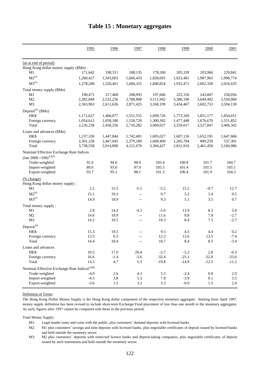|                                                              | 1995      | 1996      | 1997                     | 1998      | 1999      | 2000      | 2001      |
|--------------------------------------------------------------|-----------|-----------|--------------------------|-----------|-----------|-----------|-----------|
| (as at end of period)                                        |           |           |                          |           |           |           |           |
| Hong Kong dollar money supply (\$Mn):                        |           |           |                          |           |           |           |           |
| M1                                                           | 171,642   | 198,311   | 188,135                  | 178,260   | 205,339   | 203,966   | 229,841   |
| $M2^{(a)}$                                                   | 1,260,427 | 1,503,603 | 1,666,419                | 1,828,691 | 1,923,481 | 1,987,963 | 1,998,774 |
| $M3^{(a)}$                                                   | 1,278,288 | 1,520,461 | 1,684,325                | 1,840,824 | 1,935,471 | 2,002,358 | 2,016,635 |
| Total money supply (\$Mn)                                    |           |           |                          |           |           |           |           |
| M1                                                           | 190,471   | 217,460   | 208,093                  | 197,666   | 225,156   | 243,847   | 258,056   |
| M <sub>2</sub>                                               | 2,282,849 | 2,532,236 | 2,788,808                | 3,111,942 | 3,386,196 | 3,649,492 | 3,550,060 |
| M <sub>3</sub>                                               | 2,363,963 | 2,611,636 | 2,871,425                | 3,168,199 | 3,434,467 | 3,692,753 | 3,594,130 |
| Deposit <sup>(b)</sup> (\$Mn)                                |           |           |                          |           |           |           |           |
| HK\$                                                         | 1,171,627 | 1,400,077 | 1,551,555                | 1,699,726 | 1,773,169 | 1,851,177 | 1,854,651 |
| Foreign currency                                             | 1,054,612 | 1,058,180 | 1,158,728                | 1,300,302 | 1,477,448 | 1,676,670 | 1,551,852 |
| Total                                                        | 2,226,238 | 2,458,256 | 2,710,282                | 3,000,027 | 3,250,617 | 3,527,847 | 3,406,502 |
| Loans and advances (\$Mn)                                    |           |           |                          |           |           |           |           |
| HK\$                                                         | 1,237,330 | 1,447,844 | 1,742,481                | 1,695,027 | 1,607,126 | 1,652,191 | 1,647,684 |
| Foreign currency                                             | 2,501,228 | 2,467,045 | 2,379,189                | 1,609,400 | 1,205,784 | 809,259   | 537,301   |
| Total                                                        | 3,738,558 | 3,914,890 | 4,121,670                | 3,304,427 | 2,812,910 | 2,461,450 | 2,184,986 |
| Nominal Effective Exchange Rate Indices                      |           |           |                          |           |           |           |           |
| $\left(\text{Jan } 2000 = 100\right)^{(c)(d)}$               |           |           |                          |           |           |           |           |
| Trade-weighted                                               | 91.6      | 94.0      | 98.0                     | 103.4     | 100.9     | 101.7     | 104.7     |
| Import-weighted                                              | 89.6      | 93.0      | 97.9                     | 105.5     | 101.4     | 101.5     | 105.1     |
| Export-weighted                                              | 93.7      | 95.1      | 98.1                     | 101.3     | 100.4     | 101.9     | 104.3     |
| (% change)                                                   |           |           |                          |           |           |           |           |
| Hong Kong dollar money supply:                               |           |           |                          |           |           |           |           |
| M1                                                           | 2.2       | 15.5      | $-5.1$                   | $-5.2$    | 15.2      | $-0.7$    | 12.7      |
| $M2^{(a)}$                                                   | 15.1      | 19.3      | $\overline{\phantom{a}}$ | 9.7       | 5.2       | 3.4       | 0.5       |
| $M3^{(a)}$                                                   | 14.9      | 18.9      | $\overline{\phantom{a}}$ | 9.3       | 5.1       | 3.5       | 0.7       |
| Total money supply:                                          |           |           |                          |           |           |           |           |
| M1                                                           | 2.8       | 14.2      | $-4.3$                   | $-5.0$    | 13.9      | 8.3       | 5.8       |
| M2                                                           | 14.6      | 10.9      | $\overline{\phantom{a}}$ | 11.6      | $8.8\,$   | 7.8       | $-2.7$    |
| M <sub>3</sub>                                               | 14.2      | 10.5      | $\overline{\phantom{a}}$ | 10.3      | 8.4       | $7.5$     | $-2.7$    |
| $Deposit^{(b)}$                                              |           |           |                          |           |           |           |           |
| HK\$                                                         | 15.3      | 19.5      | $-$                      | 9.5       | 4.3       | 4.4       | 0.2       |
| Foreign currency                                             | 13.5      | 0.3       | $-$                      | 12.2      | 13.6      | 13.5      | $-7.4$    |
| Total                                                        | 14.4      | 10.4      | $\overline{\phantom{a}}$ | 10.7      | 8.4       | 8.5       | $-3.4$    |
| Loans and advances                                           |           |           |                          |           |           |           |           |
| HK\$                                                         | 10.5      | 17.0      | 20.4                     | $-2.7$    | $-5.2$    | $2.8\,$   | $-0.3$    |
| Foreign currency                                             | 16.6      | $-1.4$    | $-3.6$                   | $-32.4$   | $-25.1$   | $-32.9$   | $-33.6$   |
| Total                                                        | 14.5      | 4.7       | 5.3                      | $-19.8$   | $-14.9$   | $-12.5$   | $-11.2$   |
| Nominal Effective Exchange Rate Indices ${}^{\text{(c)(d)}}$ |           |           |                          |           |           |           |           |
| Trade-weighted                                               | $-4.0$    | 2.6       | 4.3                      | 5.5       | $-2.4$    | $\rm 0.8$ | 2.9       |
| Import-weighted                                              | $-4.3$    | 3.8       | 5.3                      | 7.8       | $-3.9$    | 0.1       | 3.5       |
| Export-weighted                                              | $-3.6$    | 1.5       | 3.2                      | 3.3       | $-0.9$    | 1.5       | 2.4       |

#### **Table 15 : Monetary aggregates**

Definition of Terms :

The Hong Kong Dollar Money Supply is the Hong Kong dollar component of the respective monetary aggregate. Starting from April 1997, money supply definition has been revised to include short-term Exchange Fund placement of less than one month in the monetary aggregates. As such, figures after 1997 cannot be compared with those in the previous period.

Total Money Supply:

M1: Legal tender notes and coins with the public, plus customers' demand deposits with licensed banks.

M2: M1 plus customers' savings and time deposits with licensed banks, plus negotiable certificates of deposit issued by licensed banks and held outside the monetary sector.

M3: M2 plus customers' deposits with restricted licence banks and deposit-taking companies, plus negotiable certificates of deposit issued by such institutions and held outside the monetary sector.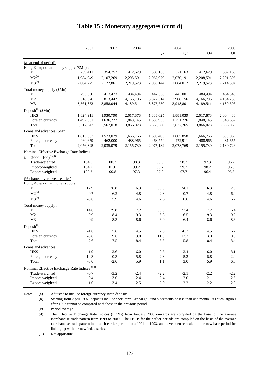| Q <sub>2</sub><br>Q <sub>3</sub><br>Q4<br>Q1<br>(as at end of period)<br>Hong Kong dollar money supply (\$Mn):<br>M1<br>259,411<br>354,752<br>412,629<br>385,100<br>371,163<br>412,629<br>387,168<br>$M2^{(a)}$<br>1,984,049<br>2,107,269<br>2,208,591<br>2,067,979<br>2,070,191<br>2,208,591<br>2,201,393<br>$M3^{(a)}$<br>2,004,225<br>2,122,861<br>2,219,523<br>2,083,144<br>2,084,012<br>2,219,523<br>2,214,594<br>Total money supply (\$Mn)<br>M1<br>295,650<br>413,423<br>484,494<br>447,638<br>445,001<br>484,494<br>464,340<br>3,518,326<br>3,813,442<br>4,166,706<br>3,908,156<br>4,164,250<br>M <sub>2</sub><br>3,827,314<br>4,166,706<br>M <sub>3</sub><br>3,858,044<br>3,561,852<br>4,189,511<br>3,875,750<br>3,948,801<br>4,189,511<br>4,189,596<br>HK\$<br>1,824,911<br>1,930,790<br>2,017,878<br>1,883,625<br>1,881,039<br>2,017,878<br>2,004,436<br>1,492,631<br>1,636,227<br>1,848,145<br>1,685,935<br>1,751,226<br>1,848,145<br>1,848,632<br>Foreign currency<br>Total<br>3,567,018<br>3,866,023<br>3,569,560<br>3,632,265<br>3,866,023<br>3,853,068<br>3,317,542<br>Loans and advances (\$Mn)<br>HK\$<br>1,699,069<br>1,615,667<br>1,573,079<br>1,666,766<br>1,606,403<br>1,605,858<br>1,666,766<br>460,659<br>462,000<br>488,965<br>468,779<br>481,657<br>Foreign currency<br>472,911<br>488,965<br>2,076,325<br>Total<br>2,035,079<br>2,155,730<br>2,075,182<br>2,078,769<br>2,155,730<br>2,180,726<br>Nominal Effective Exchange Rate Indices<br>$\left(\text{Jan } 2000 = 100\right)^{(c)(d)}$<br>Trade-weighted<br>100.7<br>98.3<br>98.8<br>97.3<br>104.0<br>98.7<br>96.2<br>Import-weighted<br>104.7<br>101.6<br>99.2<br>99.7<br>99.7<br>98.2<br>96.9<br>Export-weighted<br>103.3<br>99.8<br>97.3<br>97.9<br>97.7<br>96.4<br>95.5<br>(% change over a year earlier)<br>Hong Kong dollar money supply:<br>12.9<br>39.0<br>2.9<br>M1<br>36.8<br>16.3<br>24.1<br>16.3<br>$M2^{(a)}$<br>$-0.7$<br>6.2<br>4.8<br>2.8<br>0.7<br>4.8<br>6.4<br>$M3^{(a)}$<br>6.2<br>$-0.6$<br>5.9<br>4.6<br>2.6<br>0.6<br>4.6<br>Total money supply:<br>14.6<br>6.4<br>M <sub>1</sub><br>39.8<br>17.2<br>39.3<br>27.4<br>17.2<br>9.2<br>M <sub>2</sub><br>$-0.9$<br>8.4<br>9.3<br>6.8<br>6.5<br>9.3<br>M <sub>3</sub><br>8.3<br>8.6<br>6.4<br>8.6<br>8.6<br>$-0.9$<br>6.9<br>Deposit <sup>(b)</sup><br>5.8<br>4.5<br>2.3<br>4.5<br><b>HKS</b><br>$-1.6$<br>$-0.3$<br>6.2<br>$-3.8$<br>9.6<br>13.0<br>11.8<br>13.2<br>13.0<br>10.8<br>Foreign currency<br>8.4<br>Total<br>$-2.6$<br>$7.5\,$<br>6.5<br>5.8<br>8.4<br>8.4<br>Loans and advances<br>$-2.6$<br>HK\$<br>$-1.9$<br>$6.0\,$<br>$0.6\,$<br>$2.4\,$<br>$6.0\,$<br>8.1<br>0.3<br>Foreign currency<br>$-14.3$<br>5.8<br>$2.8\,$<br>5.2<br>5.8<br>2.4<br>5.9<br>$-5.0$<br>$-2.0$<br>5.9<br>3.0<br>6.8<br>Total<br>1.1<br>Nominal Effective Exchange Rate Indices $^{\left( c\right) \left( d\right) }$<br>Trade-weighted<br>$-3.2$<br>$-2.4$<br>$-2.2$<br>$-2.1$<br>$-2.2$<br>$-0.7$<br>$-2.2$<br>$-3.0$<br>Import-weighted<br>$-0.4$<br>$-2.4$<br>$-2.4$<br>$-2.0$<br>$-2.1$<br>$-2.5$<br>$-3.4$<br>$-2.5$<br>$-2.2$<br>$-2.0$<br>Export-weighted<br>$-1.0$<br>$-2.0$<br>$-2.2$ |                               | 2002 | 2003 | 2004 | 2004 | 2005 |
|---------------------------------------------------------------------------------------------------------------------------------------------------------------------------------------------------------------------------------------------------------------------------------------------------------------------------------------------------------------------------------------------------------------------------------------------------------------------------------------------------------------------------------------------------------------------------------------------------------------------------------------------------------------------------------------------------------------------------------------------------------------------------------------------------------------------------------------------------------------------------------------------------------------------------------------------------------------------------------------------------------------------------------------------------------------------------------------------------------------------------------------------------------------------------------------------------------------------------------------------------------------------------------------------------------------------------------------------------------------------------------------------------------------------------------------------------------------------------------------------------------------------------------------------------------------------------------------------------------------------------------------------------------------------------------------------------------------------------------------------------------------------------------------------------------------------------------------------------------------------------------------------------------------------------------------------------------------------------------------------------------------------------------------------------------------------------------------------------------------------------------------------------------------------------------------------------------------------------------------------------------------------------------------------------------------------------------------------------------------------------------------------------------------------------------------------------------------------------------------------------------------------------------------------------------------------------------------------------------------------------------------------------------------------------------------------------------------------------------------------------------------------------------------------------------------------------------------------------------------------------------------------------------------------------------------------------------------------------------------------------------------------------------------------------------------------------------------------------------------------------------------|-------------------------------|------|------|------|------|------|
|                                                                                                                                                                                                                                                                                                                                                                                                                                                                                                                                                                                                                                                                                                                                                                                                                                                                                                                                                                                                                                                                                                                                                                                                                                                                                                                                                                                                                                                                                                                                                                                                                                                                                                                                                                                                                                                                                                                                                                                                                                                                                                                                                                                                                                                                                                                                                                                                                                                                                                                                                                                                                                                                                                                                                                                                                                                                                                                                                                                                                                                                                                                                       |                               |      |      |      |      |      |
|                                                                                                                                                                                                                                                                                                                                                                                                                                                                                                                                                                                                                                                                                                                                                                                                                                                                                                                                                                                                                                                                                                                                                                                                                                                                                                                                                                                                                                                                                                                                                                                                                                                                                                                                                                                                                                                                                                                                                                                                                                                                                                                                                                                                                                                                                                                                                                                                                                                                                                                                                                                                                                                                                                                                                                                                                                                                                                                                                                                                                                                                                                                                       |                               |      |      |      |      |      |
|                                                                                                                                                                                                                                                                                                                                                                                                                                                                                                                                                                                                                                                                                                                                                                                                                                                                                                                                                                                                                                                                                                                                                                                                                                                                                                                                                                                                                                                                                                                                                                                                                                                                                                                                                                                                                                                                                                                                                                                                                                                                                                                                                                                                                                                                                                                                                                                                                                                                                                                                                                                                                                                                                                                                                                                                                                                                                                                                                                                                                                                                                                                                       |                               |      |      |      |      |      |
|                                                                                                                                                                                                                                                                                                                                                                                                                                                                                                                                                                                                                                                                                                                                                                                                                                                                                                                                                                                                                                                                                                                                                                                                                                                                                                                                                                                                                                                                                                                                                                                                                                                                                                                                                                                                                                                                                                                                                                                                                                                                                                                                                                                                                                                                                                                                                                                                                                                                                                                                                                                                                                                                                                                                                                                                                                                                                                                                                                                                                                                                                                                                       |                               |      |      |      |      |      |
|                                                                                                                                                                                                                                                                                                                                                                                                                                                                                                                                                                                                                                                                                                                                                                                                                                                                                                                                                                                                                                                                                                                                                                                                                                                                                                                                                                                                                                                                                                                                                                                                                                                                                                                                                                                                                                                                                                                                                                                                                                                                                                                                                                                                                                                                                                                                                                                                                                                                                                                                                                                                                                                                                                                                                                                                                                                                                                                                                                                                                                                                                                                                       |                               |      |      |      |      |      |
|                                                                                                                                                                                                                                                                                                                                                                                                                                                                                                                                                                                                                                                                                                                                                                                                                                                                                                                                                                                                                                                                                                                                                                                                                                                                                                                                                                                                                                                                                                                                                                                                                                                                                                                                                                                                                                                                                                                                                                                                                                                                                                                                                                                                                                                                                                                                                                                                                                                                                                                                                                                                                                                                                                                                                                                                                                                                                                                                                                                                                                                                                                                                       |                               |      |      |      |      |      |
|                                                                                                                                                                                                                                                                                                                                                                                                                                                                                                                                                                                                                                                                                                                                                                                                                                                                                                                                                                                                                                                                                                                                                                                                                                                                                                                                                                                                                                                                                                                                                                                                                                                                                                                                                                                                                                                                                                                                                                                                                                                                                                                                                                                                                                                                                                                                                                                                                                                                                                                                                                                                                                                                                                                                                                                                                                                                                                                                                                                                                                                                                                                                       |                               |      |      |      |      |      |
|                                                                                                                                                                                                                                                                                                                                                                                                                                                                                                                                                                                                                                                                                                                                                                                                                                                                                                                                                                                                                                                                                                                                                                                                                                                                                                                                                                                                                                                                                                                                                                                                                                                                                                                                                                                                                                                                                                                                                                                                                                                                                                                                                                                                                                                                                                                                                                                                                                                                                                                                                                                                                                                                                                                                                                                                                                                                                                                                                                                                                                                                                                                                       |                               |      |      |      |      |      |
|                                                                                                                                                                                                                                                                                                                                                                                                                                                                                                                                                                                                                                                                                                                                                                                                                                                                                                                                                                                                                                                                                                                                                                                                                                                                                                                                                                                                                                                                                                                                                                                                                                                                                                                                                                                                                                                                                                                                                                                                                                                                                                                                                                                                                                                                                                                                                                                                                                                                                                                                                                                                                                                                                                                                                                                                                                                                                                                                                                                                                                                                                                                                       |                               |      |      |      |      |      |
|                                                                                                                                                                                                                                                                                                                                                                                                                                                                                                                                                                                                                                                                                                                                                                                                                                                                                                                                                                                                                                                                                                                                                                                                                                                                                                                                                                                                                                                                                                                                                                                                                                                                                                                                                                                                                                                                                                                                                                                                                                                                                                                                                                                                                                                                                                                                                                                                                                                                                                                                                                                                                                                                                                                                                                                                                                                                                                                                                                                                                                                                                                                                       |                               |      |      |      |      |      |
|                                                                                                                                                                                                                                                                                                                                                                                                                                                                                                                                                                                                                                                                                                                                                                                                                                                                                                                                                                                                                                                                                                                                                                                                                                                                                                                                                                                                                                                                                                                                                                                                                                                                                                                                                                                                                                                                                                                                                                                                                                                                                                                                                                                                                                                                                                                                                                                                                                                                                                                                                                                                                                                                                                                                                                                                                                                                                                                                                                                                                                                                                                                                       | Deposit <sup>(b)</sup> (\$Mn) |      |      |      |      |      |
|                                                                                                                                                                                                                                                                                                                                                                                                                                                                                                                                                                                                                                                                                                                                                                                                                                                                                                                                                                                                                                                                                                                                                                                                                                                                                                                                                                                                                                                                                                                                                                                                                                                                                                                                                                                                                                                                                                                                                                                                                                                                                                                                                                                                                                                                                                                                                                                                                                                                                                                                                                                                                                                                                                                                                                                                                                                                                                                                                                                                                                                                                                                                       |                               |      |      |      |      |      |
|                                                                                                                                                                                                                                                                                                                                                                                                                                                                                                                                                                                                                                                                                                                                                                                                                                                                                                                                                                                                                                                                                                                                                                                                                                                                                                                                                                                                                                                                                                                                                                                                                                                                                                                                                                                                                                                                                                                                                                                                                                                                                                                                                                                                                                                                                                                                                                                                                                                                                                                                                                                                                                                                                                                                                                                                                                                                                                                                                                                                                                                                                                                                       |                               |      |      |      |      |      |
|                                                                                                                                                                                                                                                                                                                                                                                                                                                                                                                                                                                                                                                                                                                                                                                                                                                                                                                                                                                                                                                                                                                                                                                                                                                                                                                                                                                                                                                                                                                                                                                                                                                                                                                                                                                                                                                                                                                                                                                                                                                                                                                                                                                                                                                                                                                                                                                                                                                                                                                                                                                                                                                                                                                                                                                                                                                                                                                                                                                                                                                                                                                                       |                               |      |      |      |      |      |
|                                                                                                                                                                                                                                                                                                                                                                                                                                                                                                                                                                                                                                                                                                                                                                                                                                                                                                                                                                                                                                                                                                                                                                                                                                                                                                                                                                                                                                                                                                                                                                                                                                                                                                                                                                                                                                                                                                                                                                                                                                                                                                                                                                                                                                                                                                                                                                                                                                                                                                                                                                                                                                                                                                                                                                                                                                                                                                                                                                                                                                                                                                                                       |                               |      |      |      |      |      |
|                                                                                                                                                                                                                                                                                                                                                                                                                                                                                                                                                                                                                                                                                                                                                                                                                                                                                                                                                                                                                                                                                                                                                                                                                                                                                                                                                                                                                                                                                                                                                                                                                                                                                                                                                                                                                                                                                                                                                                                                                                                                                                                                                                                                                                                                                                                                                                                                                                                                                                                                                                                                                                                                                                                                                                                                                                                                                                                                                                                                                                                                                                                                       |                               |      |      |      |      |      |
|                                                                                                                                                                                                                                                                                                                                                                                                                                                                                                                                                                                                                                                                                                                                                                                                                                                                                                                                                                                                                                                                                                                                                                                                                                                                                                                                                                                                                                                                                                                                                                                                                                                                                                                                                                                                                                                                                                                                                                                                                                                                                                                                                                                                                                                                                                                                                                                                                                                                                                                                                                                                                                                                                                                                                                                                                                                                                                                                                                                                                                                                                                                                       |                               |      |      |      |      |      |
|                                                                                                                                                                                                                                                                                                                                                                                                                                                                                                                                                                                                                                                                                                                                                                                                                                                                                                                                                                                                                                                                                                                                                                                                                                                                                                                                                                                                                                                                                                                                                                                                                                                                                                                                                                                                                                                                                                                                                                                                                                                                                                                                                                                                                                                                                                                                                                                                                                                                                                                                                                                                                                                                                                                                                                                                                                                                                                                                                                                                                                                                                                                                       |                               |      |      |      |      |      |
|                                                                                                                                                                                                                                                                                                                                                                                                                                                                                                                                                                                                                                                                                                                                                                                                                                                                                                                                                                                                                                                                                                                                                                                                                                                                                                                                                                                                                                                                                                                                                                                                                                                                                                                                                                                                                                                                                                                                                                                                                                                                                                                                                                                                                                                                                                                                                                                                                                                                                                                                                                                                                                                                                                                                                                                                                                                                                                                                                                                                                                                                                                                                       |                               |      |      |      |      |      |
|                                                                                                                                                                                                                                                                                                                                                                                                                                                                                                                                                                                                                                                                                                                                                                                                                                                                                                                                                                                                                                                                                                                                                                                                                                                                                                                                                                                                                                                                                                                                                                                                                                                                                                                                                                                                                                                                                                                                                                                                                                                                                                                                                                                                                                                                                                                                                                                                                                                                                                                                                                                                                                                                                                                                                                                                                                                                                                                                                                                                                                                                                                                                       |                               |      |      |      |      |      |
|                                                                                                                                                                                                                                                                                                                                                                                                                                                                                                                                                                                                                                                                                                                                                                                                                                                                                                                                                                                                                                                                                                                                                                                                                                                                                                                                                                                                                                                                                                                                                                                                                                                                                                                                                                                                                                                                                                                                                                                                                                                                                                                                                                                                                                                                                                                                                                                                                                                                                                                                                                                                                                                                                                                                                                                                                                                                                                                                                                                                                                                                                                                                       |                               |      |      |      |      |      |
|                                                                                                                                                                                                                                                                                                                                                                                                                                                                                                                                                                                                                                                                                                                                                                                                                                                                                                                                                                                                                                                                                                                                                                                                                                                                                                                                                                                                                                                                                                                                                                                                                                                                                                                                                                                                                                                                                                                                                                                                                                                                                                                                                                                                                                                                                                                                                                                                                                                                                                                                                                                                                                                                                                                                                                                                                                                                                                                                                                                                                                                                                                                                       |                               |      |      |      |      |      |
|                                                                                                                                                                                                                                                                                                                                                                                                                                                                                                                                                                                                                                                                                                                                                                                                                                                                                                                                                                                                                                                                                                                                                                                                                                                                                                                                                                                                                                                                                                                                                                                                                                                                                                                                                                                                                                                                                                                                                                                                                                                                                                                                                                                                                                                                                                                                                                                                                                                                                                                                                                                                                                                                                                                                                                                                                                                                                                                                                                                                                                                                                                                                       |                               |      |      |      |      |      |
|                                                                                                                                                                                                                                                                                                                                                                                                                                                                                                                                                                                                                                                                                                                                                                                                                                                                                                                                                                                                                                                                                                                                                                                                                                                                                                                                                                                                                                                                                                                                                                                                                                                                                                                                                                                                                                                                                                                                                                                                                                                                                                                                                                                                                                                                                                                                                                                                                                                                                                                                                                                                                                                                                                                                                                                                                                                                                                                                                                                                                                                                                                                                       |                               |      |      |      |      |      |
|                                                                                                                                                                                                                                                                                                                                                                                                                                                                                                                                                                                                                                                                                                                                                                                                                                                                                                                                                                                                                                                                                                                                                                                                                                                                                                                                                                                                                                                                                                                                                                                                                                                                                                                                                                                                                                                                                                                                                                                                                                                                                                                                                                                                                                                                                                                                                                                                                                                                                                                                                                                                                                                                                                                                                                                                                                                                                                                                                                                                                                                                                                                                       |                               |      |      |      |      |      |
|                                                                                                                                                                                                                                                                                                                                                                                                                                                                                                                                                                                                                                                                                                                                                                                                                                                                                                                                                                                                                                                                                                                                                                                                                                                                                                                                                                                                                                                                                                                                                                                                                                                                                                                                                                                                                                                                                                                                                                                                                                                                                                                                                                                                                                                                                                                                                                                                                                                                                                                                                                                                                                                                                                                                                                                                                                                                                                                                                                                                                                                                                                                                       |                               |      |      |      |      |      |
|                                                                                                                                                                                                                                                                                                                                                                                                                                                                                                                                                                                                                                                                                                                                                                                                                                                                                                                                                                                                                                                                                                                                                                                                                                                                                                                                                                                                                                                                                                                                                                                                                                                                                                                                                                                                                                                                                                                                                                                                                                                                                                                                                                                                                                                                                                                                                                                                                                                                                                                                                                                                                                                                                                                                                                                                                                                                                                                                                                                                                                                                                                                                       |                               |      |      |      |      |      |
|                                                                                                                                                                                                                                                                                                                                                                                                                                                                                                                                                                                                                                                                                                                                                                                                                                                                                                                                                                                                                                                                                                                                                                                                                                                                                                                                                                                                                                                                                                                                                                                                                                                                                                                                                                                                                                                                                                                                                                                                                                                                                                                                                                                                                                                                                                                                                                                                                                                                                                                                                                                                                                                                                                                                                                                                                                                                                                                                                                                                                                                                                                                                       |                               |      |      |      |      |      |
|                                                                                                                                                                                                                                                                                                                                                                                                                                                                                                                                                                                                                                                                                                                                                                                                                                                                                                                                                                                                                                                                                                                                                                                                                                                                                                                                                                                                                                                                                                                                                                                                                                                                                                                                                                                                                                                                                                                                                                                                                                                                                                                                                                                                                                                                                                                                                                                                                                                                                                                                                                                                                                                                                                                                                                                                                                                                                                                                                                                                                                                                                                                                       |                               |      |      |      |      |      |
|                                                                                                                                                                                                                                                                                                                                                                                                                                                                                                                                                                                                                                                                                                                                                                                                                                                                                                                                                                                                                                                                                                                                                                                                                                                                                                                                                                                                                                                                                                                                                                                                                                                                                                                                                                                                                                                                                                                                                                                                                                                                                                                                                                                                                                                                                                                                                                                                                                                                                                                                                                                                                                                                                                                                                                                                                                                                                                                                                                                                                                                                                                                                       |                               |      |      |      |      |      |
|                                                                                                                                                                                                                                                                                                                                                                                                                                                                                                                                                                                                                                                                                                                                                                                                                                                                                                                                                                                                                                                                                                                                                                                                                                                                                                                                                                                                                                                                                                                                                                                                                                                                                                                                                                                                                                                                                                                                                                                                                                                                                                                                                                                                                                                                                                                                                                                                                                                                                                                                                                                                                                                                                                                                                                                                                                                                                                                                                                                                                                                                                                                                       |                               |      |      |      |      |      |
|                                                                                                                                                                                                                                                                                                                                                                                                                                                                                                                                                                                                                                                                                                                                                                                                                                                                                                                                                                                                                                                                                                                                                                                                                                                                                                                                                                                                                                                                                                                                                                                                                                                                                                                                                                                                                                                                                                                                                                                                                                                                                                                                                                                                                                                                                                                                                                                                                                                                                                                                                                                                                                                                                                                                                                                                                                                                                                                                                                                                                                                                                                                                       |                               |      |      |      |      |      |
|                                                                                                                                                                                                                                                                                                                                                                                                                                                                                                                                                                                                                                                                                                                                                                                                                                                                                                                                                                                                                                                                                                                                                                                                                                                                                                                                                                                                                                                                                                                                                                                                                                                                                                                                                                                                                                                                                                                                                                                                                                                                                                                                                                                                                                                                                                                                                                                                                                                                                                                                                                                                                                                                                                                                                                                                                                                                                                                                                                                                                                                                                                                                       |                               |      |      |      |      |      |
|                                                                                                                                                                                                                                                                                                                                                                                                                                                                                                                                                                                                                                                                                                                                                                                                                                                                                                                                                                                                                                                                                                                                                                                                                                                                                                                                                                                                                                                                                                                                                                                                                                                                                                                                                                                                                                                                                                                                                                                                                                                                                                                                                                                                                                                                                                                                                                                                                                                                                                                                                                                                                                                                                                                                                                                                                                                                                                                                                                                                                                                                                                                                       |                               |      |      |      |      |      |
|                                                                                                                                                                                                                                                                                                                                                                                                                                                                                                                                                                                                                                                                                                                                                                                                                                                                                                                                                                                                                                                                                                                                                                                                                                                                                                                                                                                                                                                                                                                                                                                                                                                                                                                                                                                                                                                                                                                                                                                                                                                                                                                                                                                                                                                                                                                                                                                                                                                                                                                                                                                                                                                                                                                                                                                                                                                                                                                                                                                                                                                                                                                                       |                               |      |      |      |      |      |
|                                                                                                                                                                                                                                                                                                                                                                                                                                                                                                                                                                                                                                                                                                                                                                                                                                                                                                                                                                                                                                                                                                                                                                                                                                                                                                                                                                                                                                                                                                                                                                                                                                                                                                                                                                                                                                                                                                                                                                                                                                                                                                                                                                                                                                                                                                                                                                                                                                                                                                                                                                                                                                                                                                                                                                                                                                                                                                                                                                                                                                                                                                                                       |                               |      |      |      |      |      |
|                                                                                                                                                                                                                                                                                                                                                                                                                                                                                                                                                                                                                                                                                                                                                                                                                                                                                                                                                                                                                                                                                                                                                                                                                                                                                                                                                                                                                                                                                                                                                                                                                                                                                                                                                                                                                                                                                                                                                                                                                                                                                                                                                                                                                                                                                                                                                                                                                                                                                                                                                                                                                                                                                                                                                                                                                                                                                                                                                                                                                                                                                                                                       |                               |      |      |      |      |      |
|                                                                                                                                                                                                                                                                                                                                                                                                                                                                                                                                                                                                                                                                                                                                                                                                                                                                                                                                                                                                                                                                                                                                                                                                                                                                                                                                                                                                                                                                                                                                                                                                                                                                                                                                                                                                                                                                                                                                                                                                                                                                                                                                                                                                                                                                                                                                                                                                                                                                                                                                                                                                                                                                                                                                                                                                                                                                                                                                                                                                                                                                                                                                       |                               |      |      |      |      |      |
|                                                                                                                                                                                                                                                                                                                                                                                                                                                                                                                                                                                                                                                                                                                                                                                                                                                                                                                                                                                                                                                                                                                                                                                                                                                                                                                                                                                                                                                                                                                                                                                                                                                                                                                                                                                                                                                                                                                                                                                                                                                                                                                                                                                                                                                                                                                                                                                                                                                                                                                                                                                                                                                                                                                                                                                                                                                                                                                                                                                                                                                                                                                                       |                               |      |      |      |      |      |
|                                                                                                                                                                                                                                                                                                                                                                                                                                                                                                                                                                                                                                                                                                                                                                                                                                                                                                                                                                                                                                                                                                                                                                                                                                                                                                                                                                                                                                                                                                                                                                                                                                                                                                                                                                                                                                                                                                                                                                                                                                                                                                                                                                                                                                                                                                                                                                                                                                                                                                                                                                                                                                                                                                                                                                                                                                                                                                                                                                                                                                                                                                                                       |                               |      |      |      |      |      |
|                                                                                                                                                                                                                                                                                                                                                                                                                                                                                                                                                                                                                                                                                                                                                                                                                                                                                                                                                                                                                                                                                                                                                                                                                                                                                                                                                                                                                                                                                                                                                                                                                                                                                                                                                                                                                                                                                                                                                                                                                                                                                                                                                                                                                                                                                                                                                                                                                                                                                                                                                                                                                                                                                                                                                                                                                                                                                                                                                                                                                                                                                                                                       |                               |      |      |      |      |      |
|                                                                                                                                                                                                                                                                                                                                                                                                                                                                                                                                                                                                                                                                                                                                                                                                                                                                                                                                                                                                                                                                                                                                                                                                                                                                                                                                                                                                                                                                                                                                                                                                                                                                                                                                                                                                                                                                                                                                                                                                                                                                                                                                                                                                                                                                                                                                                                                                                                                                                                                                                                                                                                                                                                                                                                                                                                                                                                                                                                                                                                                                                                                                       |                               |      |      |      |      |      |
|                                                                                                                                                                                                                                                                                                                                                                                                                                                                                                                                                                                                                                                                                                                                                                                                                                                                                                                                                                                                                                                                                                                                                                                                                                                                                                                                                                                                                                                                                                                                                                                                                                                                                                                                                                                                                                                                                                                                                                                                                                                                                                                                                                                                                                                                                                                                                                                                                                                                                                                                                                                                                                                                                                                                                                                                                                                                                                                                                                                                                                                                                                                                       |                               |      |      |      |      |      |
|                                                                                                                                                                                                                                                                                                                                                                                                                                                                                                                                                                                                                                                                                                                                                                                                                                                                                                                                                                                                                                                                                                                                                                                                                                                                                                                                                                                                                                                                                                                                                                                                                                                                                                                                                                                                                                                                                                                                                                                                                                                                                                                                                                                                                                                                                                                                                                                                                                                                                                                                                                                                                                                                                                                                                                                                                                                                                                                                                                                                                                                                                                                                       |                               |      |      |      |      |      |

#### **Table 15 : Monetary aggregates (cont'd)**

Notes : (a) Adjusted to include foreign currency swap deposits.

(b) Starting from April 1997, deposits include short-term Exchange Fund placements of less than one month. As such, figures after 1997 cannot be compared with those in the previous period.

(c) Period average.

(d) The Effective Exchange Rate Indices (EERIs) from January 2000 onwards are compiled on the basis of the average merchandise trade pattern from 1999 to 2000. The EERIs for the earlier periods are compiled on the basis of the average merchandise trade pattern in a much earlier period from 1991 to 1993, and have been re-scaled to the new base period for linking up with the new index series.

(--) Not applicable.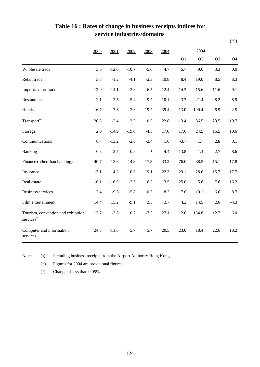|                                                             |         |         |         |         |         |        |        |                | $(\%)$ |
|-------------------------------------------------------------|---------|---------|---------|---------|---------|--------|--------|----------------|--------|
|                                                             | 2000    | 2001    | 2002    | 2003    | 2004    |        | 2004   |                |        |
|                                                             |         |         |         |         |         | Q1     | Q2     | Q <sub>3</sub> | Q4     |
| Wholesale trade                                             | 3.6     | $-12.0$ | $-10.7$ | $-5.0$  | 4.7     | 5.7    | 9.6    | 3.3            | 0.9    |
| Retail trade                                                | 3.8     | $-1.2$  | $-4.1$  | $-2.3$  | 10.8    | 8.4    | 19.0   | 8.5            | 8.3    |
| Import/export trade                                         | 12.0    | $-14.1$ | $-2.8$  | 6.5     | 12.4    | 14.3   | 15.6   | 11.6           | 9.1    |
| Restaurants                                                 | 2.1     | $-2.5$  | $-5.4$  | $-9.7$  | 10.1    | 3.7    | 21.4   | 8.2            | 8.9    |
| Hotels                                                      | 16.7    | $-7.6$  | $-2.3$  | $-19.7$ | 39.4    | 13.0   | 190.4  | 26.9           | 22.5   |
| Transport <sup>(a)</sup>                                    | 20.8    | $-2.4$  | 2.3     | 0.5     | 22.8    | 13.4   | 36.5   | 23.5           | 19.7   |
| Storage                                                     | 2.0     | $-14.9$ | $-19.6$ | $-4.5$  | 17.0    | 17.6   | 24.5   | 16.5           | 10.6   |
| Communications                                              | 8.7     | $-13.2$ | $-2.6$  | $-2.4$  | $1.0\,$ | $-3.7$ | 1.7    | 2.8            | 3.1    |
| Banking                                                     | $0.8\,$ | 2.7     | $-0.8$  | $\ast$  | 4.4     | 13.8   | $-1.4$ | $-2.7$         | 8.6    |
| Finance (other than banking)                                | 40.7    | $-12.6$ | $-14.3$ | 17.3    | 33.2    | 76.0   | 38.5   | 15.1           | 17.8   |
| Insurance                                                   | 13.1    | 14.2    | 10.3    | 19.1    | 22.3    | 29.1   | 28.6   | 15.7           | 17.7   |
| Real estate                                                 | $-0.1$  | $-16.9$ | $-2.5$  | 6.2     | 13.5    | 25.0   | 5.8    | 7.6            | 16.2   |
| <b>Business services</b>                                    | 2.4     | $-9.6$  | $-5.8$  | 0.5     | 8.3     | 7.6    | 10.1   | 6.6            | 8.7    |
| Film entertainment                                          | 14.4    | 15.2    | $-9.1$  | 2.3     | 3.7     | 4.2    | 14.5   | $2.0\,$        | $-4.3$ |
| Tourism, convention and exhibition<br>services <sup>+</sup> | 13.7    | $-3.8$  | 10.7    | $-7.3$  | 27.1    | 12.6   | 154.8  | 12.7           | 6.0    |
| Computer and information<br>services                        | 24.6    | $-11.6$ | 5.7     | 5.7     | 20.5    | 23.0   | 18.4   | 22.6           | 18.2   |

#### **Table 16 : Rates of change in business receipts indices for service industries/domains**

Notes : (a) Including business receipts from the Airport Authority Hong Kong.

(+) Figures for 2004 are provisional figures.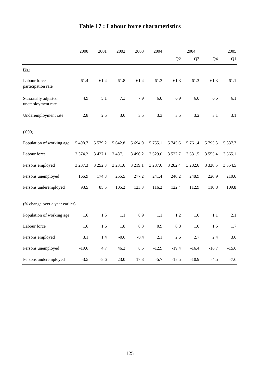|                                          | 2000        | 2001        | 2002        | 2003        | 2004        |                | 2004           |             | 2005        |
|------------------------------------------|-------------|-------------|-------------|-------------|-------------|----------------|----------------|-------------|-------------|
|                                          |             |             |             |             |             | Q <sub>2</sub> | Q <sub>3</sub> | Q4          | Q1          |
| (% )                                     |             |             |             |             |             |                |                |             |             |
| Labour force<br>participation rate       | 61.4        | 61.4        | 61.8        | 61.4        | 61.3        | 61.3           | 61.3           | 61.3        | 61.1        |
| Seasonally adjusted<br>unemployment rate | 4.9         | 5.1         | 7.3         | 7.9         | 6.8         | 6.9            | 6.8            | 6.5         | 6.1         |
| Underemployment rate                     | 2.8         | 2.5         | 3.0         | 3.5         | 3.3         | 3.5            | 3.2            | 3.1         | 3.1         |
| (000)                                    |             |             |             |             |             |                |                |             |             |
| Population of working age                | 5 4 9 8.7   | 5 5 7 9 . 2 | 5 642.8     | 5 694.0     | 5 7 5 5 .1  | 5 7 4 5 . 6    | 5 7 6 1.4      | 5 7 9 5 . 3 | 5 837.7     |
| Labour force                             | 3 3 7 4 . 2 | 3 4 2 7 .1  | 3 4 8 7 . 1 | 3 4 9 6.2   | 3 5 2 9 .0  | 3 5 2 2.7      | 3 5 3 1 .5     | 3 5 5 5 .4  | 3 5 6 5 .1  |
| Persons employed                         | 3 207.3     | 3 2 5 2 . 3 | 3 2 3 1.6   | 3 2 1 9 . 1 | 3 2 8 7 . 6 | 3 2 8 2.4      | 3 2 8 2.6      | 3 3 28.5    | 3 3 5 4 . 5 |
| Persons unemployed                       | 166.9       | 174.8       | 255.5       | 277.2       | 241.4       | 240.2          | 248.9          | 226.9       | 210.6       |
| Persons underemployed                    | 93.5        | 85.5        | 105.2       | 123.3       | 116.2       | 122.4          | 112.9          | 110.8       | 109.8       |
| (% change over a year earlier)           |             |             |             |             |             |                |                |             |             |
| Population of working age                | 1.6         | 1.5         | 1.1         | 0.9         | 1.1         | 1.2            | 1.0            | 1.1         | 2.1         |
| Labour force                             | 1.6         | 1.6         | 1.8         | 0.3         | 0.9         | 0.8            | 1.0            | 1.5         | 1.7         |
| Persons employed                         | 3.1         | 1.4         | $-0.6$      | $-0.4$      | 2.1         | 2.6            | 2.7            | 2.4         | 3.0         |
| Persons unemployed                       | $-19.6$     | 4.7         | 46.2        | 8.5         | $-12.9$     | $-19.4$        | $-16.4$        | $-10.7$     | $-15.6$     |
| Persons underemployed                    | $-3.5$      | $-8.6$      | 23.0        | 17.3        | $-5.7$      | $-18.5$        | $-10.9$        | $-4.5$      | $-7.6$      |

# **Table 17 : Labour force characteristics**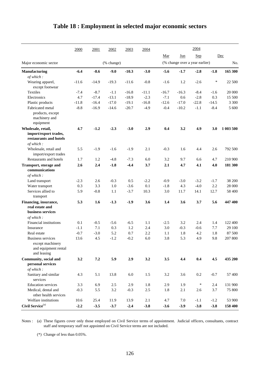|                                                                                     | 2000    | 2001    | 2002       | 2003    | 2004    |         |                                | 2004       |         |           |
|-------------------------------------------------------------------------------------|---------|---------|------------|---------|---------|---------|--------------------------------|------------|---------|-----------|
|                                                                                     |         |         |            |         |         | Mar     | Jun                            | <b>Sep</b> |         | Dec       |
| Major economic sector                                                               |         |         | (% change) |         |         |         | (% change over a year earlier) |            |         | No.       |
| <b>Manufacturing</b>                                                                | $-6.4$  | $-8.6$  | $-9.0$     | $-10.3$ | $-3.0$  | $-5.6$  | $-1.7$                         | $-2.8$     | $-1.8$  | 165 300   |
| of which:                                                                           |         |         |            |         |         |         |                                |            |         |           |
| Wearing apparel,<br>except footwear                                                 | $-11.6$ | $-14.9$ | $-19.3$    | $-11.6$ | $-0.8$  | $-1.6$  | 1.2                            | $-2.6$     | $\ast$  | 22 500    |
| <b>Textiles</b>                                                                     | $-7.4$  | $-8.7$  | $-1.1$     | $-16.8$ | $-11.1$ | $-16.7$ | $-16.3$                        | $-8.4$     | $-1.6$  | 20 000    |
| Electronics                                                                         | 4.7     | $-17.4$ | $-13.1$    | $-18.9$ | $-2.3$  | $-7.1$  | 0.6                            | $-2.8$     | 0.3     | 15 500    |
| Plastic products                                                                    | $-11.8$ | $-16.4$ | $-17.0$    | $-19.1$ | $-16.8$ | $-12.6$ | $-17.0$                        | $-22.8$    | $-14.5$ | 3 3 0 0   |
| Fabricated metal                                                                    | $-8.8$  | $-16.9$ | $-14.6$    | $-20.7$ | $-4.9$  | $-0.4$  | $-10.2$                        | $-1.1$     | $-8.4$  | 5 600     |
| products, except<br>machinery and<br>equipment                                      |         |         |            |         |         |         |                                |            |         |           |
| Wholesale, retail,                                                                  | 4.7     | $-1.2$  | $-2.3$     | $-3.0$  | 2.9     | 0.4     | 3.2                            | 4.9        | 3.0     | 1 003 500 |
| import/export trades,<br>restaurants and hotels<br>of which:                        |         |         |            |         |         |         |                                |            |         |           |
| Wholesale, retail and                                                               | 5.5     | $-1.9$  | $-1.6$     | $-1.9$  | 2.1     | $-0.3$  | 1.6                            | 4.4        | 2.6     | 792 500   |
| import/export trades                                                                |         |         |            |         |         |         |                                |            |         |           |
| Restaurants and hotels                                                              | 1.7     | 1.2     | $-4.8$     | $-7.3$  | 6.0     | 3.2     | 9.7                            | 6.6        | 4.7     | 210 900   |
| Transport, storage and<br>communications                                            | 2.6     | 2.4     | $-1.8$     | $-4.4$  | 3.7     | 2.1     | 4.7                            | 4.1        | 4.0     | 181 300   |
| of which:                                                                           |         |         |            |         |         |         |                                |            |         |           |
| Land transport                                                                      | $-2.3$  | 2.6     | $-0.3$     | 0.5     | $-2.2$  | $-0.9$  | $-3.0$                         | $-3.2$     | $-1.7$  | 38 200    |
| Water transport                                                                     | 0.3     | 3.3     | 1.0        | $-3.6$  | 0.1     | $-1.8$  | 4.3                            | $-4.0$     | 2.2     | 28 000    |
| Services allied to<br>transport                                                     | 5.9     | $-0.8$  | 1.1        | $-3.7$  | 10.3    | 3.0     | 11.7                           | 14.1       | 12.7    | 58 400    |
| Financing, insurance,<br>real estate and<br>business services<br>of which:          | 5.3     | 1.6     | $-1.3$     | $-1.9$  | 3.6     | 1.4     | 3.6                            | 3.7        | 5.6     | 447400    |
| Financial institutions                                                              | 0.1     | $-0.5$  | $-5.6$     | $-6.5$  | 1.1     | $-2.5$  | 3.2                            | 2.4        | 1.4     | 122 400   |
| Insurance                                                                           | $-1.1$  | 7.1     | 0.3        | 1.2     | 2.4     | 3.0     | $-0.3$                         | $-0.6$     | 7.7     | 29 100    |
| Real estate                                                                         | $-0.7$  | $-3.0$  | 5.2        | 0.7     | 2.2     | 1.1     | 1.8                            | 4.2        | 1.8     | 87 500    |
| <b>Business services</b><br>except machinery<br>and equipment rental<br>and leasing | 13.6    | 4.5     | $-1.2$     | $-0.2$  | 6.0     | 3.8     | 5.3                            | 4.9        | 9.8     | 207 800   |
| Community, social and                                                               | 3.2     | 7.2     | 5.9        | 2.9     | 3.2     | 3.5     | 4.4                            | 0.4        | 4.5     | 435 200   |
| personal services<br>of which:                                                      |         |         |            |         |         |         |                                |            |         |           |
| Sanitary and similar<br>services                                                    | 4.3     | 5.1     | 13.8       | $6.0\,$ | 1.5     | 3.2     | 3.6                            | $0.2\,$    | $-0.7$  | 57 400    |
| <b>Education</b> services                                                           | 3.3     | 6.9     | 2.5        | 2.9     | 1.8     | 2.9     | 1.9                            | $\ast$     | 2.4     | 131 900   |
| Medical, dental and<br>other health services                                        | $-0.3$  | 5.5     | 3.2        | $-0.3$  | $2.5\,$ | 1.8     | 2.1                            | 2.6        | 3.7     | 75 800    |
| Welfare institutions                                                                | 10.6    | 25.4    | 11.9       | 13.9    | 2.1     | 4.7     | 7.0                            | $-1.1$     | $-1.2$  | 53 900    |
| Civil Service $^{(a)}$                                                              | $-2.2$  | $-3.5$  | $-3.7$     | $-2.4$  | $-3.8$  | $-3.6$  | $-3.9$                         | $-3.8$     | $-3.8$  | 158 400   |

## **Table 18 : Employment in selected major economic sectors**

Notes : (a) These figures cover only those employed on Civil Service terms of appointment. Judicial officers, consultants, contract staff and temporary staff not appointed on Civil Service terms are not included.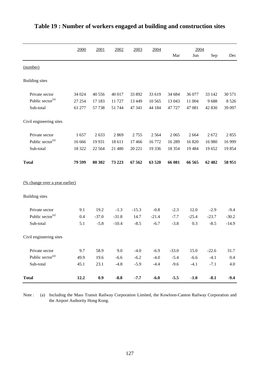|                                | 2000   | 2001     | 2002    | 2003    | 2004    |          | 2004    |         |         |
|--------------------------------|--------|----------|---------|---------|---------|----------|---------|---------|---------|
|                                |        |          |         |         |         | Mar      | Jun     | Sep     | Dec     |
| (number)                       |        |          |         |         |         |          |         |         |         |
| <b>Building</b> sites          |        |          |         |         |         |          |         |         |         |
| Private sector                 | 34 024 | 40 556   | 40 017  | 33 892  | 33 619  | 34 684   | 36 077  | 33 142  | 30 571  |
| Public sector <sup>(a)</sup>   | 27 254 | 17 183   | 11 727  | 13 4 49 | 10 5 65 | 13 043   | 11 004  | 9688    | 8 5 2 6 |
| Sub-total                      | 61 277 | 57 738   | 51 744  | 47 341  | 44 184  | 47 727   | 47 081  | 42 830  | 39 097  |
| Civil engineering sites        |        |          |         |         |         |          |         |         |         |
| Private sector                 | 1657   | 2633     | 2869    | 2755    | 2 5 6 4 | 2065     | 2 6 6 4 | 2672    | 2855    |
| Public sector <sup>(a)</sup>   | 16 666 | 19 9 31  | 18 611  | 17466   | 16772   | 16 289   | 16 820  | 16 980  | 16 9 99 |
| Sub-total                      | 18 322 | 22 5 6 4 | 21 480  | 20 221  | 19 3 36 | 18 3 5 4 | 19 4 84 | 19652   | 19854   |
| <b>Total</b>                   | 79 599 | 80 30 2  | 73 223  | 67562   | 63 520  | 66 081   | 66 565  | 62 482  | 58 951  |
| (% change over a year earlier) |        |          |         |         |         |          |         |         |         |
| <b>Building</b> sites          |        |          |         |         |         |          |         |         |         |
| Private sector                 | 9.1    | 19.2     | $-1.3$  | $-15.3$ | $-0.8$  | $-2.3$   | 12.0    | $-2.9$  | $-9.4$  |
| Public sector <sup>(a)</sup>   | 0.4    | $-37.0$  | $-31.8$ | 14.7    | $-21.4$ | $-7.7$   | $-25.4$ | $-23.7$ | $-30.2$ |
| Sub-total                      | 5.1    | $-5.8$   | $-10.4$ | $-8.5$  | $-6.7$  | $-3.8$   | 0.3     | $-8.5$  | $-14.9$ |
| Civil engineering sites        |        |          |         |         |         |          |         |         |         |
| Private sector                 | 9.7    | 58.9     | 9.0     | $-4.0$  | $-6.9$  | $-33.0$  | 15.0    | $-22.6$ | 31.7    |
| Public sector <sup>(a)</sup>   | 49.9   | 19.6     | $-6.6$  | $-6.2$  | $-4.0$  | $-5.4$   | $-6.6$  | $-4.1$  | 0.4     |
| Sub-total                      | 45.1   | 23.1     | $-4.8$  | $-5.9$  | $-4.4$  | $-9.6$   | $-4.1$  | $-7.1$  | 4.0     |
| <b>Total</b>                   | 12.2   | 0.9      | $-8.8$  | $-7.7$  | $-6.0$  | $-5.5$   | $-1.0$  | $-8.1$  | $-9.4$  |

## **Table 19 : Number of workers engaged at building and construction sites**

Note : (a) Including the Mass Transit Railway Corporation Limited, the Kowloon-Canton Railway Corporation and the Airport Authority Hong Kong.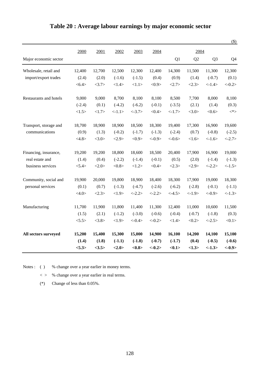|                        |          |        |          |           |           |            |                |                | $(\$)$         |
|------------------------|----------|--------|----------|-----------|-----------|------------|----------------|----------------|----------------|
|                        | 2000     | 2001   | 2002     | 2003      | 2004      |            | 2004           |                |                |
| Major economic sector  |          |        |          |           |           | Q1         | Q <sub>2</sub> | Q <sub>3</sub> | Q <sub>4</sub> |
| Wholesale, retail and  | 12,400   | 12,700 | 12,500   | 12,300    | 12,400    | 14,300     | 11,500         | 11,300         | 12,300         |
| import/export trades   | (2.4)    | (2.0)  | $(-1.6)$ | $(-1.5)$  | (0.4)     | (0.9)      | (1.4)          | $(-0.7)$       | (0.1)          |
|                        | < 6.4    | <3.7>  | <1.4>    | <1.1>     | <0.9>     | <2.7>      | <2.3>          | $< -1.4>$      | $<-0.2>$       |
| Restaurants and hotels | 9,000    | 9,000  | 8,700    | 8,100     | 8,100     | 8,500      | 7,700          | 8,000          | 8,100          |
|                        | $(-2.4)$ | (0.1)  | $(-4.2)$ | $(-6.2)$  | $(-0.1)$  | $(-3.5)$   | (2.1)          | (1.4)          | (0.3)          |
|                        | <1.5>    | <1.7>  | <1.1>    | $< -3.7>$ | <0.4>     | <1.7>      | <3.0>          | <0.6           | $<^*\!>$       |
| Transport, storage and | 18,700   | 18,900 | 18,900   | 18,500    | 18,300    | 19,400     | 17,300         | 16,900         | 19,600         |
| communications         | (0.9)    | (1.3)  | $(-0.2)$ | $(-1.7)$  | $(-1.3)$  | $(-2.4)$   | (0.7)          | $(-0.8)$       | $(-2.5)$       |
|                        | <4.8>    | <3.0>  | <2.9>    | <0.9>     | $< -0.9>$ | $< -0.6 >$ | <1.6>          | <1.6>          | $< -2.7>$      |
| Financing, insurance,  | 19,200   | 19,200 | 18,800   | 18,600    | 18,500    | 20,400     | 17,900         | 16,900         | 19,000         |
| real estate and        | (1.4)    | (0.4)  | $(-2.2)$ | $(-1.4)$  | $(-0.1)$  | (0.5)      | (2.0)          | $(-1.4)$       | $(-1.3)$       |
| business services      | < 5.4>   | <2.0>  | <0.8>    | <1.2>     | <0.4>     | <2.3>      | <2.9>          | $< -2.2>$      | <1.5>          |
| Community, social and  | 19,900   | 20,000 | 19,800   | 18,900    | 18,400    | 18,300     | 17,900         | 19,000         | 18,300         |
| personal services      | (0.1)    | (0.7)  | $(-1.3)$ | $(-4.7)$  | $(-2.6)$  | $(-6.2)$   | $(-2.8)$       | $(-0.1)$       | $(-1.1)$       |
|                        | <4.0>    | <2.3>  | <1.9>    | $< -2.2>$ | $< -2.2>$ | $< -4.5>$  | $< -1.9>$      | $< -0.9 >$     | $<-1.3>$       |
| Manufacturing          | 11,700   | 11,900 | 11,800   | 11,400    | 11,300    | 12,400     | 11,000         | 10,600         | 11,500         |
|                        | (1.5)    | (2.1)  | $(-1.2)$ | $(-3.0)$  | $(-0.6)$  | $(-0.4)$   | $(-0.7)$       | $(-1.8)$       | (0.3)          |
|                        | < 5.5>   | <3.8>  | <1.9>    | $< -0.4>$ | $<-0.2>$  | <1.4>      | <0.2>          | $<-2.5>$       | <0.1>          |
| All sectors surveyed   | 15,200   | 15,400 | 15,300   | 15,000    | 14,900    | 16,100     | 14,200         | 14,100         | 15,100         |
|                        | (1.4)    | (1.8)  | $(-1.1)$ | $(-1.8)$  | $(-0.7)$  | $(-1.7)$   | (0.4)          | $(-0.5)$       | $(-0.6)$       |
|                        | <5.3>    | <3.5>  | <2.0>    | <0.8>     | $<-0.2>$  | < 0.1      | <1.3>          | $<-1.3>$       | $<-0.9>$       |

## **Table 20 : Average labour earnings by major economic sector**

Notes : ( ) % change over a year earlier in money terms.

 $\langle \rangle$  % change over a year earlier in real terms.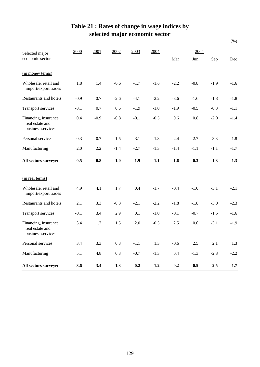|                                                               |        |        |         |        |        |         |         |        | $(\%)$  |
|---------------------------------------------------------------|--------|--------|---------|--------|--------|---------|---------|--------|---------|
| Selected major                                                | 2000   | 2001   | 2002    | 2003   | 2004   |         | 2004    |        |         |
| economic sector                                               |        |        |         |        |        | Mar     | Jun     | Sep    | Dec     |
| (in money terms)                                              |        |        |         |        |        |         |         |        |         |
| Wholesale, retail and<br>import/export trades                 | 1.8    | 1.4    | $-0.6$  | $-1.7$ | $-1.6$ | $-2.2$  | $-0.8$  | $-1.9$ | $-1.6$  |
| Restaurants and hotels                                        | $-0.9$ | 0.7    | $-2.6$  | $-4.1$ | $-2.2$ | $-3.6$  | $-1.6$  | $-1.8$ | $-1.8$  |
| <b>Transport services</b>                                     | $-3.1$ | 0.7    | 0.6     | $-1.9$ | $-1.0$ | $-1.9$  | $-0.5$  | $-0.3$ | $-1.1$  |
| Financing, insurance,<br>real estate and<br>business services | 0.4    | $-0.9$ | $-0.8$  | $-0.1$ | $-0.5$ | 0.6     | 0.8     | $-2.0$ | $-1.4$  |
| Personal services                                             | 0.3    | 0.7    | $-1.5$  | $-3.1$ | 1.3    | $-2.4$  | 2.7     | 3.3    | 1.8     |
| Manufacturing                                                 | 2.0    | 2.2    | $-1.4$  | $-2.7$ | $-1.3$ | $-1.4$  | $-1.1$  | $-1.1$ | $-1.7$  |
| All sectors surveyed                                          | 0.5    | 0.8    | $-1.0$  | $-1.9$ | $-1.1$ | $-1.6$  | $-0.3$  | $-1.3$ | $-1.3$  |
| (in real terms)                                               |        |        |         |        |        |         |         |        |         |
| Wholesale, retail and<br>import/export trades                 | 4.9    | 4.1    | 1.7     | 0.4    | $-1.7$ | $-0.4$  | $-1.0$  | $-3.1$ | $-2.1$  |
| Restaurants and hotels                                        | 2.1    | 3.3    | $-0.3$  | $-2.1$ | $-2.2$ | $-1.8$  | $-1.8$  | $-3.0$ | $-2.3$  |
| <b>Transport services</b>                                     | $-0.1$ | 3.4    | 2.9     | 0.1    | $-1.0$ | $-0.1$  | $-0.7$  | $-1.5$ | $-1.6$  |
| Financing, insurance,<br>real estate and<br>business services | 3.4    | 1.7    | 1.5     | 2.0    | $-0.5$ | 2.5     | 0.6     | $-3.1$ | $-1.9$  |
| Personal services                                             | 3.4    | 3.3    | $0.8\,$ | $-1.1$ | 1.3    | $-0.6$  | $2.5\,$ | 2.1    | $1.3\,$ |
| Manufacturing                                                 | 5.1    | 4.8    | $0.8\,$ | $-0.7$ | $-1.3$ | $0.4\,$ | $-1.3$  | $-2.3$ | $-2.2$  |
| All sectors surveyed                                          | 3.6    | 3.4    | 1.3     | 0.2    | $-1.2$ | 0.2     | $-0.5$  | $-2.5$ | $-1.7$  |

## **Table 21 : Rates of change in wage indices by selected major economic sector**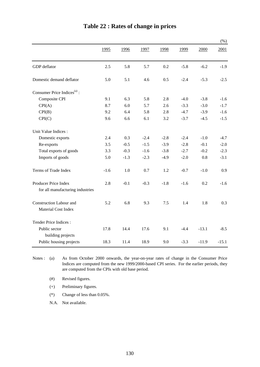|                                         |        |        |        |        |        |         | $(\%)$  |
|-----------------------------------------|--------|--------|--------|--------|--------|---------|---------|
|                                         | 1995   | 1996   | 1997   | 1998   | 1999   | 2000    | 2001    |
| GDP deflator                            | 2.5    | 5.8    | 5.7    | 0.2    | $-5.8$ | $-6.2$  | $-1.9$  |
| Domestic demand deflator                | 5.0    | 5.1    | 4.6    | 0.5    | $-2.4$ | $-5.3$  | $-2.5$  |
| Consumer Price Indices <sup>(a)</sup> : |        |        |        |        |        |         |         |
| Composite CPI                           | 9.1    | 6.3    | 5.8    | 2.8    | $-4.0$ | $-3.8$  | $-1.6$  |
| CPI(A)                                  | 8.7    | 6.0    | 5.7    | 2.6    | $-3.3$ | $-3.0$  | $-1.7$  |
| CPI(B)                                  | 9.2    | 6.4    | 5.8    | 2.8    | $-4.7$ | $-3.9$  | $-1.6$  |
| CPI(C)                                  | 9.6    | 6.6    | 6.1    | 3.2    | $-3.7$ | $-4.5$  | $-1.5$  |
| Unit Value Indices :                    |        |        |        |        |        |         |         |
| Domestic exports                        | 2.4    | 0.3    | $-2.4$ | $-2.8$ | $-2.4$ | $-1.0$  | $-4.7$  |
| Re-exports                              | 3.5    | $-0.5$ | $-1.5$ | $-3.9$ | $-2.8$ | $-0.1$  | $-2.0$  |
| Total exports of goods                  | 3.3    | $-0.3$ | $-1.6$ | $-3.8$ | $-2.7$ | $-0.2$  | $-2.3$  |
| Imports of goods                        | 5.0    | $-1.3$ | $-2.3$ | $-4.9$ | $-2.0$ | 0.8     | $-3.1$  |
| Terms of Trade Index                    | $-1.6$ | 1.0    | 0.7    | 1.2    | $-0.7$ | $-1.0$  | 0.9     |
| Producer Price Index                    | 2.8    | $-0.1$ | $-0.3$ | $-1.8$ | $-1.6$ | 0.2     | $-1.6$  |
| for all manufacturing industries        |        |        |        |        |        |         |         |
| Construction Labour and                 | 5.2    | 6.8    | 9.3    | 7.5    | 1.4    | 1.8     | 0.3     |
| Material Cost Index                     |        |        |        |        |        |         |         |
| Tender Price Indices:                   |        |        |        |        |        |         |         |
| Public sector<br>building projects      | 17.8   | 14.4   | 17.6   | 9.1    | $-4.4$ | $-13.1$ | $-8.5$  |
| Public housing projects                 | 18.3   | 11.4   | 18.9   | 9.0    | $-3.3$ | $-11.9$ | $-15.1$ |

# **Table 22 : Rates of change in prices**

Notes:  $(a)$ As from October 2000 onwards, the year-on-year rates of change in the Consumer Price Indices are computed from the new 1999/2000-based CPI series. For the earlier periods, they are computed from the CPIs with old base period.

(#) Revised figures.

- (+) Preliminary figures.
- (\*) Change of less than 0.05%.

N.A. Not available.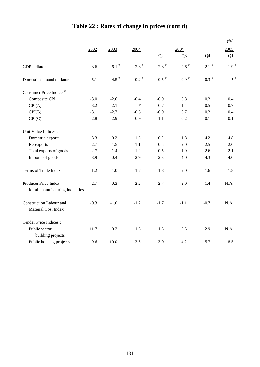|                                                       |         |                     |                     |                     |                     |                     | $(\% )$             |
|-------------------------------------------------------|---------|---------------------|---------------------|---------------------|---------------------|---------------------|---------------------|
|                                                       | 2002    | 2003                | 2004                |                     | 2004                |                     | 2005                |
|                                                       |         |                     |                     | Q2                  | Q <sub>3</sub>      | Q <sub>4</sub>      | Q <sub>1</sub>      |
| GDP deflator                                          | $-3.6$  | $-6.1$ <sup>#</sup> | $-2.8$ <sup>#</sup> | $-2.8$ <sup>#</sup> | $-2.6$ <sup>#</sup> | $-2.1$ <sup>#</sup> | $-1.9$ <sup>+</sup> |
| Domestic demand deflator                              | $-5.1$  | $-4.5$ <sup>#</sup> | $0.2$ <sup>#</sup>  | $0.5$ $^{\#}$       | $0.9$ $^{\#}$       | $0.3$ $^{\#}$       | $\ast$ +            |
| Consumer Price Indices <sup>(a)</sup> :               |         |                     |                     |                     |                     |                     |                     |
| Composite CPI                                         | $-3.0$  | $-2.6$              | $-0.4$              | $-0.9$              | 0.8                 | 0.2                 | 0.4                 |
| CPI(A)                                                | $-3.2$  | $-2.1$              | $\ast$              | $-0.7$              | 1.4                 | 0.5                 | 0.7                 |
| CPI(B)                                                | $-3.1$  | $-2.7$              | $-0.5$              | $-0.9$              | 0.7                 | 0.2                 | 0.4                 |
| CPI(C)                                                | $-2.8$  | $-2.9$              | $-0.9$              | $-1.1$              | 0.2                 | $-0.1$              | $-0.1$              |
| Unit Value Indices :                                  |         |                     |                     |                     |                     |                     |                     |
| Domestic exports                                      | $-3.3$  | 0.2                 | 1.5                 | 0.2                 | 1.8                 | 4.2                 | 4.8                 |
| Re-exports                                            | $-2.7$  | $-1.5$              | 1.1                 | 0.5                 | 2.0                 | 2.5                 | 2.0                 |
| Total exports of goods                                | $-2.7$  | $-1.4$              | 1.2                 | 0.5                 | 1.9                 | 2.6                 | 2.1                 |
| Imports of goods                                      | $-3.9$  | $-0.4$              | 2.9                 | 2.3                 | 4.0                 | 4.3                 | 4.0                 |
| Terms of Trade Index                                  | 1.2     | $-1.0$              | $-1.7$              | $-1.8$              | $-2.0$              | $-1.6$              | $-1.8$              |
| Producer Price Index                                  | $-2.7$  | $-0.3$              | 2.2                 | 2.7                 | 2.0                 | 1.4                 | N.A.                |
| for all manufacturing industries                      |         |                     |                     |                     |                     |                     |                     |
| <b>Construction Labour and</b><br>Material Cost Index | $-0.3$  | $-1.0$              | $-1.2$              | $-1.7$              | $-1.1$              | $-0.7$              | N.A.                |
| Tender Price Indices:                                 |         |                     |                     |                     |                     |                     |                     |
| Public sector<br>building projects                    | $-11.7$ | $-0.3$              | $-1.5$              | $-1.5$              | $-2.5$              | 2.9                 | N.A.                |
| Public housing projects                               | $-9.6$  | $-10.0$             | 3.5                 | 3.0                 | 4.2                 | 5.7                 | 8.5                 |

# **Table 22 : Rates of change in prices (cont'd)**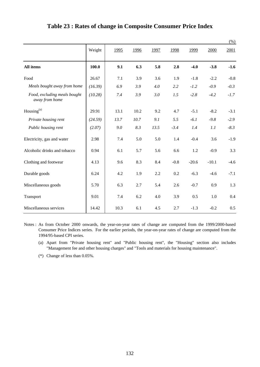|                                                |         |      |      |      |        |         |         | $(\%)$ |
|------------------------------------------------|---------|------|------|------|--------|---------|---------|--------|
|                                                | Weight  | 1995 | 1996 | 1997 | 1998   | 1999    | 2000    | 2001   |
| All items                                      | 100.0   | 9.1  | 6.3  | 5.8  | 2.8    | $-4.0$  | $-3.8$  | $-1.6$ |
| Food                                           | 26.67   | 7.1  | 3.9  | 3.6  | 1.9    | $-1.8$  | $-2.2$  | $-0.8$ |
| Meals bought away from home                    | (16.39) | 6.9  | 3.9  | 4.0  | 2.2    | $-1.2$  | $-0.9$  | $-0.3$ |
| Food, excluding meals bought<br>away from home | (10.28) | 7.4  | 3.9  | 3.0  | 1.5    | $-2.8$  | $-4.2$  | $-1.7$ |
| Housing <sup>(a)</sup>                         | 29.91   | 13.1 | 10.2 | 9.2  | 4.7    | $-5.1$  | $-8.2$  | $-3.1$ |
| Private housing rent                           | (24.59) | 13.7 | 10.7 | 9.1  | 5.5    | $-6.1$  | $-9.8$  | $-2.9$ |
| Public housing rent                            | (2.07)  | 9.0  | 8.3  | 13.5 | $-3.4$ | 1.4     | 1.1     | $-8.3$ |
| Electricity, gas and water                     | 2.98    | 7.4  | 5.0  | 5.0  | 1.4    | $-0.4$  | 3.6     | $-1.9$ |
| Alcoholic drinks and tobacco                   | 0.94    | 6.1  | 5.7  | 5.6  | 6.6    | 1.2     | $-0.9$  | 3.3    |
| Clothing and footwear                          | 4.13    | 9.6  | 8.3  | 8.4  | $-0.8$ | $-20.6$ | $-10.1$ | $-4.6$ |
| Durable goods                                  | 6.24    | 4.2  | 1.9  | 2.2  | 0.2    | $-6.3$  | $-4.6$  | $-7.1$ |
| Miscellaneous goods                            | 5.70    | 6.3  | 2.7  | 5.4  | 2.6    | $-0.7$  | 0.9     | 1.3    |
| Transport                                      | 9.01    | 7.4  | 6.2  | 4.0  | 3.9    | 0.5     | 1.0     | 0.4    |
| Miscellaneous services                         | 14.42   | 10.3 | 6.1  | 4.5  | 2.7    | $-1.3$  | $-0.2$  | 0.5    |

#### **Table 23 : Rates of change in Composite Consumer Price Index**

Notes : As from October 2000 onwards, the year-on-year rates of change are computed from the 1999/2000-based Consumer Price Indices series. For the earlier periods, the year-on-year rates of change are computed from the 1994/95-based CPI series.

- (a) Apart from "Private housing rent" and "Public housing rent", the "Housing" section also includes "Management fee and other housing charges" and "Tools and materials for housing maintenance".
- (\*) Change of less than 0.05%.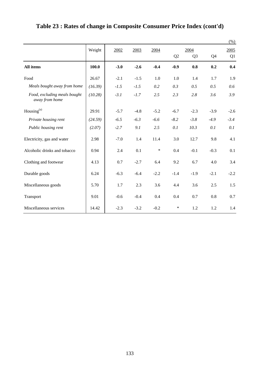|                                                |         |        |        |        |        |                |        | $(\%)$ |
|------------------------------------------------|---------|--------|--------|--------|--------|----------------|--------|--------|
|                                                | Weight  | 2002   | 2003   | 2004   |        | 2004           |        | 2005   |
|                                                |         |        |        |        | Q2     | Q <sub>3</sub> | Q4     | Q1     |
| <b>All items</b>                               | 100.0   | $-3.0$ | $-2.6$ | $-0.4$ | $-0.9$ | 0.8            | 0.2    | 0.4    |
| Food                                           | 26.67   | $-2.1$ | $-1.5$ | 1.0    | 1.0    | 1.4            | 1.7    | 1.9    |
| Meals bought away from home                    | (16.39) | $-1.5$ | $-1.5$ | 0.2    | 0.3    | 0.5            | 0.5    | 0.6    |
| Food, excluding meals bought<br>away from home | (10.28) | $-3.1$ | $-1.7$ | 2.5    | 2.3    | 2.8            | 3.6    | 3.9    |
| Housing <sup>(a)</sup>                         | 29.91   | $-5.7$ | $-4.8$ | $-5.2$ | $-6.7$ | $-2.3$         | $-3.9$ | $-2.6$ |
| Private housing rent                           | (24.59) | $-6.5$ | $-6.3$ | $-6.6$ | $-8.2$ | $-3.8$         | $-4.9$ | $-3.4$ |
| Public housing rent                            | (2.07)  | $-2.7$ | 9.1    | 2.5    | 0.1    | 10.3           | 0.1    | 0.1    |
| Electricity, gas and water                     | 2.98    | $-7.0$ | 1.4    | 11.4   | 3.0    | 12.7           | 9.8    | 4.1    |
| Alcoholic drinks and tobacco                   | 0.94    | 2.4    | 0.1    | $\ast$ | 0.4    | $-0.1$         | $-0.3$ | 0.1    |
| Clothing and footwear                          | 4.13    | 0.7    | $-2.7$ | 6.4    | 9.2    | 6.7            | 4.0    | 3.4    |
| Durable goods                                  | 6.24    | $-6.3$ | $-6.4$ | $-2.2$ | $-1.4$ | $-1.9$         | $-2.1$ | $-2.2$ |
| Miscellaneous goods                            | 5.70    | 1.7    | 2.3    | 3.6    | 4.4    | 3.6            | 2.5    | 1.5    |
| Transport                                      | 9.01    | $-0.6$ | $-0.4$ | 0.4    | 0.4    | 0.7            | 0.8    | 0.7    |
| Miscellaneous services                         | 14.42   | $-2.3$ | $-3.2$ | $-0.2$ | $\ast$ | 1.2            | 1.2    | 1.4    |

# **Table 23 : Rates of change in Composite Consumer Price Index (cont'd)**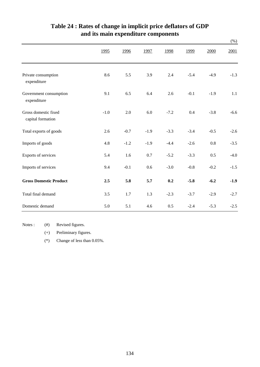|                                           |        |        |        |        |        |        | $(\%)$ |
|-------------------------------------------|--------|--------|--------|--------|--------|--------|--------|
|                                           | 1995   | 1996   | 1997   | 1998   | 1999   | 2000   | 2001   |
| Private consumption<br>expenditure        | 8.6    | 5.5    | 3.9    | 2.4    | $-5.4$ | $-4.9$ | $-1.3$ |
| Government consumption<br>expenditure     | 9.1    | 6.5    | 6.4    | 2.6    | $-0.1$ | $-1.9$ | 1.1    |
| Gross domestic fixed<br>capital formation | $-1.0$ | 2.0    | 6.0    | $-7.2$ | 0.4    | $-3.8$ | $-6.6$ |
| Total exports of goods                    | 2.6    | $-0.7$ | $-1.9$ | $-3.3$ | $-3.4$ | $-0.5$ | $-2.6$ |
| Imports of goods                          | 4.8    | $-1.2$ | $-1.9$ | $-4.4$ | $-2.6$ | 0.8    | $-3.5$ |
| Exports of services                       | 5.4    | 1.6    | 0.7    | $-5.2$ | $-3.3$ | 0.5    | $-4.0$ |
| Imports of services                       | 9.4    | $-0.1$ | 0.6    | $-3.0$ | $-0.8$ | $-0.2$ | $-1.5$ |
| <b>Gross Domestic Product</b>             | 2.5    | 5.8    | 5.7    | 0.2    | $-5.8$ | $-6.2$ | $-1.9$ |
| Total final demand                        | 3.5    | 1.7    | 1.3    | $-2.3$ | $-3.7$ | $-2.9$ | $-2.7$ |
| Domestic demand                           | 5.0    | 5.1    | 4.6    | 0.5    | $-2.4$ | $-5.3$ | $-2.5$ |

## **and its main expenditure components Table 24 : Rates of change in implicit price deflators of GDP**

Notes : (#) Revised figures.

(+) Preliminary figures.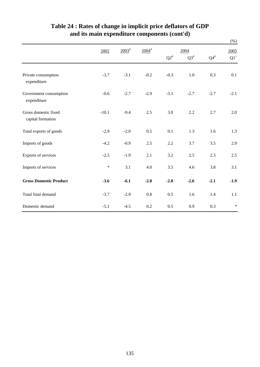|                                           |         |             |                     |           |           |           | $(\% )$ |
|-------------------------------------------|---------|-------------|---------------------|-----------|-----------|-----------|---------|
|                                           | 2002    | $2003^{\#}$ | $2004$ <sup>#</sup> |           | 2004      |           | 2005    |
|                                           |         |             |                     | $Q2^{\#}$ | $Q3^{\#}$ | $Q4^{\#}$ | $Q1^+$  |
| Private consumption<br>expenditure        | $-3.7$  | $-3.1$      | $-0.2$              | $-0.3$    | 1.0       | 0.3       | 0.1     |
| Government consumption<br>expenditure     | $-0.6$  | $-2.7$      | $-2.9$              | $-3.1$    | $-2.7$    | $-2.7$    | $-2.1$  |
| Gross domestic fixed<br>capital formation | $-10.1$ | $-9.4$      | 2.5                 | 3.0       | 2.2       | 2.7       | 2.0     |
| Total exports of goods                    | $-2.9$  | $-2.0$      | 0.5                 | 0.1       | 1.3       | 1.6       | 1.3     |
| Imports of goods                          | $-4.2$  | $-0.9$      | 2.5                 | 2.2       | 3.7       | 3.5       | 2.9     |
| Exports of services                       | $-2.5$  | $-1.9$      | 2.1                 | 3.2       | 2.5       | 2.3       | 2.5     |
| Imports of services                       | $\ast$  | 3.1         | 4.0                 | 3.5       | 4.6       | 3.8       | 3.1     |
| <b>Gross Domestic Product</b>             | $-3.6$  | $-6.1$      | $-2.8$              | $-2.8$    | $-2.6$    | $-2.1$    | $-1.9$  |
| Total final demand                        | $-3.7$  | $-2.9$      | 0.8                 | 0.5       | 1.6       | 1.4       | 1.1     |
| Domestic demand                           | $-5.1$  | $-4.5$      | 0.2                 | 0.5       | 0.9       | 0.3       | $\ast$  |

## **Table 24 : Rates of change in implicit price deflators of GDP and its main expenditure components (cont'd)**